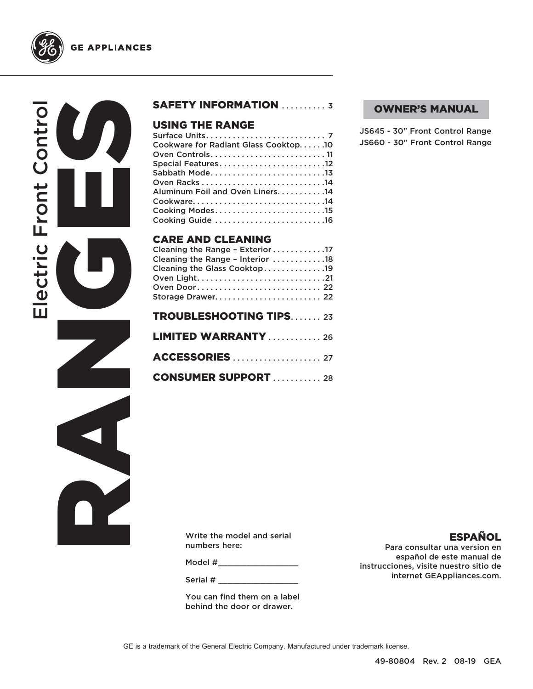

**GE APPLIANCES** 

# RANGES CONTROLL Electric Front Control ectric Front Contro  $\overline{\mathbf{u}}$

## SAFETY INFORMATION .......... 3

## USING THE RANGE

| Cookware for Radiant Glass Cooktop10 |
|--------------------------------------|
|                                      |
| Special Features12                   |
| Sabbath Mode13                       |
|                                      |
| Aluminum Foil and Oven Liners. 14    |
| Cookware14                           |
| Cooking Modes15                      |
| Cooking Guide 16                     |
|                                      |
|                                      |

## CARE AND CLEANING

| Cleaning the Range - Exterior 17 |
|----------------------------------|
| Cleaning the Range - Interior 18 |
| Cleaning the Glass Cooktop19     |
|                                  |
| Oven Door 22                     |
| Storage Drawer 22                |
|                                  |
| <b>TROUBLESHOOTING TIPS23</b>    |
| <b>LIMITED WARRANTY</b> 26       |
|                                  |
| <b>ACCESSORIES</b> 27            |
| <b>CONSUMER SUPPORT  28</b>      |

## OWNER'S MANUAL

JS645 - 30" Front Control Range JS660 - 30" Front Control Range

Write the model and serial numbers here:

Model #\_\_\_\_\_\_\_\_\_\_\_\_\_\_\_\_\_\_\_\_\_\_

Serial #

You can find them on a label behind the door or drawer.

## ESPAÑOL

Para consultar una version en español de este manual de instrucciones, visite nuestro sitio de internet GEAppliances.com.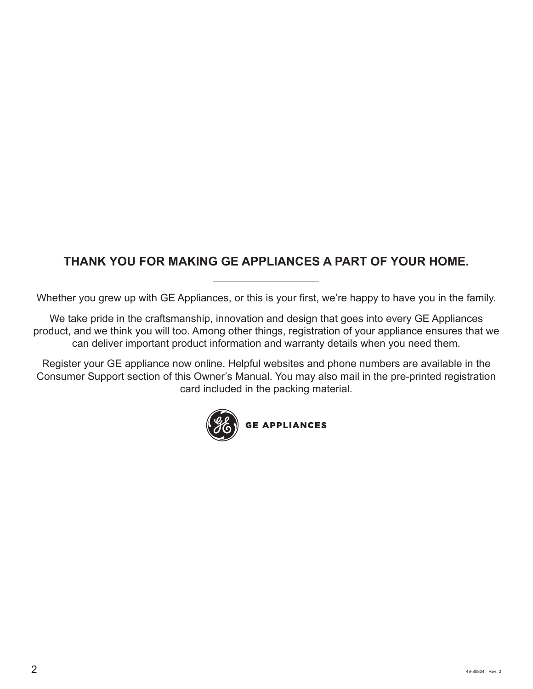## **THANK YOU FOR MAKING GE APPLIANCES A PART OF YOUR HOME.**

Whether you grew up with GE Appliances, or this is your first, we're happy to have you in the family.

We take pride in the craftsmanship, innovation and design that goes into every GE Appliances product, and we think you will too. Among other things, registration of your appliance ensures that we can deliver important product information and warranty details when you need them.

Register your GE appliance now online. Helpful websites and phone numbers are available in the Consumer Support section of this Owner's Manual. You may also mail in the pre-printed registration card included in the packing material.

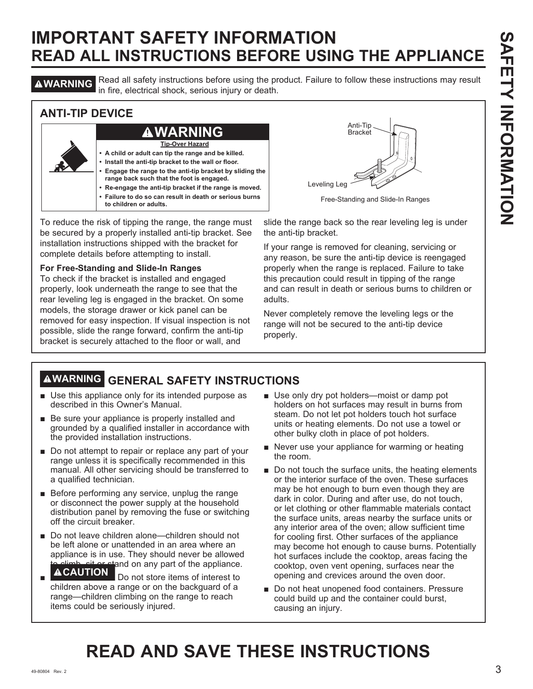**AWARNING** Read all safety instructions before using the product. Failure to follow these instructions may result in fire, electrical shock, serious injury or death.

## **ANTI-TIP DEVICE**



To reduce the risk of tipping the range, the range must be secured by a properly installed anti-tip bracket. See installation instructions shipped with the bracket for complete details before attempting to install.

#### **For Free-Standing and Slide-In Ranges**

To check if the bracket is installed and engaged properly, look underneath the range to see that the rear leveling leg is engaged in the bracket. On some models, the storage drawer or kick panel can be removed for easy inspection. If visual inspection is not possible, slide the range forward, confirm the anti-tip bracket is securely attached to the floor or wall, and



Free-Standing and Slide-In Ranges

slide the range back so the rear leveling leg is under the anti-tip bracket.

If your range is removed for cleaning, servicing or any reason, be sure the anti-tip device is reengaged properly when the range is replaced. Failure to take this precaution could result in tipping of the range and can result in death or serious burns to children or adults.

Never completely remove the leveling legs or the range will not be secured to the anti-tip device properly.

## **WARNING GENERAL SAFETY INSTRUCTIONS**

- $\blacksquare$  Use this appliance only for its intended purpose as described in this Owner's Manual.
- $\blacksquare$  Be sure your appliance is properly installed and grounded by a qualified installer in accordance with the provided installation instructions.
- $\blacksquare$  Do not attempt to repair or replace any part of your range unless it is specifically recommended in this manual. All other servicing should be transferred to a qualified technician.
- $\blacksquare$  Before performing any service, unplug the range or disconnect the power supply at the household distribution panel by removing the fuse or switching off the circuit breaker.
- Do not leave children alone—children should not be left alone or unattended in an area where an appliance is in use. They should never be allowed  $\widehat{\Delta}$  climb, sit or stand on any part of the appliance.
- Ŷ **Do not store items of interest to** children above a range or on the backguard of a range—children climbing on the range to reach items could be seriously injured.
- $\blacksquare$  Use only dry pot holders—moist or damp pot holders on hot surfaces may result in burns from steam. Do not let pot holders touch hot surface units or heating elements. Do not use a towel or other bulky cloth in place of pot holders.
- $\blacksquare$  Never use your appliance for warming or heating the room.
- $\blacksquare$  Do not touch the surface units, the heating elements or the interior surface of the oven. These surfaces may be hot enough to burn even though they are dark in color. During and after use, do not touch, or let clothing or other flammable materials contact the surface units, areas nearby the surface units or any interior area of the oven; allow sufficient time for cooling first. Other surfaces of the appliance may become hot enough to cause burns. Potentially hot surfaces include the cooktop, areas facing the cooktop, oven vent opening, surfaces near the opening and crevices around the oven door.
- Do not heat unopened food containers. Pressure could build up and the container could burst, causing an injury.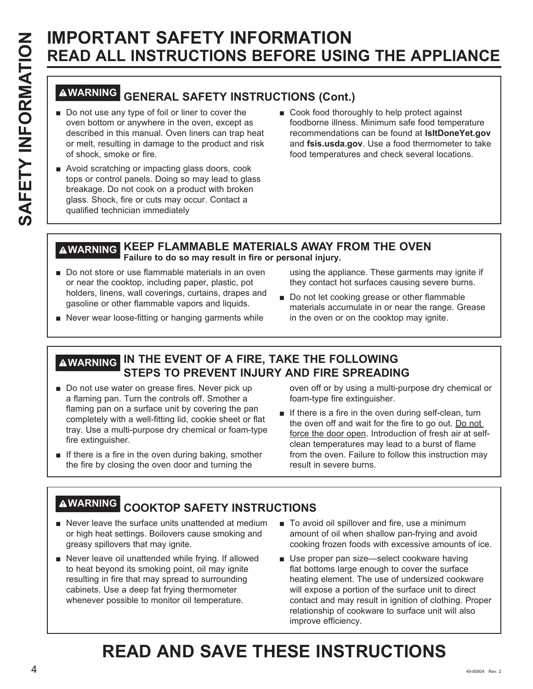# **WARNING GENERAL SAFETY INSTRUCTIONS (Cont.)**

- Do not use any type of foil or liner to cover the oven bottom or anywhere in the oven, except as described in this manual. Oven liners can trap heat or melt, resulting in damage to the product and risk of shock, smoke or fire.
- Avoid scratching or impacting glass doors, cook tops or control panels. Doing so may lead to glass breakage. Do not cook on a product with broken glass. Shock, fire or cuts may occur. Contact a qualified technician immediately
- Cook food thoroughly to help protect against foodborne illness. Minimum safe food temperature recommendations can be found at **IsItDoneYet.gov** and fsis.usda.gov. Use a food thermometer to take food temperatures and check several locations.

## **WARNING KEEP FLAMMABLE MATERIALS AWAY FROM THE OVEN Failure to do so may result in fire or personal injury.**

Do not store or use flammable materials in an oven or near the cooktop, including paper, plastic, pot holders, linens, wall coverings, curtains, drapes and gasoline or other flammable vapors and liquids.

using the appliance. These garments may ignite if they contact hot surfaces causing severe burns.

- Do not let cooking grease or other flammable materials accumulate in or near the range. Grease in the oven or on the cooktop may ignite.
- Never wear loose-fitting or hanging garments while

## **WARNING IN THE EVENT OF A FIRE, TAKE THE FOLLOWING STEPS TO PREVENT INJURY AND FIRE SPREADING**

- Do not use water on grease fires. Never pick up a flaming pan. Turn the controls off. Smother a flaming pan on a surface unit by covering the pan completely with a well-fitting lid, cookie sheet or flat tray. Use a multi-purpose dry chemical or foam-type fire extinguisher.
- $\blacksquare$  If there is a fire in the oven during baking, smother the fire by closing the oven door and turning the

oven off or by using a multi-purpose dry chemical or foam-type fire extinguisher.

 $\blacksquare$  If there is a fire in the oven during self-clean, turn the oven off and wait for the fire to go out. Do not force the door open. Introduction of fresh air at selfclean temperatures may lead to a burst of flame from the oven. Failure to follow this instruction may result in severe burns.

## **WARNING COOKTOP SAFETY INSTRUCTIONS**

- $\blacksquare$  Never leave the surface units unattended at medium or high heat settings. Boilovers cause smoking and greasy spillovers that may ignite.
- Never leave oil unattended while frying. If allowed to heat beyond its smoking point, oil may ignite resulting in fire that may spread to surrounding cabinets. Use a deep fat frying thermometer whenever possible to monitor oil temperature.
- To avoid oil spillover and fire, use a minimum amount of oil when shallow pan-frying and avoid cooking frozen foods with excessive amounts of ice.
- Use proper pan size-select cookware having flat bottoms large enough to cover the surface heating element. The use of undersized cookware will expose a portion of the surface unit to direct contact and may result in ignition of clothing. Proper relationship of cookware to surface unit will also improve efficiency.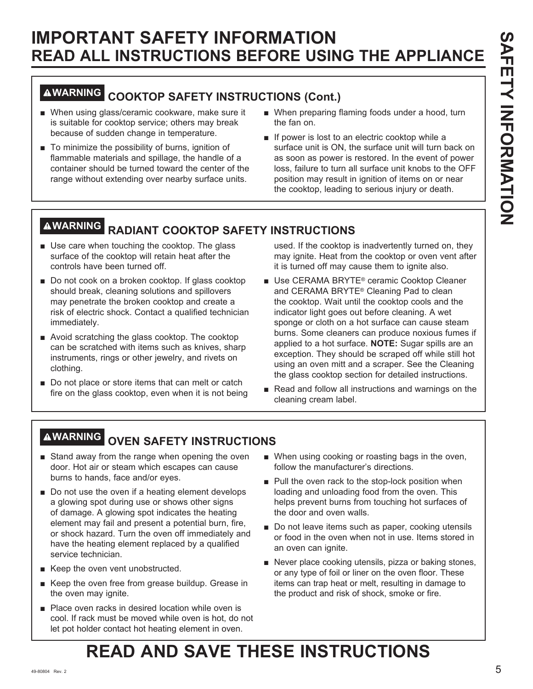## **WARNING COOKTOP SAFETY INSTRUCTIONS (Cont.)**

- When using glass/ceramic cookware, make sure it is suitable for cooktop service; others may break because of sudden change in temperature.
- $\blacksquare$  To minimize the possibility of burns, ignition of flammable materials and spillage, the handle of a container should be turned toward the center of the range without extending over nearby surface units.
- When preparing flaming foods under a hood, turn the fan on.
- $\blacksquare$  If power is lost to an electric cooktop while a surface unit is ON, the surface unit will turn back on as soon as power is restored. In the event of power loss, failure to turn all surface unit knobs to the OFF position may result in ignition of items on or near the cooktop, leading to serious injury or death.

## **WARNING RADIANT COOKTOP SAFETY INSTRUCTIONS**

- $\blacksquare$  Use care when touching the cooktop. The glass surface of the cooktop will retain heat after the controls have been turned off.
- Do not cook on a broken cooktop. If glass cooktop should break, cleaning solutions and spillovers may penetrate the broken cooktop and create a risk of electric shock. Contact a qualified technician immediately.
- $\blacksquare$  Avoid scratching the glass cooktop. The cooktop can be scratched with items such as knives, sharp instruments, rings or other jewelry, and rivets on clothing.
- $\blacksquare$  Do not place or store items that can melt or catch fire on the glass cooktop, even when it is not being

used. If the cooktop is inadvertently turned on, they may ignite. Heat from the cooktop or oven vent after it is turned off may cause them to ignite also.

- Use CERAMA BRYTE<sup>®</sup> ceramic Cooktop Cleaner and CERAMA BRYTE® Cleaning Pad to clean the cooktop. Wait until the cooktop cools and the indicator light goes out before cleaning. A wet sponge or cloth on a hot surface can cause steam burns. Some cleaners can produce noxious fumes if applied to a hot surface. **NOTE:** Sugar spills are an exception. They should be scraped off while still hot using an oven mitt and a scraper. See the Cleaning the glass cooktop section for detailed instructions.
- Read and follow all instructions and warnings on the cleaning cream label.

## **WARNING OVEN SAFETY INSTRUCTIONS**

- Stand away from the range when opening the oven door. Hot air or steam which escapes can cause burns to hands, face and/or eyes.
- $\blacksquare$  Do not use the oven if a heating element develops a glowing spot during use or shows other signs of damage. A glowing spot indicates the heating element may fail and present a potential burn, fire, or shock hazard. Turn the oven off immediately and have the heating element replaced by a qualified service technician.
- Keep the oven vent unobstructed.
- Keep the oven free from grease buildup. Grease in the oven may ignite.
- Place oven racks in desired location while oven is cool. If rack must be moved while oven is hot, do not let pot holder contact hot heating element in oven.
- When using cooking or roasting bags in the oven, follow the manufacturer's directions.
- $\blacksquare$  Pull the oven rack to the stop-lock position when loading and unloading food from the oven. This helps prevent burns from touching hot surfaces of the door and oven walls.
- Do not leave items such as paper, cooking utensils or food in the oven when not in use. Items stored in an oven can ignite.
- Never place cooking utensils, pizza or baking stones, or any type of foil or liner on the oven floor. These items can trap heat or melt, resulting in damage to the product and risk of shock, smoke or fire.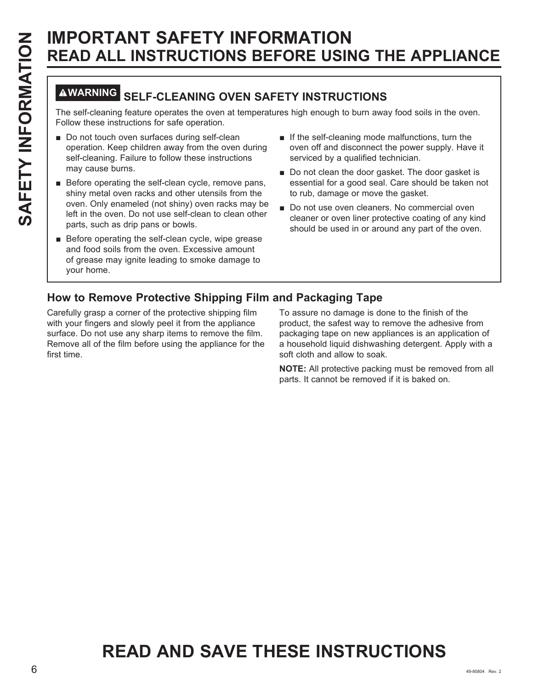## **WARNING SELF-CLEANING OVEN SAFETY INSTRUCTIONS**

The self-cleaning feature operates the oven at temperatures high enough to burn away food soils in the oven. Follow these instructions for safe operation.

- Do not touch oven surfaces during self-clean operation. Keep children away from the oven during self-cleaning. Failure to follow these instructions may cause burns.
- Before operating the self-clean cycle, remove pans, shiny metal oven racks and other utensils from the oven. Only enameled (not shiny) oven racks may be left in the oven. Do not use self-clean to clean other parts, such as drip pans or bowls.
- Before operating the self-clean cycle, wipe grease and food soils from the oven. Excessive amount of grease may ignite leading to smoke damage to your home.
- $\blacksquare$  If the self-cleaning mode malfunctions, turn the oven off and disconnect the power supply. Have it serviced by a qualified technician.
- Do not clean the door gasket. The door gasket is essential for a good seal. Care should be taken not to rub, damage or move the gasket.
- Do not use oven cleaners. No commercial oven cleaner or oven liner protective coating of any kind should be used in or around any part of the oven.

## **How to Remove Protective Shipping Film and Packaging Tape**

Carefully grasp a corner of the protective shipping film with your fingers and slowly peel it from the appliance surface. Do not use any sharp items to remove the film. Remove all of the film before using the appliance for the first time.

To assure no damage is done to the finish of the product, the safest way to remove the adhesive from packaging tape on new appliances is an application of a household liquid dishwashing detergent. Apply with a soft cloth and allow to soak.

**NOTE:** All protective packing must be removed from all parts. It cannot be removed if it is baked on.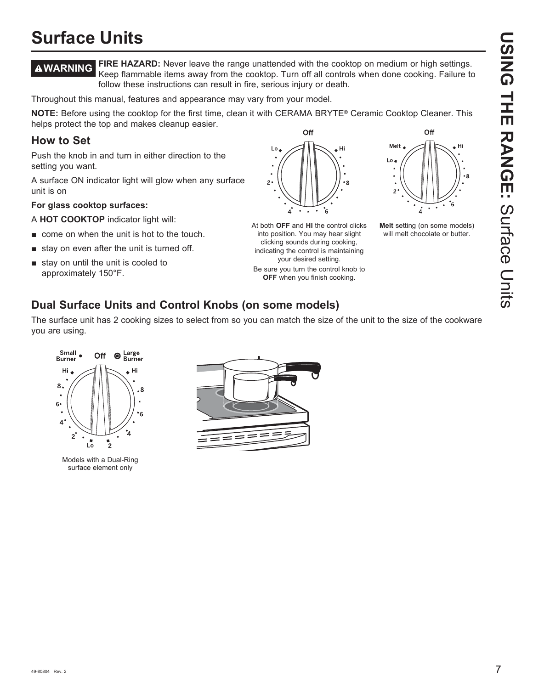# **USING THE RANGE: Surface Units USING THE RANGE:**Surface Units

## **Surface Units**

**WARNING FIRE HAZARD:** Never leave the range unattended with the cooktop on medium or high settings. Keep flammable items away from the cooktop. Turn off all controls when done cooking. Failure to follow these instructions can result in fire, serious injury or death.

Throughout this manual, features and appearance may vary from your model.

**NOTE:** Before using the cooktop for the first time, clean it with CERAMA BRYTE® Ceramic Cooktop Cleaner. This helps protect the top and makes cleanup easier. Off

## **How to Set**

Push the knob in and turn in either direction to the setting you want.

A surface ON indicator light will glow when any surface unit is on

#### **For glass cooktop surfaces:**

A **HOT COOKTOP** indicator light will:

- $\blacksquare$  come on when the unit is hot to the touch.
- $\blacksquare$  stay on even after the unit is turned off.
- $\blacksquare$  stay on until the unit is cooled to approximately 150°F.



At both **OFF** and **HI** the control clicks into position. You may hear slight clicking sounds during cooking, indicating the control is maintaining your desired setting. Be sure you turn the control knob to **OFF** when you finish cooking.



Hi

**Melt** setting (on some models) will melt chocolate or butter.

## **Dual Surface Units and Control Knobs (on some models)**

The surface unit has 2 cooking sizes to select from so you can match the size of the unit to the size of the cookware you are using.



Models with a Dual-Ring surface element only

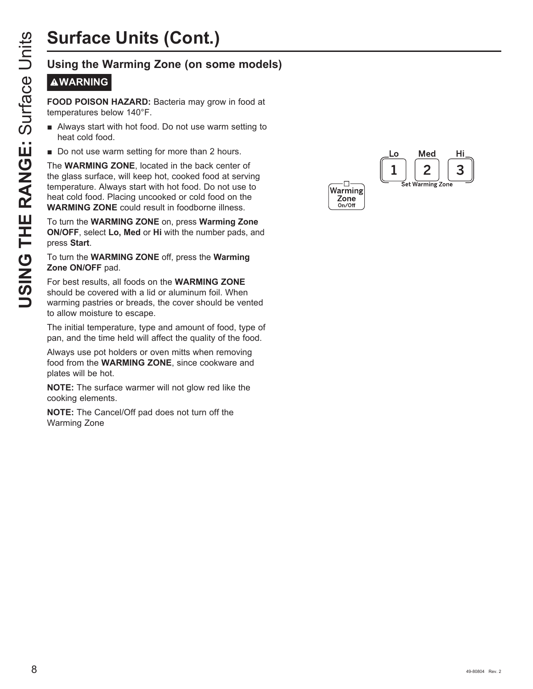# **Surface Units (Cont.)**

## **WARNING**

**FOOD POISON HAZARD:** Bacteria may grow in food at temperatures below 140°F.

- **E** Always start with hot food. Do not use warm setting to heat cold food.
- Do not use warm setting for more than 2 hours.

**USIT THE RANGE:**<br>
USING THE RANGE: Bacteria may grow in food at<br>
temperatures below 140°F.<br> **USING THE RANGE:**<br> **USING THE RANGE:**<br> **USING THE RANGE THE RANGE AND SECUTE TO DETERMANGE:**<br> **USING THE WARMING ZONE**, located The **WARMING ZONE**, located in the back center of the glass surface, will keep hot, cooked food at serving temperature. Always start with hot food. Do not use to heat cold food. Placing uncooked or cold food on the **WARMING ZONE** could result in foodborne illness.

To turn the **WARMING ZONE** on, press **Warming Zone ON/OFF**, select **Lo, Med** or **Hi** with the number pads, and press **Start**.

#### To turn the **WARMING ZONE** off, press the **Warming Zone ON/OFF** pad.

For best results, all foods on the **WARMING ZONE** should be covered with a lid or aluminum foil. When warming pastries or breads, the cover should be vented to allow moisture to escape.

The initial temperature, type and amount of food, type of pan, and the time held will affect the quality of the food.

Always use pot holders or oven mitts when removing food from the **WARMING ZONE**, since cookware and plates will be hot.

**NOTE:** The surface warmer will not glow red like the cooking elements.

**NOTE:** The Cancel/Off pad does not turn off the Warming Zone

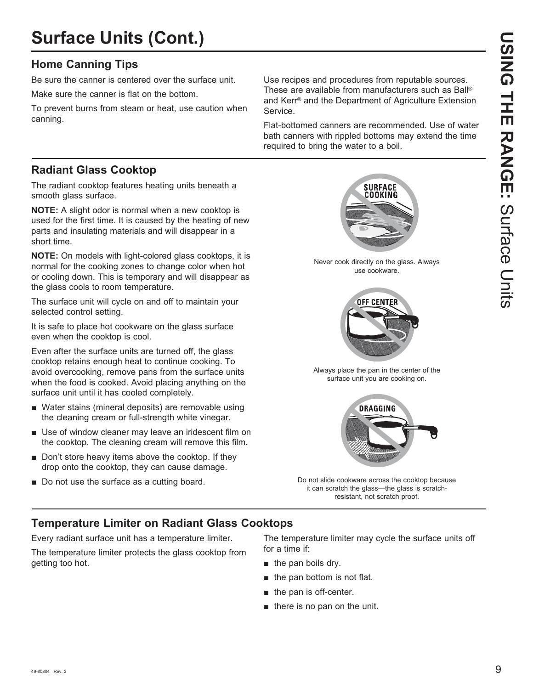## **Surface Units (Cont.)**

## **Home Canning Tips**

Be sure the canner is centered over the surface unit.

Make sure the canner is flat on the bottom.

To prevent burns from steam or heat, use caution when canning.

Use recipes and procedures from reputable sources. These are available from manufacturers such as Ball® and Kerr<sup>®</sup> and the Department of Agriculture Extension Service.

Flat-bottomed canners are recommended. Use of water bath canners with rippled bottoms may extend the time required to bring the water to a boil.

## **Radiant Glass Cooktop**

The radiant cooktop features heating units beneath a smooth glass surface.

**NOTE:** A slight odor is normal when a new cooktop is used for the first time. It is caused by the heating of new parts and insulating materials and will disappear in a short time.

**NOTE:** On models with light-colored glass cooktops, it is normal for the cooking zones to change color when hot or cooling down. This is temporary and will disappear as the glass cools to room temperature.

The surface unit will cycle on and off to maintain your selected control setting.

It is safe to place hot cookware on the glass surface even when the cooktop is cool.

Even after the surface units are turned off, the glass cooktop retains enough heat to continue cooking. To avoid overcooking, remove pans from the surface units when the food is cooked. Avoid placing anything on the surface unit until it has cooled completely.

- Water stains (mineral deposits) are removable using the cleaning cream or full-strength white vinegar.
- $\blacksquare$  Use of window cleaner may leave an iridescent film on the cooktop. The cleaning cream will remove this film.
- $\blacksquare$  Don't store heavy items above the cooktop. If they drop onto the cooktop, they can cause damage.
- Do not use the surface as a cutting board.



Never cook directly on the glass. Always use cookware.



Always place the pan in the center of the surface unit you are cooking on.



Do not slide cookware across the cooktop because it can scratch the glass-the glass is scratchresistant, not scratch proof.

## **Temperature Limiter on Radiant Glass Cooktops**

Every radiant surface unit has a temperature limiter.

The temperature limiter protects the glass cooktop from getting too hot.

The temperature limiter may cycle the surface units off for a time if:

- $\blacksquare$  the pan boils dry.
- $\blacksquare$  the pan bottom is not flat.
- $\blacksquare$  the pan is off-center.
- $\blacksquare$  there is no pan on the unit.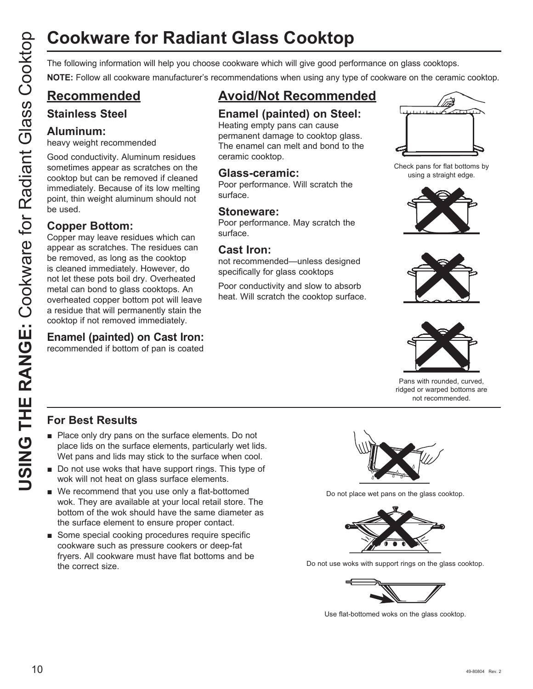# **Cookware for Radiant Glass Cooktop**

**NOTE:** Follow all cookware manufacturer's recommendations when using any type of cookware on the ceramic cooktop.

## **Recommended**

## **Stainless Steel**

## **Aluminum:**

heavy weight recommended

Good conductivity. Aluminum residues sometimes appear as scratches on the cooktop but can be removed if cleaned immediately. Because of its low melting point, thin weight aluminum should not be used.

## **Copper Bottom:**

Cookware for Radiant Glass Cooktop<br>
The following information will help you choose cookware which will give good performance on glass cookbox<br>
Convert Follow all converte membrances recommended<br>
Convert Following The comme Copper may leave residues which can appear as scratches. The residues can be removed, as long as the cooktop is cleaned immediately. However, do not let these pots boil dry. Overheated metal can bond to glass cooktops. An overheated copper bottom pot will leave a residue that will permanently stain the cooktop if not removed immediately.

## **Enamel (painted) on Cast Iron:**

recommended if bottom of pan is coated

## **Avoid/Not Recommended**

## **Enamel (painted) on Steel:**

Heating empty pans can cause permanent damage to cooktop glass. The enamel can melt and bond to the ceramic cooktop.

## **Glass-ceramic:**

Poor performance. Will scratch the surface.

## **Stoneware:**

Poor performance. May scratch the surface.

## **Cast Iron:**

not recommended—unless designed specifically for glass cooktops

Poor conductivity and slow to absorb heat. Will scratch the cooktop surface.



Check pans for flat bottoms by using a straight edge.







Pans with rounded, curved, ridged or warped bottoms are not recommended.

## **For Best Results**

- $\blacksquare$  Place only dry pans on the surface elements. Do not place lids on the surface elements, particularly wet lids. Wet pans and lids may stick to the surface when cool.
- $\blacksquare$  Do not use woks that have support rings. This type of wok will not heat on glass surface elements.
- $\blacksquare$  We recommend that you use only a flat-bottomed wok. They are available at your local retail store. The bottom of the wok should have the same diameter as the surface element to ensure proper contact.
- Some special cooking procedures require specific cookware such as pressure cookers or deep-fat fryers. All cookware must have flat bottoms and be the correct size.



Do not place wet pans on the glass cooktop.



Do not use woks with support rings on the glass cooktop.



Use flat-bottomed woks on the glass cooktop.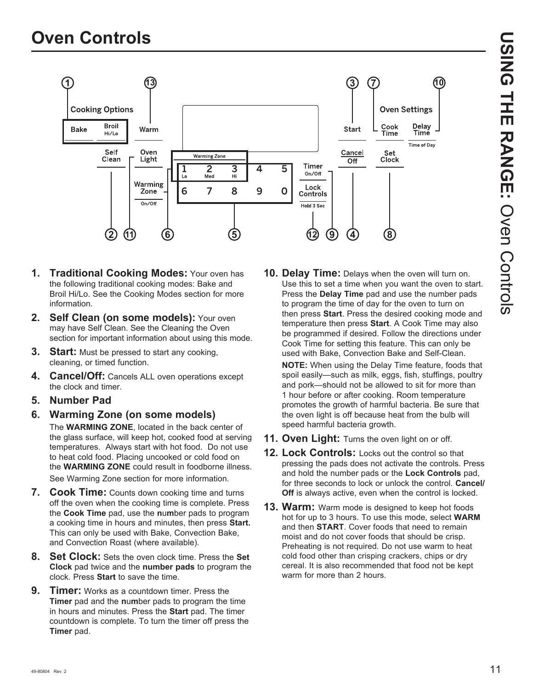

- **1. Traditional Cooking Modes:** Your oven has the following traditional cooking modes: Bake and Broil Hi/Lo. See the Cooking Modes section for more information.
- 2. Self Clean (on some models): Your oven may have Self Clean. See the Cleaning the Oven section for important information about using this mode.
- **3. Start:** Must be pressed to start any cooking, cleaning, or timed function.
- **4. Cancel/Off:** Cancels ALL oven operations except the clock and timer.
- **5. Number Pad**
- **6. Warming Zone (on some models)** The **WARMING ZONE**, located in the back center of the glass surface, will keep hot, cooked food at serving temperatures. Always start with hot food. Do not use to heat cold food. Placing uncooked or cold food on the **WARMING ZONE** could result in foodborne illness. See Warming Zone section for more information.
- **7. Cook Time:** Counts down cooking time and turns off the oven when the cooking time is complete. Press the **Cook Time** pad, use the **n**u**m**ber pads to program a cooking time in hours and minutes, then press **Start.** This can only be used with Bake, Convection Bake, and Convection Roast (where available).
- **8. Set Clock:** Sets the oven clock time. Press the **Set Clock** pad twice and the **number pads** to program the clock. Press **Start** to save the time.
- **9. Timer:** Works as a countdown timer. Press the **Timer** pad and the **n**u**m**ber pads to program the time in hours and minutes. Press the **Start** pad. The timer countdown is complete. To turn the timer off press the **Timer** pad.

**10. Delay Time:** Delays when the oven will turn on. Use this to set a time when you want the oven to start. Press the **Delay Time** pad and use the number pads to program the time of day for the oven to turn on then press **Start**. Press the desired cooking mode and temperature then press **Start**. A Cook Time may also be programmed if desired. Follow the directions under Cook Time for setting this feature. This can only be used with Bake, Convection Bake and Self-Clean.

**NOTE:** When using the Delay Time feature, foods that spoil easily-such as milk, eggs, fish, stuffings, poultry and pork—should not be allowed to sit for more than 1 hour before or after cooking. Room temperature promotes the growth of harmful bacteria. Be sure that the oven light is off because heat from the bulb will speed harmful bacteria growth.

- **11. Oven Light:** Turns the oven light on or off.
- **12. Lock Controls:** Locks out the control so that pressing the pads does not activate the controls. Press and hold the number pads or the **Lock Controls** pad, for three seconds to lock or unlock the control. **Cancel/ Off** is always active, even when the control is locked.
- **13. Warm:** Warm mode is designed to keep hot foods hot for up to 3 hours. To use this mode, select **WARM** and then **START**. Cover foods that need to remain moist and do not cover foods that should be crisp. Preheating is not required. Do not use warm to heat cold food other than crisping crackers, chips or dry cereal. It is also recommended that food not be kept warm for more than 2 hours.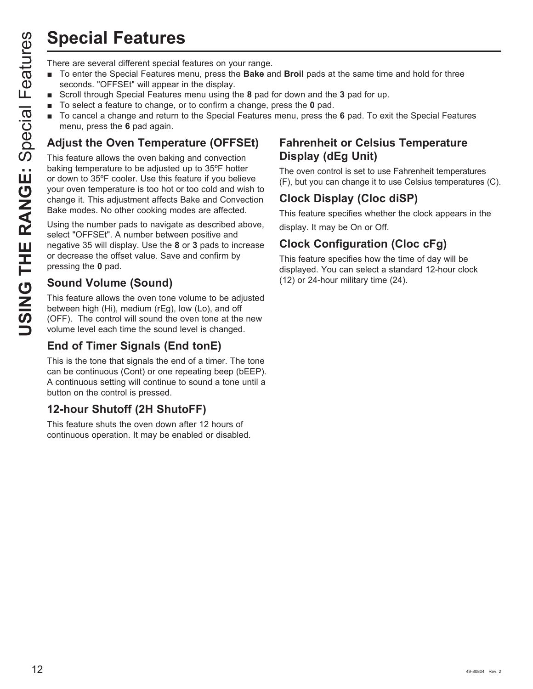## **Special Features**

- To enter the Special Features menu, press the **Bake** and **Broil** pads at the same time and hold for three seconds. "OFFSEt" will appear in the display.
- Scroll through Special Features menu using the 8 pad for down and the 3 pad for up.
- To select a feature to change, or to confirm a change, press the **0** pad.
- To cancel a change and return to the Special Features menu, press the 6 pad. To exit the Special Features menu, press the **6** pad again.

## **Adjust the Oven Temperature (OFFSEt)**

**Special Features**<br>
There are several different special features on your range.<br>
To enter the Special Features menu, press the Bake at<br>
Scroll firough Special Features menu using the 8 pad 1<br>
To select a feature to change, This feature allows the oven baking and convection baking temperature to be adjusted up to 35ºF hotter or down to 35°F cooler. Use this feature if you believe your oven temperature is too hot or too cold and wish to change it. This adjustment affects Bake and Convection Bake modes. No other cooking modes are affected.

Using the number pads to navigate as described above, select "OFFSEt". A number between positive and hegative 35 will display. Use the 8 or 3 pads to increase or decrease the offset value. Save and confirm by pressing the **0** pad.

## **Sound Volume (Sound)**

This feature allows the oven tone volume to be adjusted between high (Hi), medium (rEg), low (Lo), and off (OFF). The control will sound the oven tone at the new volume level each time the sound level is changed.

## **End of Timer Signals (End tonE)**

This is the tone that signals the end of a timer. The tone can be continuous (Cont) or one repeating beep (bEEP). A continuous setting will continue to sound a tone until a button on the control is pressed.

## **12-hour Shutoff (2H ShutoFF)**

This feature shuts the oven down after 12 hours of continuous operation. It may be enabled or disabled.

## **Fahrenheit or Celsius Temperature Display (dEg Unit)**

The oven control is set to use Fahrenheit temperatures (F), but you can change it to use Celsius temperatures (C).

## **Clock Display (Cloc diSP)**

This feature specifies whether the clock appears in the display. It may be On or Off.

## **Clock Configuration (Cloc cFg)**

This feature specifies how the time of day will be displayed. You can select a standard 12-hour clock (12) or 24-hour military time (24).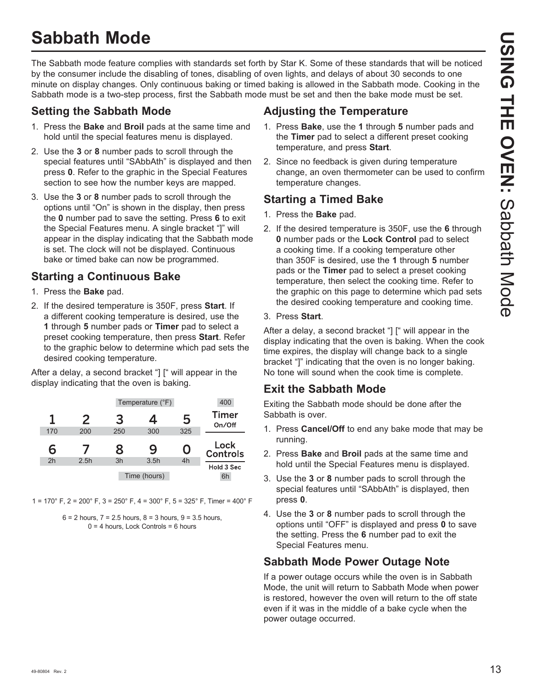## **Sabbath Mode**

The Sabbath mode feature complies with standards set forth by Star K. Some of these standards that will be noticed by the consumer include the disabling of tones, disabling of oven lights, and delays of about 30 seconds to one minute on display changes. Only continuous baking or timed baking is allowed in the Sabbath mode. Cooking in the Sabbath mode is a two-step process, first the Sabbath mode must be set and then the bake mode must be set.

## **Setting the Sabbath Mode**

- 1. Press the **Bake** and **Broil** pads at the same time and hold until the special features menu is displayed.
- 2. Use the **3** or **8** number pads to scroll through the special features until "SAbbAth" is displayed and then press **0**. Refer to the graphic in the Special Features section to see how the number keys are mapped.
- 3. Use the 3 or 8 number pads to scroll through the options until "On" is shown in the display, then press the **0** number pad to save the setting. Press **6** to exit the Special Features menu. A single bracket "]" will appear in the display indicating that the Sabbath mode is set. The clock will not be displayed. Continuous bake or timed bake can now be programmed.

## **Starting a Continuous Bake**

- 1. Press the **Bake** pad.
- 2. If the desired temperature is 350F, press **Start**. If a different cooking temperature is desired, use the **1** through **5** number pads or **Timer** pad to select a preset cooking temperature, then press **Start**. Refer to the graphic below to determine which pad sets the desired cooking temperature.

After a delay, a second bracket "] [" will appear in the display indicating that the oven is baking.

| 400                     |     | Temperature (°F) |     |      |     |
|-------------------------|-----|------------------|-----|------|-----|
| <b>Timer</b><br>On/Off  | 5   | 4                | 3   | 2    |     |
|                         | 325 | 300              | 250 | 200  | 170 |
| Lock<br><b>Controls</b> | O   | 9                | 8   |      | 6   |
|                         | 4h  | 3.5h             | 3h  | 2.5h | 2h  |
| Hold 3 Sec              |     |                  |     |      |     |

1 = 170° F, 2 = 200° F, 3 = 250° F, 4 = 300° F, 5 = 325° F, Timer = 400° F



## **Adjusting the Temperature**

- 1. Press **Bake**, use the **1** through **5** number pads and the **Timer** pad to select a different preset cooking temperature, and press **Start**.
- 2. Since no feedback is given during temperature change, an oven thermometer can be used to confirm temperature changes.

## **Starting a Timed Bake**

- 1. Press the **Bake** pad.
- 2. If the desired temperature is 350F, use the **6** through **0** number pads or the **Lock Control** pad to select a cooking time. If a cooking temperature other than 350F is desired, use the **1** through **5** number pads or the **Timer** pad to select a preset cooking temperature, then select the cooking time. Refer to the graphic on this page to determine which pad sets the desired cooking temperature and cooking time.

### 3. Press **Start**.

After a delay, a second bracket "] [" will appear in the display indicating that the oven is baking. When the cook time expires, the display will change back to a single bracket "]" indicating that the oven is no longer baking. No tone will sound when the cook time is complete.

## **Exit the Sabbath Mode**

Exiting the Sabbath mode should be done after the Sabbath is over.

- 1. Press **Cancel/Off** to end any bake mode that may be running.
- 2. Press **Bake** and **Broil** pads at the same time and hold until the Special Features menu is displayed.
- 3. Use the 3 or 8 number pads to scroll through the special features until "SAbbAth" is displayed, then press **0**.
- 4. Use the 3 or 8 number pads to scroll through the options until "OFF" is displayed and press **0** to save the setting. Press the **6** number pad to exit the Special Features menu.

## **Sabbath Mode Power Outage Note**

If a power outage occurs while the oven is in Sabbath Mode, the unit will return to Sabbath Mode when power is restored, however the oven will return to the off state even if it was in the middle of a bake cycle when the power outage occurred.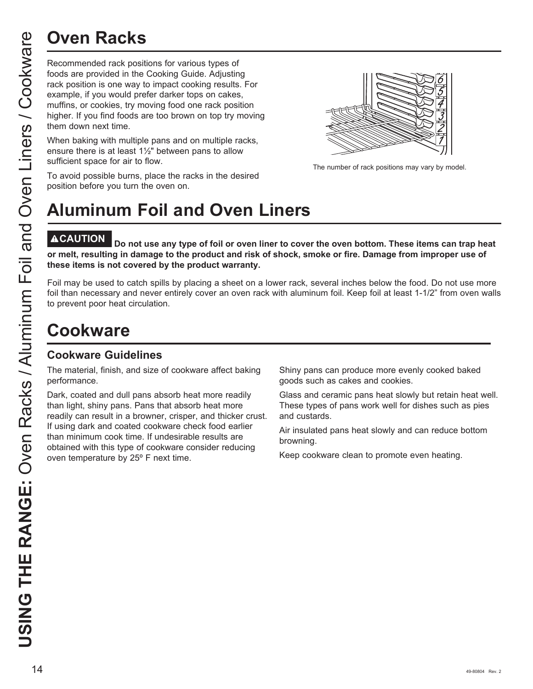Recommended rack positions for various types of foods are provided in the Cooking Guide. Adjusting rack position is one way to impact cooking results. For example, if you would prefer darker tops on cakes, muffins, or cookies, try moving food one rack position higher. If you find foods are too brown on top try moving them down next time.

When baking with multiple pans and on multiple racks, ensure there is at least 1½" between pans to allow sufficient space for air to flow.

The number of rack positions may vary by model.

#### To avoid possible burns, place the racks in the desired position before you turn the oven on.

# **Aluminum Foil and Oven Liners**

Do not use any type of foil or oven liner to cover the oven bottom. These items can trap heat **or melt, resulting in damage to the product and risk of shock, smoke or fire. Damage from improper use of these items is not covered by the product warranty.** 

Foil may be used to catch spills by placing a sheet on a lower rack, several inches below the food. Do not use more foil than necessary and never entirely cover an oven rack with aluminum foil. Keep foil at least 1-1/2" from oven walls to prevent poor heat circulation.

## **Cookware**

## **Cookware Guidelines**

The material, finish, and size of cookware affect baking performance.

Dark, coated and dull pans absorb heat more readily than light, shiny pans. Pans that absorb heat more readily can result in a browner, crisper, and thicker crust. If using dark and coated cookware check food earlier than minimum cook time. If undesirable results are obtained with this type of cookware consider reducing oven temperature by 25º F next time.

Shiny pans can produce more evenly cooked baked goods such as cakes and cookies.

Glass and ceramic pans heat slowly but retain heat well. These types of pans work well for dishes such as pies and custards.

Air insulated pans heat slowly and can reduce bottom browning.

Keep cookware clean to promote even heating.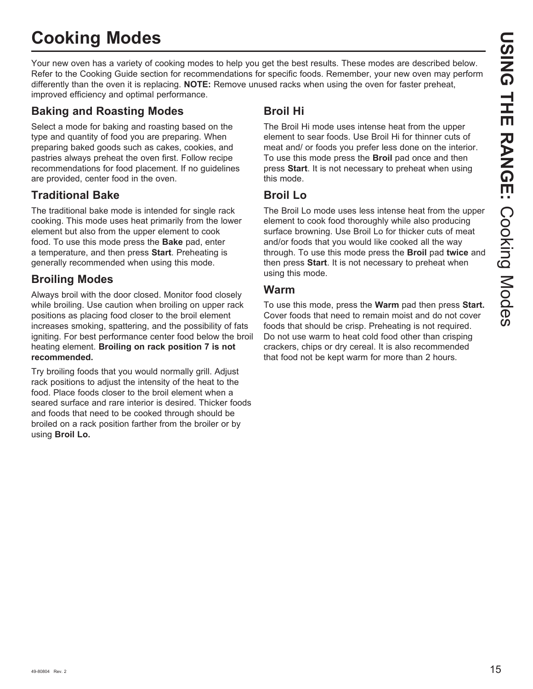## **Cooking Modes**

Your new oven has a variety of cooking modes to help you get the best results. These modes are described below. Refer to the Cooking Guide section for recommendations for specific foods. Remember, your new oven may perform differently than the oven it is replacing. **NOTE:** Remove unused racks when using the oven for faster preheat, improved efficiency and optimal performance.

## **Baking and Roasting Modes**

Select a mode for baking and roasting based on the type and quantity of food you are preparing. When preparing baked goods such as cakes, cookies, and pastries always preheat the oven first. Follow recipe recommendations for food placement. If no guidelines are provided, center food in the oven.

## **Traditional Bake**

The traditional bake mode is intended for single rack cooking. This mode uses heat primarily from the lower element but also from the upper element to cook food. To use this mode press the **Bake** pad, enter a temperature, and then press **Start**. Preheating is generally recommended when using this mode.

## **Broiling Modes**

Always broil with the door closed. Monitor food closely while broiling. Use caution when broiling on upper rack positions as placing food closer to the broil element increases smoking, spattering, and the possibility of fats igniting. For best performance center food below the broil heating element. **Broiling on rack position 7 is not recommended.**

Try broiling foods that you would normally grill. Adjust rack positions to adjust the intensity of the heat to the food. Place foods closer to the broil element when a seared surface and rare interior is desired. Thicker foods and foods that need to be cooked through should be broiled on a rack position farther from the broiler or by using **Broil Lo.**

## **Broil Hi**

The Broil Hi mode uses intense heat from the upper element to sear foods. Use Broil Hi for thinner cuts of meat and/ or foods you prefer less done on the interior. To use this mode press the **Broil** pad once and then press **Start**. It is not necessary to preheat when using this mode.

## **Broil Lo**

The Broil Lo mode uses less intense heat from the upper element to cook food thoroughly while also producing surface browning. Use Broil Lo for thicker cuts of meat and/or foods that you would like cooked all the way through. To use this mode press the **Broil** pad **twice** and then press **Start**. It is not necessary to preheat when using this mode.

## **Warm**

To use this mode, press the **Warm** pad then press **Start.** Cover foods that need to remain moist and do not cover foods that should be crisp. Preheating is not required. Do not use warm to heat cold food other than crisping crackers, chips or dry cereal. It is also recommended that food not be kept warm for more than 2 hours.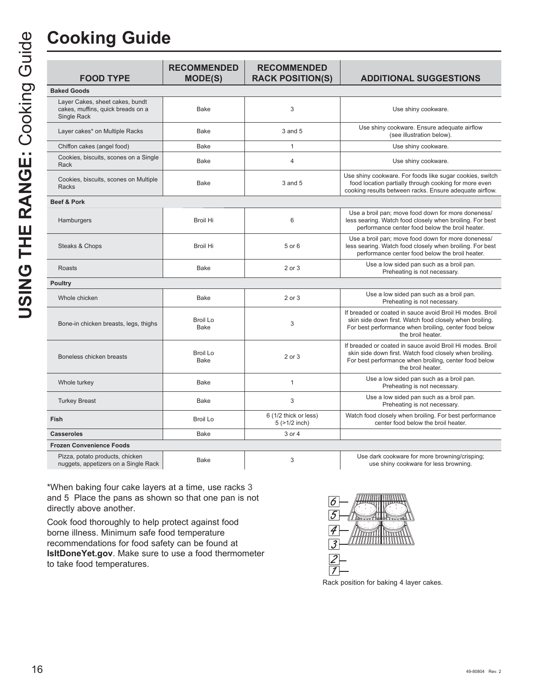| <b>FOOD TYPE</b>                                                                           | <b>RECOMMENDED</b><br><b>MODE(S)</b> | <b>RECOMMENDED</b><br><b>RACK POSITION(S)</b> | <b>ADDITIONAL SUGGESTIONS</b>                                                                                                                                                                      |
|--------------------------------------------------------------------------------------------|--------------------------------------|-----------------------------------------------|----------------------------------------------------------------------------------------------------------------------------------------------------------------------------------------------------|
| <b>Baked Goods</b>                                                                         |                                      |                                               |                                                                                                                                                                                                    |
| Layer Cakes, sheet cakes, bundt<br>cakes, muffins, quick breads on a<br><b>Single Rack</b> | Bake                                 | 3                                             | Use shiny cookware.                                                                                                                                                                                |
| Layer cakes* on Multiple Racks                                                             | <b>Bake</b>                          | 3 and 5                                       | Use shiny cookware. Ensure adequate airflow<br>(see illustration below).                                                                                                                           |
| Chiffon cakes (angel food)                                                                 | Bake                                 | $\mathbf{1}$                                  | Use shiny cookware.                                                                                                                                                                                |
| Cookies, biscuits, scones on a Single<br>Rack                                              | Bake                                 | $\overline{4}$                                | Use shiny cookware.                                                                                                                                                                                |
| Cookies, biscuits, scones on Multiple<br>Racks                                             | Bake                                 | 3 and 5                                       | Use shiny cookware. For foods like sugar cookies, switch<br>food location partially through cooking for more even<br>cooking results between racks. Ensure adequate airflow.                       |
| <b>Beef &amp; Pork</b>                                                                     |                                      |                                               |                                                                                                                                                                                                    |
| Hamburgers                                                                                 | <b>Broil Hi</b>                      | 6                                             | Use a broil pan; move food down for more doneness/<br>less searing. Watch food closely when broiling. For best<br>performance center food below the broil heater.                                  |
| Steaks & Chops                                                                             | <b>Broil Hi</b>                      | 5 or 6                                        | Use a broil pan; move food down for more doneness/<br>less searing. Watch food closely when broiling. For best<br>performance center food below the broil heater.                                  |
| Roasts                                                                                     | Bake                                 | 2 or 3                                        | Use a low sided pan such as a broil pan.<br>Preheating is not necessary.                                                                                                                           |
| <b>Poultry</b>                                                                             |                                      |                                               |                                                                                                                                                                                                    |
| Whole chicken                                                                              | <b>Bake</b>                          | 2 or 3                                        | Use a low sided pan such as a broil pan.<br>Preheating is not necessary.                                                                                                                           |
| Bone-in chicken breasts, legs, thighs                                                      | Broil Lo<br><b>Bake</b>              | 3                                             | If breaded or coated in sauce avoid Broil Hi modes. Broil<br>skin side down first. Watch food closely when broiling.<br>For best performance when broiling, center food below<br>the broil heater. |
| Boneless chicken breasts                                                                   | <b>Broil Lo</b><br>Bake              | 2 or 3                                        | If breaded or coated in sauce avoid Broil Hi modes. Broil<br>skin side down first. Watch food closely when broiling.<br>For best performance when broiling, center food below<br>the broil heater. |
| Whole turkey                                                                               | <b>Bake</b>                          | $\mathbf{1}$                                  | Use a low sided pan such as a broil pan.<br>Preheating is not necessary.                                                                                                                           |
| <b>Turkey Breast</b>                                                                       | Bake                                 | 3                                             | Use a low sided pan such as a broil pan.<br>Preheating is not necessary.                                                                                                                           |
| Fish                                                                                       | Broil Lo                             | 6 (1/2 thick or less)<br>$5$ ( $>1/2$ inch)   | Watch food closely when broiling. For best performance<br>center food below the broil heater.                                                                                                      |
| <b>Casseroles</b>                                                                          | Bake                                 | 3 or 4                                        |                                                                                                                                                                                                    |

Pizza, potato products, chicken

nuggets, appetizers on a Single Rack Bake 3 8VHGDUNFRRNZDUHIRUPRUHEURZQLQJFULVSLQJ use shiny cookware for less browning.

\*When baking four cake layers at a time, use racks 3 and 5. Place the pans as shown so that one pan is not directly above another.

Cook food thoroughly to help protect against food borne illness. Minimum safe food temperature recommendations for food safety can be found at **IsItDoneYet.gov**. Make sure to use a food thermometer to take food temperatures.

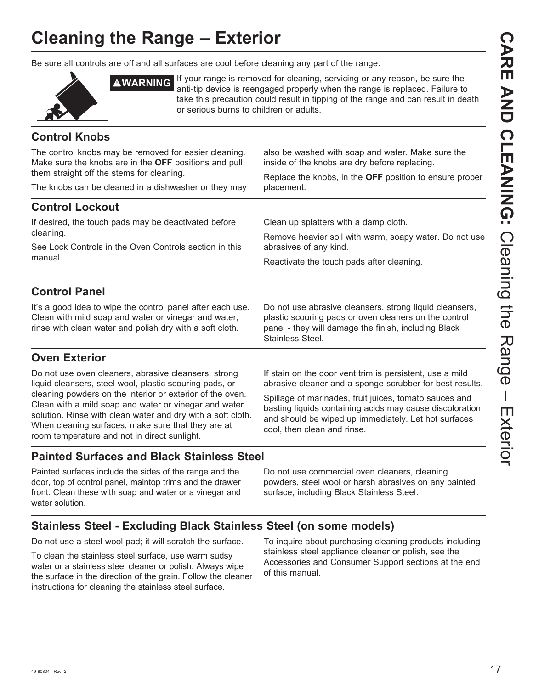## **Cleaning the Range – Exterior**

Be sure all controls are off and all surfaces are cool before cleaning any part of the range.



**AWARNING** If your range is removed for cleaning, servicing or any reason, be sure the anti-tip device is reengaged properly when the range is replaced. Failure to take this precaution could result in tipping of the range and can result in death or serious burns to children or adults.

## **Control Knobs**

The control knobs may be removed for easier cleaning. Make sure the knobs are in the **OFF** positions and pull them straight off the stems for cleaning. The knobs can be cleaned in a dishwasher or they may also be washed with soap and water. Make sure the inside of the knobs are dry before replacing. Replace the knobs, in the **OFF** position to ensure proper placement. **Control Lockout** If desired, the touch pads may be deactivated before cleaning. See Lock Controls in the Oven Controls section in this manual. Clean up splatters with a damp cloth. Remove heavier soil with warm, soapy water. Do not use abrasives of any kind. Reactivate the touch pads after cleaning. **Control Panel** It's a good idea to wipe the control panel after each use. Clean with mild soap and water or vinegar and water, Do not use abrasive cleansers, strong liquid cleansers, plastic scouring pads or oven cleaners on the control

## **Oven Exterior**

Do not use oven cleaners, abrasive cleansers, strong liquid cleansers, steel wool, plastic scouring pads, or cleaning powders on the interior or exterior of the oven. Clean with a mild soap and water or vinegar and water solution. Rinse with clean water and dry with a soft cloth. When cleaning surfaces, make sure that they are at room temperature and not in direct sunlight.

rinse with clean water and polish dry with a soft cloth.

Stainless Steel.

panel - they will damage the finish, including Black

If stain on the door vent trim is persistent, use a mild abrasive cleaner and a sponge-scrubber for best results.

Spillage of marinades, fruit juices, tomato sauces and basting liquids containing acids may cause discoloration and should be wiped up immediately. Let hot surfaces cool, then clean and rinse.

## **Painted Surfaces and Black Stainless Steel**

Painted surfaces include the sides of the range and the door, top of control panel, maintop trims and the drawer front. Clean these with soap and water or a vinegar and water solution.

Do not use commercial oven cleaners, cleaning powders, steel wool or harsh abrasives on any painted surface, including Black Stainless Steel.

## **Stainless Steel - Excluding Black Stainless Steel (on some models)**

Do not use a steel wool pad; it will scratch the surface.

To clean the stainless steel surface, use warm sudsy water or a stainless steel cleaner or polish. Always wipe the surface in the direction of the grain. Follow the cleaner instructions for cleaning the stainless steel surface.

To inquire about purchasing cleaning products including stainless steel appliance cleaner or polish, see the Accessories and Consumer Support sections at the end of this manual.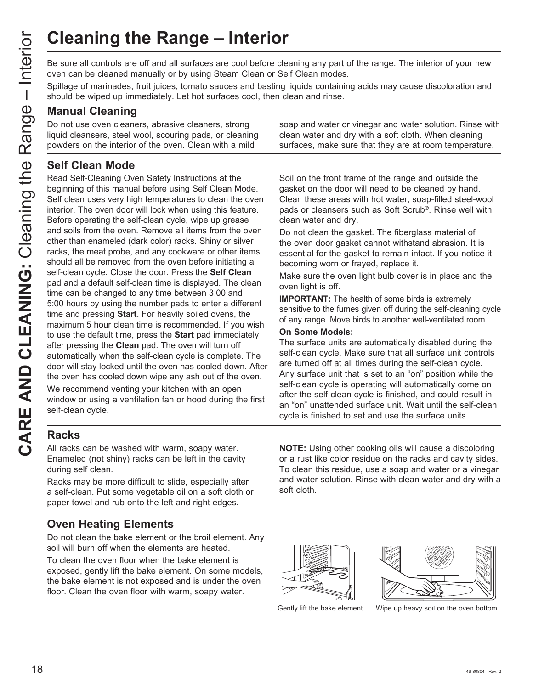Be sure all controls are off and all surfaces are cool before cleaning any part of the range. The interior of your new oven can be cleaned manually or by using Steam Clean or Self Clean modes.

Spillage of marinades, fruit juices, tomato sauces and basting liquids containing acids may cause discoloration and should be wiped up immediately. Let hot surfaces cool, then clean and rinse.

## **Manual Cleaning**

Do not use oven cleaners, abrasive cleaners, strong liquid cleansers, steel wool, scouring pads, or cleaning powders on the interior of the oven. Clean with a mild

## **Self Clean Mode**

Read Self-Cleaning Oven Safety Instructions at the beginning of this manual before using Self Clean Mode. Self clean uses very high temperatures to clean the oven interior. The oven door will lock when using this feature. Before operating the self-clean cycle, wipe up grease and soils from the oven. Remove all items from the oven other than enameled (dark color) racks. Shiny or silver racks, the meat probe, and any cookware or other items should all be removed from the oven before initiating a self-clean cycle. Close the door. Press the **Self Clean** pad and a default self-clean time is displayed. The clean time can be changed to any time between 3:00 and 5:00 hours by using the number pads to enter a different time and pressing **Start**. For heavily soiled ovens, the maximum 5 hour clean time is recommended. If you wish to use the default time, press the **Start** pad immediately after pressing the **Clean** pad. The oven will turn off automatically when the self-clean cycle is complete. The door will stay locked until the oven has cooled down. After the oven has cooled down wipe any ash out of the oven.

We recommend venting your kitchen with an open window or using a ventilation fan or hood during the first self-clean cycle.

soap and water or vinegar and water solution. Rinse with clean water and dry with a soft cloth. When cleaning surfaces, make sure that they are at room temperature.

Soil on the front frame of the range and outside the gasket on the door will need to be cleaned by hand. Clean these areas with hot water, soap-filled steel-wool pads or cleansers such as Soft Scrub®. Rinse well with clean water and dry.

Do not clean the gasket. The fiberglass material of the oven door gasket cannot withstand abrasion. It is essential for the gasket to remain intact. If you notice it becoming worn or frayed, replace it.

Make sure the oven light bulb cover is in place and the oven light is off.

**IMPORTANT:** The health of some birds is extremely sensitive to the fumes given off during the self-cleaning cycle of any range. Move birds to another well-ventilated room.

#### **On Some Models:**

The surface units are automatically disabled during the self-clean cycle. Make sure that all surface unit controls are turned off at all times during the self-clean cycle. Any surface unit that is set to an "on" position while the self-clean cycle is operating will automatically come on after the self-clean cycle is finished, and could result in an "on" unattended surface unit. Wait until the self-clean cycle is finished to set and use the surface units.

## **Racks**

All racks can be washed with warm, soapy water. Enameled (not shiny) racks can be left in the cavity during self clean.

Racks may be more difficult to slide, especially after a self-clean. Put some vegetable oil on a soft cloth or paper towel and rub onto the left and right edges.

## **Oven Heating Elements**

Do not clean the bake element or the broil element. Any soil will burn off when the elements are heated.

To clean the oven floor when the bake element is exposed, gently lift the bake element. On some models, the bake element is not exposed and is under the oven floor. Clean the oven floor with warm, soapy water.

**NOTE:** Using other cooking oils will cause a discoloring or a rust like color residue on the racks and cavity sides. To clean this residue, use a soap and water or a vinegar and water solution. Rinse with clean water and dry with a soft cloth.





Gently lift the bake element Wipe up heavy soil on the oven bottom.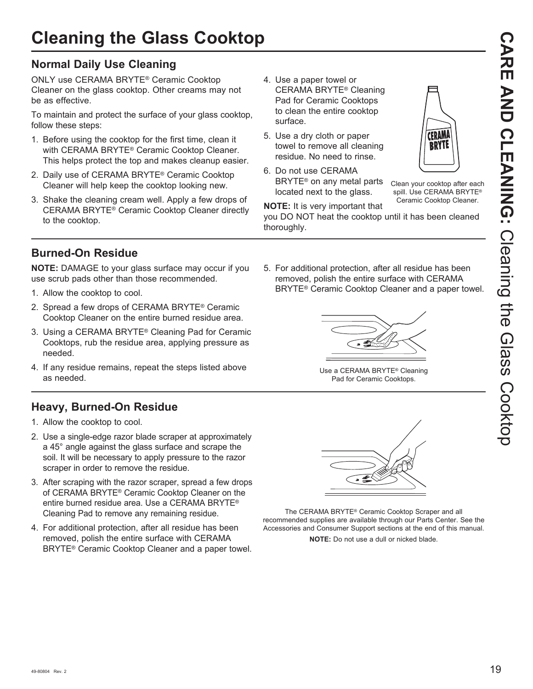## **Normal Daily Use Cleaning**

ONLY use CERAMA BRYTE® Ceramic Cooktop Cleaner on the glass cooktop. Other creams may not be as effective.

To maintain and protect the surface of your glass cooktop, follow these steps:

- 1. Before using the cooktop for the first time, clean it with CERAMA BRYTE® Ceramic Cooktop Cleaner. This helps protect the top and makes cleanup easier.
- 2. Daily use of CERAMA BRYTE® Ceramic Cooktop Cleaner will help keep the cooktop looking new.
- 3. Shake the cleaning cream well. Apply a few drops of CERAMA BRYTE® Ceramic Cooktop Cleaner directly to the cooktop.
- 4. Use a paper towel or CERAMA BRYTE® Cleaning Pad for Ceramic Cooktops to clean the entire cooktop surface.
- 5. Use a dry cloth or paper towel to remove all cleaning residue. No need to rinse.
- 6. Do not use CERAMA BRYTE® on any metal parts located next to the glass.



Clean your cooktop after each spill. Use CERAMA BRYTE® Ceramic Cooktop Cleaner.

**NOTE:** It is very important that you DO NOT heat the cooktop until it has been cleaned thoroughly.

## **Burned-On Residue**

**NOTE:** DAMAGE to your glass surface may occur if you use scrub pads other than those recommended.

- 1. Allow the cooktop to cool.
- 2. Spread a few drops of CERAMA BRYTE® Ceramic Cooktop Cleaner on the entire burned residue area.
- 3. Using a CERAMA BRYTE<sup>®</sup> Cleaning Pad for Ceramic Cooktops, rub the residue area, applying pressure as needed.
- 4. If any residue remains, repeat the steps listed above as needed.

## **Heavy, Burned-On Residue**

- 1. Allow the cooktop to cool.
- 2. Use a single-edge razor blade scraper at approximately a 45° angle against the glass surface and scrape the soil. It will be necessary to apply pressure to the razor scraper in order to remove the residue.
- 3. After scraping with the razor scraper, spread a few drops of CERAMA BRYTE® Ceramic Cooktop Cleaner on the entire burned residue area. Use a CERAMA BRYTE® Cleaning Pad to remove any remaining residue.
- 4. For additional protection, after all residue has been removed, polish the entire surface with CERAMA BRYTE® Ceramic Cooktop Cleaner and a paper towel.

5. For additional protection, after all residue has been removed, polish the entire surface with CERAMA BRYTE® Ceramic Cooktop Cleaner and a paper towel.



Use a CERAMA BRYTE® Cleaning Pad for Ceramic Cooktops.



The CERAMA BRYTE® Ceramic Cooktop Scraper and all recommended supplies are available through our Parts Center. See the Accessories and Consumer Support sections at the end of this manual.

**NOTE:** Do not use a dull or nicked blade.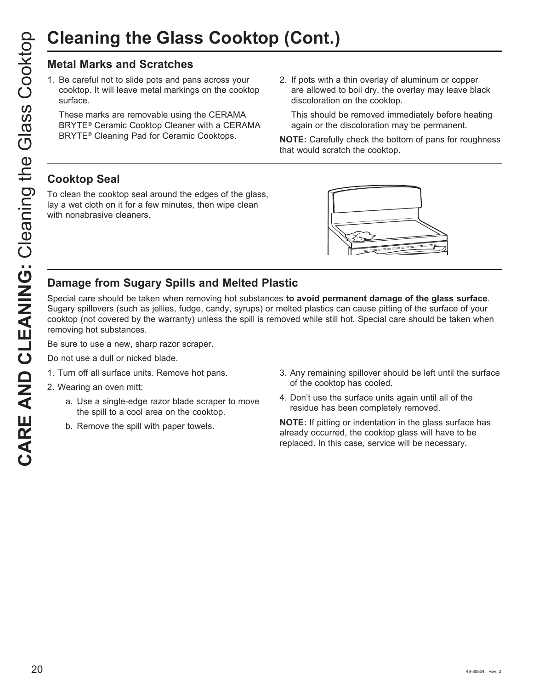## **Metal Marks and Scratches**

1. Be careful not to slide pots and pans across your cooktop. It will leave metal markings on the cooktop surface.

 These marks are removable using the CERAMA BRYTE® Ceramic Cooktop Cleaner with a CERAMA BRYTE® Cleaning Pad for Ceramic Cooktops.

2. If pots with a thin overlay of aluminum or copper are allowed to boil dry, the overlay may leave black discoloration on the cooktop.

 This should be removed immediately before heating again or the discoloration may be permanent.

**NOTE:** Carefully check the bottom of pans for roughness that would scratch the cooktop.

## **Cooktop Seal**

To clean the cooktop seal around the edges of the glass, lay a wet cloth on it for a few minutes, then wipe clean with nonabrasive cleaners.



## **Damage from Sugary Spills and Melted Plastic**

Special care should be taken when removing hot substances **to avoid permanent damage of the glass surface**. Sugary spillovers (such as jellies, fudge, candy, syrups) or melted plastics can cause pitting of the surface of your cooktop (not covered by the warranty) unless the spill is removed while still hot. Special care should be taken when removing hot substances.

Be sure to use a new, sharp razor scraper.

- Do not use a dull or nicked blade.
- 1. Turn off all surface units. Remove hot pans.
- 2. Wearing an oven mitt:
	- a. Use a single-edge razor blade scraper to move the spill to a cool area on the cooktop.
	- b. Remove the spill with paper towels.
- 3. Any remaining spillover should be left until the surface of the cooktop has cooled.
- 4. Don't use the surface units again until all of the residue has been completely removed.

**NOTE:** If pitting or indentation in the glass surface has already occurred, the cooktop glass will have to be replaced. In this case, service will be necessary.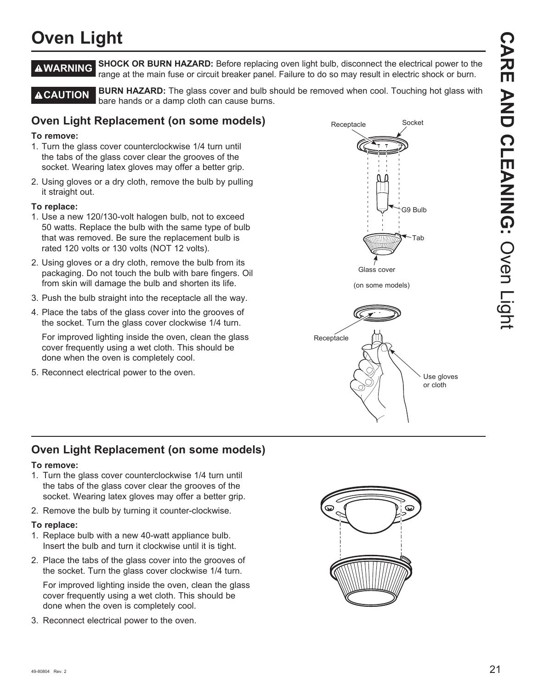## **Oven Light**

**A WARNING** SHOCK OR BURN HAZARD: Before replacing oven light bulb, disconnect the electrical power to the range at the main fuse or circuit breaker panel. Failure to do so may result in electric shock or burn.

**A CAUTION** BURN HAZARD: The glass cover and bulb should be removed when cool. Touching hot glass with bare hands or a damp cloth can cause burns.

## **Oven Light Replacement (on some models)**

#### **To remove:**

- 1. Turn the glass cover counterclockwise 1/4 turn until the tabs of the glass cover clear the grooves of the socket. Wearing latex gloves may offer a better grip.
- 2. Using gloves or a dry cloth, remove the bulb by pulling it straight out.

#### **To replace:**

- 1. Use a new 120/130-volt halogen bulb, not to exceed 50 watts. Replace the bulb with the same type of bulb that was removed. Be sure the replacement bulb is rated 120 volts or 130 volts (NOT 12 volts).
- 2. Using gloves or a dry cloth, remove the bulb from its packaging. Do not touch the bulb with bare fingers. Oil from skin will damage the bulb and shorten its life.
- 3. Push the bulb straight into the receptacle all the way.
- 4. Place the tabs of the glass cover into the grooves of the socket. Turn the glass cover clockwise 1/4 turn.

 For improved lighting inside the oven, clean the glass cover frequently using a wet cloth. This should be done when the oven is completely cool.

5. Reconnect electrical power to the oven.



## **Oven Light Replacement (on some models)**

#### **To remove:**

- 1. Turn the glass cover counterclockwise 1/4 turn until the tabs of the glass cover clear the grooves of the socket. Wearing latex gloves may offer a better grip.
- 2. Remove the bulb by turning it counter-clockwise.

#### **To replace:**

- 1. Replace bulb with a new 40-watt appliance bulb. Insert the bulb and turn it clockwise until it is tight.
- 2. Place the tabs of the glass cover into the grooves of the socket. Turn the glass cover clockwise 1/4 turn.

 For improved lighting inside the oven, clean the glass cover frequently using a wet cloth. This should be done when the oven is completely cool.

3. Reconnect electrical power to the oven.

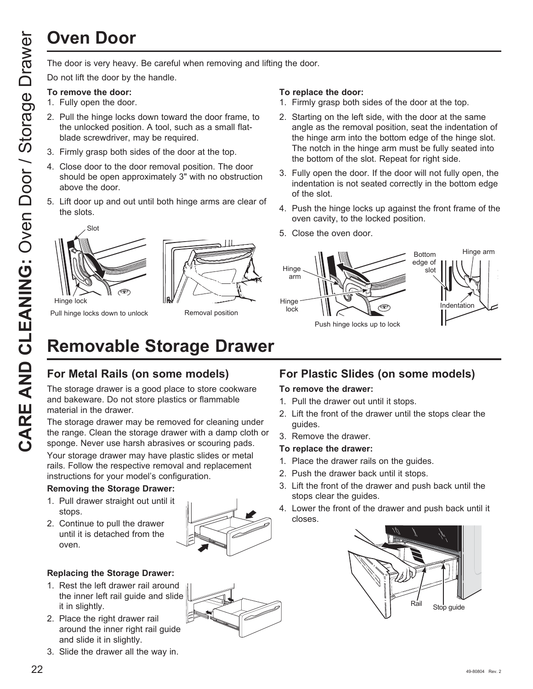# **Oven Door**

Do not lift the door by the handle.

#### **To remove the door:**

- 1. Fully open the door.
- 2. Pull the hinge locks down toward the door frame, to the unlocked position. A tool, such as a small flatblade screwdriver, may be required.
- 3. Firmly grasp both sides of the door at the top.
- 4. Close door to the door removal position. The door should be open approximately 3" with no obstruction above the door.
- 5. Lift door up and out until both hinge arms are clear of the slots.





Pull hinge locks down to unlock

Removal position

#### **To replace the door:**

- 1. Firmly grasp both sides of the door at the top.
- 2. Starting on the left side, with the door at the same angle as the removal position, seat the indentation of the hinge arm into the bottom edge of the hinge slot. The notch in the hinge arm must be fully seated into the bottom of the slot. Repeat for right side.
- 3. Fully open the door. If the door will not fully open, the indentation is not seated correctly in the bottom edge of the slot.
- 4. Push the hinge locks up against the front frame of the oven cavity, to the locked position.
- 5. Close the oven door.



## **Removable Storage Drawer**

## **For Metal Rails (on some models)**

The storage drawer is a good place to store cookware and bakeware. Do not store plastics or flammable material in the drawer.

The storage drawer may be removed for cleaning under the range. Clean the storage drawer with a damp cloth or sponge. Never use harsh abrasives or scouring pads.

Your storage drawer may have plastic slides or metal rails. Follow the respective removal and replacement instructions for your model's configuration.

### **Removing the Storage Drawer:**

- 1. Pull drawer straight out until it stops.
- 2. Continue to pull the drawer until it is detached from the oven.



## **Replacing the Storage Drawer:**

- 1. Rest the left drawer rail around the inner left rail guide and slide it in slightly.
- 2. Place the right drawer rail around the inner right rail guide and slide it in slightly.
- 3. Slide the drawer all the way in.

## **For Plastic Slides (on some models)**

#### **To remove the drawer:**

- 1. Pull the drawer out until it stops.
- 2. Lift the front of the drawer until the stops clear the guides.
- 3. Remove the drawer.

#### **To replace the drawer:**

- 1. Place the drawer rails on the guides.
- 2. Push the drawer back until it stops.
- 3. Lift the front of the drawer and push back until the stops clear the guides.
- 4. Lower the front of the drawer and push back until it closes.

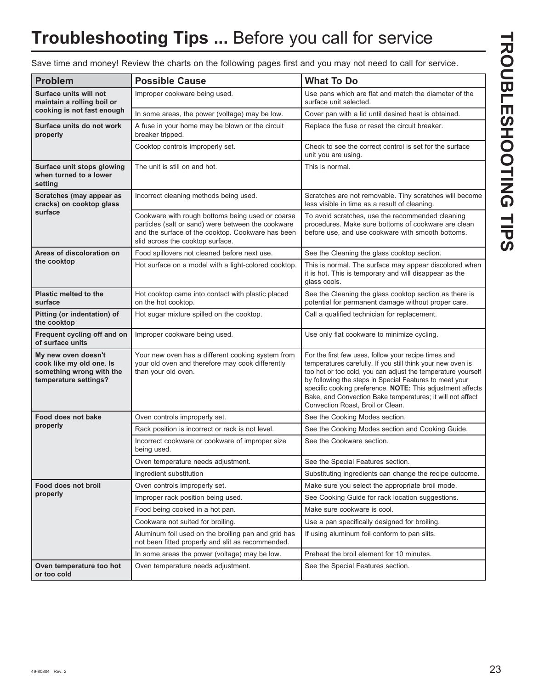## **Troubleshooting Tips ...** Before you call for service

Save time and money! Review the charts on the following pages first and you may not need to call for service.

| <b>Problem</b>                                                                                       | <b>Possible Cause</b>                                                                                                                                                                           | <b>What To Do</b>                                                                                                                                                                                                                                                                                                                                                                                               |
|------------------------------------------------------------------------------------------------------|-------------------------------------------------------------------------------------------------------------------------------------------------------------------------------------------------|-----------------------------------------------------------------------------------------------------------------------------------------------------------------------------------------------------------------------------------------------------------------------------------------------------------------------------------------------------------------------------------------------------------------|
| Surface units will not<br>maintain a rolling boil or                                                 | Improper cookware being used.                                                                                                                                                                   | Use pans which are flat and match the diameter of the<br>surface unit selected.                                                                                                                                                                                                                                                                                                                                 |
| cooking is not fast enough                                                                           | In some areas, the power (voltage) may be low.                                                                                                                                                  | Cover pan with a lid until desired heat is obtained.                                                                                                                                                                                                                                                                                                                                                            |
| Surface units do not work<br>properly                                                                | A fuse in your home may be blown or the circuit<br>breaker tripped.                                                                                                                             | Replace the fuse or reset the circuit breaker.                                                                                                                                                                                                                                                                                                                                                                  |
|                                                                                                      | Cooktop controls improperly set.                                                                                                                                                                | Check to see the correct control is set for the surface<br>unit you are using.                                                                                                                                                                                                                                                                                                                                  |
| Surface unit stops glowing<br>when turned to a lower<br>setting                                      | The unit is still on and hot.                                                                                                                                                                   | This is normal.                                                                                                                                                                                                                                                                                                                                                                                                 |
| Scratches (may appear as<br>cracks) on cooktop glass                                                 | Incorrect cleaning methods being used.                                                                                                                                                          | Scratches are not removable. Tiny scratches will become<br>less visible in time as a result of cleaning.                                                                                                                                                                                                                                                                                                        |
| surface                                                                                              | Cookware with rough bottoms being used or coarse<br>particles (salt or sand) were between the cookware<br>and the surface of the cooktop. Cookware has been<br>slid across the cooktop surface. | To avoid scratches, use the recommended cleaning<br>procedures. Make sure bottoms of cookware are clean<br>before use, and use cookware with smooth bottoms.                                                                                                                                                                                                                                                    |
| Areas of discoloration on                                                                            | Food spillovers not cleaned before next use.                                                                                                                                                    | See the Cleaning the glass cooktop section.                                                                                                                                                                                                                                                                                                                                                                     |
| the cooktop                                                                                          | Hot surface on a model with a light-colored cooktop.                                                                                                                                            | This is normal. The surface may appear discolored when<br>it is hot. This is temporary and will disappear as the<br>glass cools.                                                                                                                                                                                                                                                                                |
| <b>Plastic melted to the</b><br>surface                                                              | Hot cooktop came into contact with plastic placed<br>on the hot cooktop.                                                                                                                        | See the Cleaning the glass cooktop section as there is<br>potential for permanent damage without proper care.                                                                                                                                                                                                                                                                                                   |
| Pitting (or indentation) of<br>the cooktop                                                           | Hot sugar mixture spilled on the cooktop.                                                                                                                                                       | Call a qualified technician for replacement.                                                                                                                                                                                                                                                                                                                                                                    |
| Frequent cycling off and on<br>of surface units                                                      | Improper cookware being used.                                                                                                                                                                   | Use only flat cookware to minimize cycling.                                                                                                                                                                                                                                                                                                                                                                     |
| My new oven doesn't<br>cook like my old one. Is<br>something wrong with the<br>temperature settings? | Your new oven has a different cooking system from<br>your old oven and therefore may cook differently<br>than your old oven.                                                                    | For the first few uses, follow your recipe times and<br>temperatures carefully. If you still think your new oven is<br>too hot or too cold, you can adjust the temperature yourself<br>by following the steps in Special Features to meet your<br>specific cooking preference. NOTE: This adjustment affects<br>Bake, and Convection Bake temperatures; it will not affect<br>Convection Roast, Broil or Clean. |
| Food does not bake                                                                                   | Oven controls improperly set.                                                                                                                                                                   | See the Cooking Modes section.                                                                                                                                                                                                                                                                                                                                                                                  |
| properly                                                                                             | Rack position is incorrect or rack is not level.                                                                                                                                                | See the Cooking Modes section and Cooking Guide.                                                                                                                                                                                                                                                                                                                                                                |
|                                                                                                      | Incorrect cookware or cookware of improper size<br>being used.                                                                                                                                  | See the Cookware section.                                                                                                                                                                                                                                                                                                                                                                                       |
|                                                                                                      | Oven temperature needs adjustment.                                                                                                                                                              | See the Special Features section.                                                                                                                                                                                                                                                                                                                                                                               |
|                                                                                                      | Ingredient substitution                                                                                                                                                                         | Substituting ingredients can change the recipe outcome.                                                                                                                                                                                                                                                                                                                                                         |
| Food does not broil                                                                                  | Oven controls improperly set.                                                                                                                                                                   | Make sure you select the appropriate broil mode.                                                                                                                                                                                                                                                                                                                                                                |
| properly                                                                                             | Improper rack position being used.                                                                                                                                                              | See Cooking Guide for rack location suggestions.                                                                                                                                                                                                                                                                                                                                                                |
|                                                                                                      | Food being cooked in a hot pan.                                                                                                                                                                 | Make sure cookware is cool.                                                                                                                                                                                                                                                                                                                                                                                     |
|                                                                                                      | Cookware not suited for broiling.                                                                                                                                                               | Use a pan specifically designed for broiling.                                                                                                                                                                                                                                                                                                                                                                   |
|                                                                                                      | Aluminum foil used on the broiling pan and grid has<br>not been fitted properly and slit as recommended.                                                                                        | If using aluminum foil conform to pan slits.                                                                                                                                                                                                                                                                                                                                                                    |
|                                                                                                      | In some areas the power (voltage) may be low.                                                                                                                                                   | Preheat the broil element for 10 minutes.                                                                                                                                                                                                                                                                                                                                                                       |
| Oven temperature too hot<br>or too cold                                                              | Oven temperature needs adjustment.                                                                                                                                                              | See the Special Features section.                                                                                                                                                                                                                                                                                                                                                                               |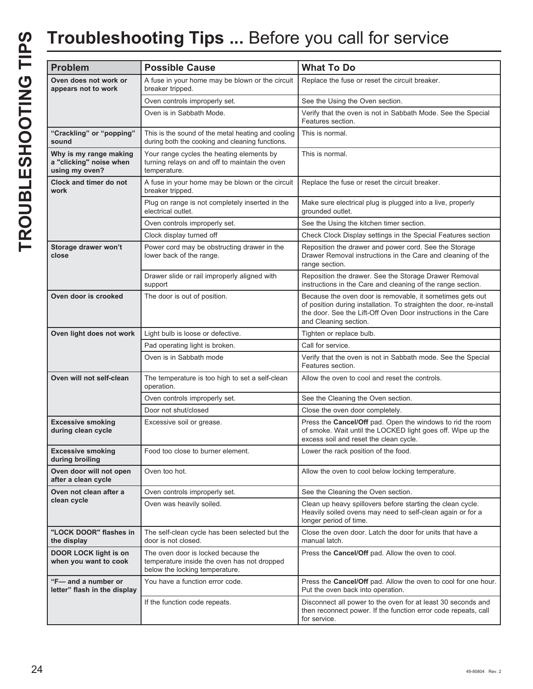## **Troubleshooting Tips ...** Before you call for service

| <b>Problem</b>                                                      | <b>Possible Cause</b>                                                                                                | <b>What To Do</b>                                                                                                                                                                                                          |
|---------------------------------------------------------------------|----------------------------------------------------------------------------------------------------------------------|----------------------------------------------------------------------------------------------------------------------------------------------------------------------------------------------------------------------------|
|                                                                     |                                                                                                                      |                                                                                                                                                                                                                            |
| Oven does not work or<br>appears not to work                        | A fuse in your home may be blown or the circuit<br>breaker tripped.                                                  | Replace the fuse or reset the circuit breaker.                                                                                                                                                                             |
|                                                                     | Oven controls improperly set.                                                                                        | See the Using the Oven section.                                                                                                                                                                                            |
|                                                                     | Oven is in Sabbath Mode.                                                                                             | Verify that the oven is not in Sabbath Mode. See the Special<br>Features section.                                                                                                                                          |
| "Crackling" or "popping"<br>sound                                   | This is the sound of the metal heating and cooling<br>during both the cooking and cleaning functions.                | This is normal.                                                                                                                                                                                                            |
| Why is my range making<br>a "clicking" noise when<br>using my oven? | Your range cycles the heating elements by<br>turning relays on and off to maintain the oven<br>temperature.          | This is normal.                                                                                                                                                                                                            |
| Clock and timer do not<br>work                                      | A fuse in your home may be blown or the circuit<br>breaker tripped.                                                  | Replace the fuse or reset the circuit breaker.                                                                                                                                                                             |
|                                                                     | Plug on range is not completely inserted in the<br>electrical outlet.                                                | Make sure electrical plug is plugged into a live, properly<br>grounded outlet.                                                                                                                                             |
|                                                                     | Oven controls improperly set.                                                                                        | See the Using the kitchen timer section.                                                                                                                                                                                   |
|                                                                     | Clock display turned off                                                                                             | Check Clock Display settings in the Special Features section                                                                                                                                                               |
| Storage drawer won't<br>close                                       | Power cord may be obstructing drawer in the<br>lower back of the range.                                              | Reposition the drawer and power cord. See the Storage<br>Drawer Removal instructions in the Care and cleaning of the<br>range section.                                                                                     |
|                                                                     | Drawer slide or rail improperly aligned with<br>support                                                              | Reposition the drawer. See the Storage Drawer Removal<br>instructions in the Care and cleaning of the range section.                                                                                                       |
| Oven door is crooked                                                | The door is out of position.                                                                                         | Because the oven door is removable, it sometimes gets out<br>of position during installation. To straighten the door, re-install<br>the door. See the Lift-Off Oven Door instructions in the Care<br>and Cleaning section. |
| Oven light does not work                                            | Light bulb is loose or defective.                                                                                    | Tighten or replace bulb.                                                                                                                                                                                                   |
|                                                                     | Pad operating light is broken.                                                                                       | Call for service.                                                                                                                                                                                                          |
|                                                                     | Oven is in Sabbath mode                                                                                              | Verify that the oven is not in Sabbath mode. See the Special<br>Features section.                                                                                                                                          |
| Oven will not self-clean                                            | The temperature is too high to set a self-clean<br>operation.                                                        | Allow the oven to cool and reset the controls.                                                                                                                                                                             |
|                                                                     | Oven controls improperly set.                                                                                        | See the Cleaning the Oven section.                                                                                                                                                                                         |
|                                                                     | Door not shut/closed                                                                                                 | Close the oven door completely.                                                                                                                                                                                            |
| <b>Excessive smoking</b><br>during clean cycle                      | Excessive soil or grease.                                                                                            | Press the Cancel/Off pad. Open the windows to rid the room<br>of smoke. Wait until the LOCKED light goes off. Wipe up the<br>excess soil and reset the clean cycle.                                                        |
| <b>Excessive smoking</b><br>during broiling                         | Food too close to burner element.                                                                                    | Lower the rack position of the food.                                                                                                                                                                                       |
| Oven door will not open<br>after a clean cycle                      | Oven too hot.                                                                                                        | Allow the oven to cool below locking temperature.                                                                                                                                                                          |
| Oven not clean after a                                              | Oven controls improperly set.                                                                                        | See the Cleaning the Oven section.                                                                                                                                                                                         |
| clean cycle                                                         | Oven was heavily soiled.                                                                                             | Clean up heavy spillovers before starting the clean cycle.<br>Heavily soiled ovens may need to self-clean again or for a<br>longer period of time.                                                                         |
| "LOCK DOOR" flashes in<br>the display                               | The self-clean cycle has been selected but the<br>door is not closed.                                                | Close the oven door. Latch the door for units that have a<br>manual latch.                                                                                                                                                 |
| <b>DOOR LOCK light is on</b><br>when you want to cook               | The oven door is locked because the<br>temperature inside the oven has not dropped<br>below the locking temperature. | Press the Cancel/Off pad. Allow the oven to cool.                                                                                                                                                                          |
| "F-and a number or<br>letter" flash in the display                  | You have a function error code.                                                                                      | Press the Cancel/Off pad. Allow the oven to cool for one hour.<br>Put the oven back into operation.                                                                                                                        |
|                                                                     | If the function code repeats.                                                                                        | Disconnect all power to the oven for at least 30 seconds and<br>then reconnect power. If the function error code repeats, call<br>for service.                                                                             |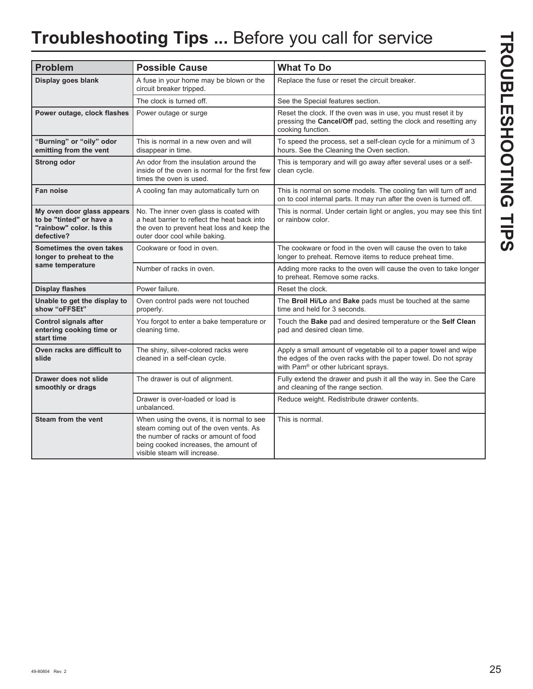# **Troubleshooting Tips ...** Before you call for service

| <b>Problem</b>                                                                                   | <b>Possible Cause</b>                                                                                                                                                                                 | <b>What To Do</b>                                                                                                                                                         |
|--------------------------------------------------------------------------------------------------|-------------------------------------------------------------------------------------------------------------------------------------------------------------------------------------------------------|---------------------------------------------------------------------------------------------------------------------------------------------------------------------------|
| Display goes blank                                                                               | A fuse in your home may be blown or the<br>circuit breaker tripped.                                                                                                                                   | Replace the fuse or reset the circuit breaker.                                                                                                                            |
|                                                                                                  | The clock is turned off.                                                                                                                                                                              | See the Special features section.                                                                                                                                         |
| Power outage, clock flashes                                                                      | Power outage or surge                                                                                                                                                                                 | Reset the clock. If the oven was in use, you must reset it by<br>pressing the Cancel/Off pad, setting the clock and resetting any<br>cooking function.                    |
| "Burning" or "oily" odor<br>emitting from the vent                                               | This is normal in a new oven and will<br>disappear in time.                                                                                                                                           | To speed the process, set a self-clean cycle for a minimum of 3<br>hours. See the Cleaning the Oven section.                                                              |
| <b>Strong odor</b>                                                                               | An odor from the insulation around the<br>inside of the oven is normal for the first few<br>times the oven is used.                                                                                   | This is temporary and will go away after several uses or a self-<br>clean cycle.                                                                                          |
| Fan noise                                                                                        | A cooling fan may automatically turn on                                                                                                                                                               | This is normal on some models. The cooling fan will turn off and<br>on to cool internal parts. It may run after the oven is turned off.                                   |
| My oven door glass appears<br>to be "tinted" or have a<br>"rainbow" color. Is this<br>defective? | No. The inner oven glass is coated with<br>a heat barrier to reflect the heat back into<br>the oven to prevent heat loss and keep the<br>outer door cool while baking.                                | This is normal. Under certain light or angles, you may see this tint<br>or rainbow color.                                                                                 |
| Sometimes the oven takes<br>longer to preheat to the                                             | Cookware or food in oven.                                                                                                                                                                             | The cookware or food in the oven will cause the oven to take<br>longer to preheat. Remove items to reduce preheat time.                                                   |
| same temperature                                                                                 | Number of racks in oven.                                                                                                                                                                              | Adding more racks to the oven will cause the oven to take longer<br>to preheat. Remove some racks.                                                                        |
| <b>Display flashes</b>                                                                           | Power failure.                                                                                                                                                                                        | Reset the clock.                                                                                                                                                          |
| Unable to get the display to<br>show "oFFSEt"                                                    | Oven control pads were not touched<br>properly.                                                                                                                                                       | The Broil Hi/Lo and Bake pads must be touched at the same<br>time and held for 3 seconds.                                                                                 |
| <b>Control signals after</b><br>entering cooking time or<br>start time                           | You forgot to enter a bake temperature or<br>cleaning time.                                                                                                                                           | Touch the Bake pad and desired temperature or the Self Clean<br>pad and desired clean time.                                                                               |
| Oven racks are difficult to<br>slide                                                             | The shiny, silver-colored racks were<br>cleaned in a self-clean cycle.                                                                                                                                | Apply a small amount of vegetable oil to a paper towel and wipe<br>the edges of the oven racks with the paper towel. Do not spray<br>with Pam® or other lubricant sprays. |
| <b>Drawer does not slide</b><br>smoothly or drags                                                | The drawer is out of alignment.                                                                                                                                                                       | Fully extend the drawer and push it all the way in. See the Care<br>and cleaning of the range section.                                                                    |
|                                                                                                  | Drawer is over-loaded or load is<br>unbalanced.                                                                                                                                                       | Reduce weight. Redistribute drawer contents.                                                                                                                              |
| <b>Steam from the vent</b>                                                                       | When using the ovens, it is normal to see<br>steam coming out of the oven vents. As<br>the number of racks or amount of food<br>being cooked increases, the amount of<br>visible steam will increase. | This is normal.                                                                                                                                                           |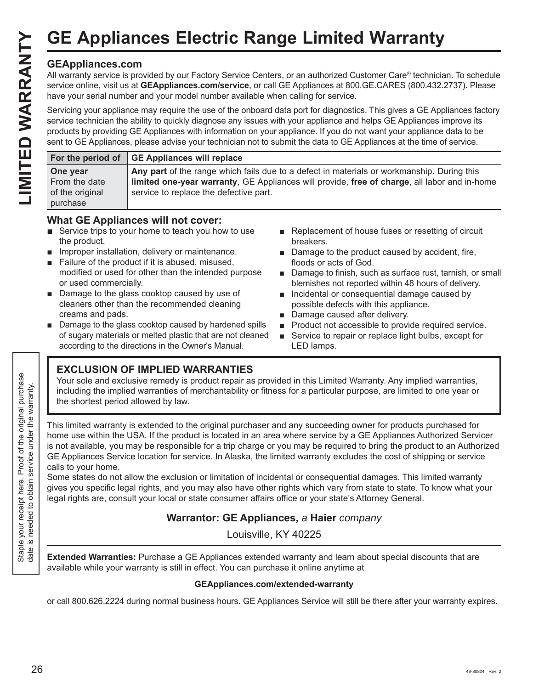## **GEAppliances.com**

|                                                          | <b>GE Appliances Electric Range Limited Warranty</b>                                                                                                                                                                                                                                                                                                                                                                                                                                               |
|----------------------------------------------------------|----------------------------------------------------------------------------------------------------------------------------------------------------------------------------------------------------------------------------------------------------------------------------------------------------------------------------------------------------------------------------------------------------------------------------------------------------------------------------------------------------|
| <b>GEAppliances.com</b>                                  | All warranty service is provided by our Factory Service Centers, or an authorized Customer Care® technician. To schedule<br>service online, visit us at GEAppliances.com/service, or call GE Appliances at 800.GE.CARES (800.432.2737). Please<br>have your serial number and your model number available when calling for service.                                                                                                                                                                |
|                                                          | Servicing your appliance may require the use of the onboard data port for diagnostics. This gives a GE Appliances factory<br>service technician the ability to quickly diagnose any issues with your appliance and helps GE Appliances improve its<br>products by providing GE Appliances with information on your appliance. If you do not want your appliance data to be<br>sent to GE Appliances, please advise your technician not to submit the data to GE Appliances at the time of service. |
| For the period of                                        | <b>GE Appliances will replace</b>                                                                                                                                                                                                                                                                                                                                                                                                                                                                  |
| One year<br>From the date<br>of the original<br>purchase | Any part of the range which fails due to a defect in materials or workmanship. During this<br>limited one-year warranty, GE Appliances will provide, free of charge, all labor and in-home<br>service to replace the defective part.                                                                                                                                                                                                                                                               |

## **What GE Appliances will not cover:**

- $\blacksquare$  Service trips to your home to teach you how to use the product.
- $\blacksquare$  Improper installation, delivery or maintenance.
- Failure of the product if it is abused, misused, modified or used for other than the intended purpose or used commercially.
- Damage to the glass cooktop caused by use of cleaners other than the recommended cleaning creams and pads.
- $\blacksquare$  Damage to the glass cooktop caused by hardened spills of sugary materials or melted plastic that are not cleaned according to the directions in the Owner's Manual.
- Replacement of house fuses or resetting of circuit breakers.
- $\blacksquare$  Damage to the product caused by accident, fire, floods or acts of God.
- Damage to finish, such as surface rust, tarnish, or small blemishes not reported within 48 hours of delivery.
- **n** Incidental or consequential damage caused by possible defects with this appliance.
- Damage caused after delivery.
- **Product not accessible to provide required service.**
- Service to repair or replace light bulbs, except for LED lamps.

## **EXCLUSION OF IMPLIED WARRANTIES**

Your sole and exclusive remedy is product repair as provided in this Limited Warranty. Any implied warranties, including the implied warranties of merchantability or fitness for a particular purpose, are limited to one year or the shortest period allowed by law.

This limited warranty is extended to the original purchaser and any succeeding owner for products purchased for home use within the USA. If the product is located in an area where service by a GE Appliances Authorized Servicer is not available, you may be responsible for a trip charge or you may be required to bring the product to an Authorized GE Appliances Service location for service. In Alaska, the limited warranty excludes the cost of shipping or service calls to your home.

Some states do not allow the exclusion or limitation of incidental or consequential damages. This limited warranty gives you specific legal rights, and you may also have other rights which vary from state to state. To know what your legal rights are, consult your local or state consumer affairs office or your state's Attorney General.

## **Warrantor: GE Appliances,** *a* **Haier** *company*

Louisville, KY 40225

**Extended Warranties:** Purchase a GE Appliances extended warranty and learn about special discounts that are available while your warranty is still in effect. You can purchase it online anytime at

## **GEAppliances.com/extended-warranty**

or call 800.626.2224 during normal business hours. GE Appliances Service will still be there after your warranty expires.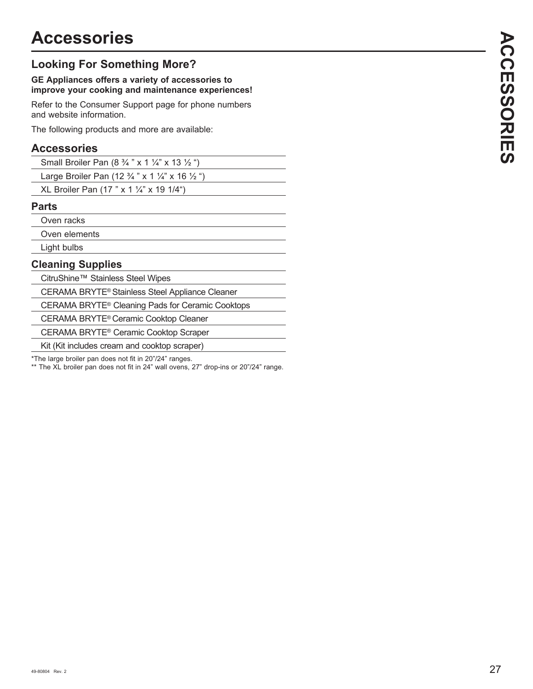## **Looking For Something More?**

## **GE Appliances offers a variety of accessories to improve your cooking and maintenance experiences!**

Refer to the Consumer Support page for phone numbers and website information.

The following products and more are available:

## **Accessories**

| Small Broiler Pan $(8 \frac{3}{4} \times 1 \frac{1}{4} \times 13 \frac{1}{2} \degree)$ |  |
|----------------------------------------------------------------------------------------|--|
|----------------------------------------------------------------------------------------|--|

Large Broiler Pan (12 ¾ " x 1 ¼" x 16 ½ ")

XL Broiler Pan (17 " x 1  $\frac{1}{4}$ " x 19 1/4")

## **Parts**

Oven racks

Oven elements

Light bulbs

## **Cleaning Supplies**

CitruShine™ Stainless Steel Wipes

CERAMA BRYTE® Stainless Steel Appliance Cleaner

CERAMA BRYTE® Cleaning Pads for Ceramic Cooktops

CERAMA BRYTE® Ceramic Cooktop Cleaner

CERAMA BRYTE® Ceramic Cooktop Scraper

Kit (Kit includes cream and cooktop scraper)

\*The large broiler pan does not fit in 20"/24" ranges.

\*\* The XL broiler pan does not fit in 24" wall ovens, 27" drop-ins or 20"/24" range.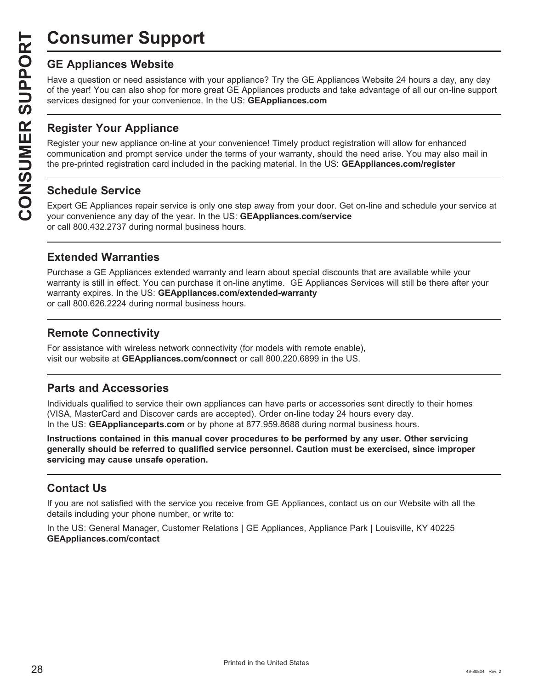# **Consumer Support**

**CONSUMER SUP**<br> **GE Appliances Website**<br>
Have a question or need assistar<br>
of the year! You can also shop for<br>
services designed for your conver<br> **CONSUMER Appliance OF Appliance on-1**<br> **CONSUMER Appliance on-1**<br> **CONSUMER** Have a question or need assistance with your appliance? Try the GE Appliances Website 24 hours a day, any day of the year! You can also shop for more great GE Appliances products and take advantage of all our on-line support services designed for your convenience. In the US: GEAppliances.com

## **Register Your Appliance**

Register your new appliance on-line at your convenience! Timely product registration will allow for enhanced communication and prompt service under the terms of your warranty, should the need arise. You may also mail in the pre-printed registration card included in the packing material. In the US: **GEAppliances.com/register** 

## **Schedule Service**

Expert GE Appliances repair service is only one step away from your door. Get on-line and schedule your service at your convenience any day of the year. In the US: **GEAppliances.com/service** or call 800.432.2737 during normal business hours.

## **Extended Warranties**

Purchase a GE Appliances extended warranty and learn about special discounts that are available while your warranty is still in effect. You can purchase it on-line anytime. GE Appliances Services will still be there after your warranty expires. In the US: GEAppliances.com/extended-warranty or call 800.626.2224 during normal business hours.

## **Remote Connectivity**

For assistance with wireless network connectivity (for models with remote enable), visit our website at GEAppliances.com/connect or call 800.220.6899 in the US.

## **Parts and Accessories**

Individuals qualified to service their own appliances can have parts or accessories sent directly to their homes (VISA, MasterCard and Discover cards are accepted). Order on-line today 24 hours every day. In the US: **GEApplianceparts.com** or by phone at 877.959.8688 during normal business hours.

**Instructions contained in this manual cover procedures to be performed by any user. Other servicing generally should be referred to qualified service personnel. Caution must be exercised, since improper servicing may cause unsafe operation.**

## **Contact Us**

If you are not satisfied with the service you receive from GE Appliances, contact us on our Website with all the details including your phone number, or write to:

In the US: General Manager, Customer Relations | GE Appliances, Appliance Park | Louisville, KY 40225 **GEAppliances.com/contact**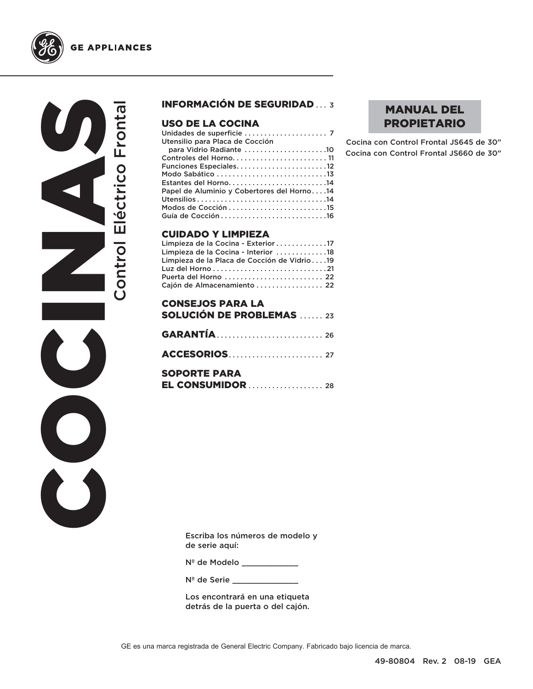



### INFORMACIÓN DE SEGURIDAD ... 3

#### USO DE LA COCINA

| Utensilio para Placa de Cocción            |  |
|--------------------------------------------|--|
| para Vidrio Radiante 10                    |  |
| Controles del Horno 11                     |  |
| Funciones Especiales12                     |  |
|                                            |  |
| Estantes del Horno14                       |  |
| Papel de Aluminio y Cobertores del Horno14 |  |
|                                            |  |
|                                            |  |
|                                            |  |
|                                            |  |

#### CUIDADO Y LIMPIEZA

| Limpieza de la Cocina - Exterior 17         |  |
|---------------------------------------------|--|
| Limpieza de la Cocina - Interior 18         |  |
| Limpieza de la Placa de Cocción de Vidrio19 |  |
|                                             |  |
| Puerta del Horno  22                        |  |
| Cajón de Almacenamiento  22                 |  |

| <b>CONSEJOS PARA LA</b><br><b>SOLUCIÓN DE PROBLEMAS</b> 23 |  |
|------------------------------------------------------------|--|
|                                                            |  |
|                                                            |  |
| <b>SOPORTE PARA</b>                                        |  |

## MANUAL DEL PROPIETARIO

Cocina con Control Frontal JS645 de 30" Cocina con Control Frontal JS660 de 30"

Escriba los números de modelo y de serie aquí:

Nº de Modelo \_\_\_\_\_\_\_\_\_\_\_\_

N<sup>º</sup> de Serie \_\_\_\_\_\_\_

Los encontrará en una etiqueta detrás de la puerta o del cajón.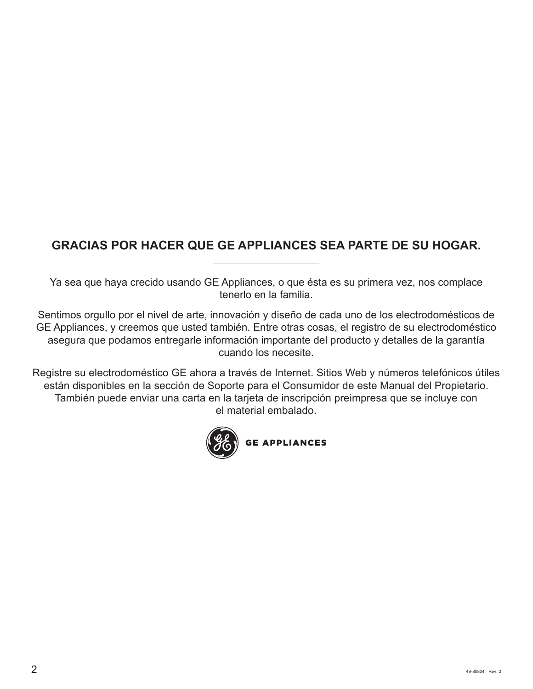## **GRACIAS POR HACER QUE GE APPLIANCES SEA PARTE DE SU HOGAR.**

Ya sea que haya crecido usando GE Appliances, o que ésta es su primera vez, nos complace tenerlo en la familia.

Sentimos orgullo por el nivel de arte, innovación y diseño de cada uno de los electrodomésticos de GE Appliances, y creemos que usted también. Entre otras cosas, el registro de su electrodoméstico asegura que podamos entregarle información importante del producto y detalles de la garantía cuando los necesite.

Registre su electrodoméstico GE ahora a través de Internet. Sitios Web y números telefónicos útiles están disponibles en la sección de Soporte para el Consumidor de este Manual del Propietario. También puede enviar una carta en la tarjeta de inscripción preimpresa que se incluye con el material embalado.

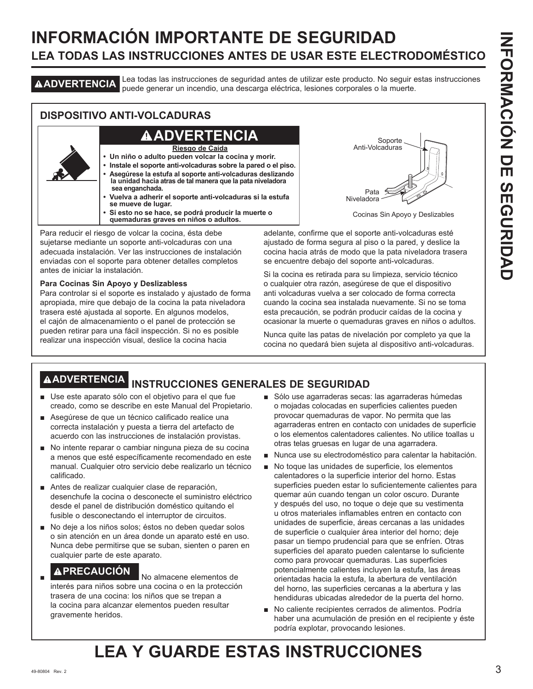## **INFORMACIÓN IMPORTANTE DE SEGURIDAD LEA TODAS LAS INSTRUCCIONES ANTES DE USAR ESTE ELECTRODOMÉSTICO**

**ADVERTENCIA** Lea todas las instrucciones de seguridad antes de utilizar este producto. No seguir estas instrucciones puede generar un incendio, una descarga eléctrica, lesiones corporales o la muerte.

## **DISPOSITIVO ANTI-VOLCADURAS**

## **ADVERTENCIA**

**Riesgo de Caída**

- **Un niño o adulto pueden volcar la cocina y morir.**
- **Instale el soporte anti-volcaduras sobre la pared o el piso. • Asegúrese la estufa al soporte anti-volcaduras deslizando la unidad hacia atras de tal manera que la pata niveladora sea enganchada.**
- **Vuelva a adherir el soporte anti-volcaduras si la estufa se mueve de lugar.**
- **Si esto no se hace, se podrá producir la muerte o quemaduras graves en niños o adultos.**

Para reducir el riesgo de volcar la cocina, ésta debe sujetarse mediante un soporte anti-volcaduras con una adecuada instalación. Ver las instrucciones de instalación enviadas con el soporte para obtener detalles completos antes de iniciar la instalación.

#### **Para Cocinas Sin Apoyo y Deslizabless**

Para controlar si el soporte es instalado y ajustado de forma apropiada, mire que debajo de la cocina la pata niveladora trasera esté ajustada al soporte. En algunos modelos, el cajón de almacenamiento o el panel de protección se pueden retirar para una fácil inspección. Si no es posible realizar una inspección visual, deslice la cocina hacia

Soporte Anti-Volcaduras Pata  $\leq$ Niveladora

Cocinas Sin Apoyo y Deslizables

adelante, confirme que el soporte anti-volcaduras esté ajustado de forma segura al piso o la pared, y deslice la cocina hacia atrás de modo que la pata niveladora trasera se encuentre debajo del soporte anti-volcaduras.

Si la cocina es retirada para su limpieza, servicio técnico o cualquier otra razón, asegúrese de que el dispositivo anti volcaduras vuelva a ser colocado de forma correcta cuando la cocina sea instalada nuevamente. Si no se toma esta precaución, se podrán producir caídas de la cocina y ocasionar la muerte o quemaduras graves en niños o adultos.

Nunca quite las patas de nivelación por completo ya que la cocina no quedará bien sujeta al dispositivo anti-volcaduras.

## **ADVERTENCIA INSTRUCCIONES GENERALES DE SEGURIDAD**

- Use este aparato sólo con el objetivo para el que fue creado, como se describe en este Manual del Propietario.
- Asegúrese de que un técnico calificado realice una correcta instalación y puesta a tierra del artefacto de acuerdo con las instrucciones de instalación provistas.
- No intente reparar o cambiar ninguna pieza de su cocina a menos que esté específicamente recomendado en este manual. Cualquier otro servicio debe realizarlo un técnico calificado.
- Antes de realizar cualquier clase de reparación, desenchufe la cocina o desconecte el suministro eléctrico desde el panel de distribución doméstico quitando el fusible o desconectando el interruptor de circuitos.
- No deje a los niños solos; éstos no deben quedar solos o sin atención en un área donde un aparato esté en uso. Nunca debe permitirse que se suban, sienten o paren en cualquier parte de este aparato.

## **APRECAUCIÓN** No almacene elementos de

interés para niños sobre una cocina o en la protección trasera de una cocina: los niños que se trepan a la cocina para alcanzar elementos pueden resultar gravemente heridos.

- Sólo use agarraderas secas: las agarraderas húmedas o mojadas colocadas en superficies calientes pueden provocar quemaduras de vapor. No permita que las agarraderas entren en contacto con unidades de superficie o los elementos calentadores calientes. No utilice toallas u otras telas gruesas en lugar de una agarradera.
- Nunca use su electrodoméstico para calentar la habitación.
- No toque las unidades de superficie, los elementos calentadores o la superficie interior del horno. Estas superficies pueden estar lo suficientemente calientes para quemar aún cuando tengan un color oscuro. Durante y después del uso, no toque o deje que su vestimenta u otros materiales inflamables entren en contacto con unidades de superficie, áreas cercanas a las unidades de superficie o cualquier área interior del horno; deje pasar un tiempo prudencial para que se enfríen. Otras superficies del aparato pueden calentarse lo suficiente como para provocar quemaduras. Las superficies potencialmente calientes incluyen la estufa, las áreas orientadas hacia la estufa, la abertura de ventilación del horno, las superficies cercanas a la abertura y las hendiduras ubicadas alrededor de la puerta del horno.
- No caliente recipientes cerrados de alimentos. Podría haber una acumulación de presión en el recipiente y éste podría explotar, provocando lesiones.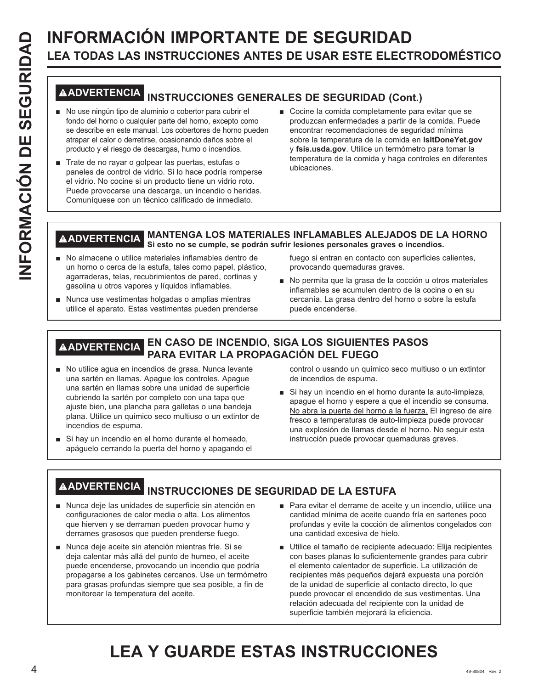# **INFORMACIÓN IMPORTANTE DE SEGURIDAD**<br> **INFORMACIÓN IMPORTANTE DE SEGURIDAD**<br> **INFORMACIÓN INSTRUCCIONES GENERALES DE SEGURIDAD (CON ES CENTRACIÓN ENTRACIÓN EN ENTRACIÓN EN ENTRACIÓN EN EL COR EL SEGURIDAD (CON EL COR EL S LEA TODAS LAS INSTRUCCIONES ANTES DE USAR ESTE ELECTRODOMÉSTICO**

## **ADVERTENCIA INSTRUCCIONES GENERALES DE SEGURIDAD (Cont.)**

- No use ningún tipo de aluminio o cobertor para cubrir el fondo del horno o cualquier parte del horno, excepto como se describe en este manual. Los cobertores de horno pueden atrapar el calor o derretirse, ocasionando daños sobre el producto y el riesgo de descargas, humo o incendios.
- Trate de no rayar o golpear las puertas, estufas o paneles de control de vidrio. Si lo hace podría romperse el vidrio. No cocine si un producto tiene un vidrio roto. Puede provocarse una descarga, un incendio o heridas. Comuníquese con un técnico calificado de inmediato.
- Cocine la comida completamente para evitar que se produzcan enfermedades a partir de la comida. Puede encontrar recomendaciones de seguridad mínima sobre la temperatura de la comida en **IsItDoneYet.gov** y fsis.usda.gov. Utilice un termómetro para tomar la temperatura de la comida y haga controles en diferentes ubicaciones.

#### **ADVERTENCIA MANTENGA LOS MATERIALES INFLAMABLES ALEJADOS DE LA HORNO Si esto no se cumple, se podrán sufrir lesiones personales graves o incendios.**

- No almacene o utilice materiales inflamables dentro de un horno o cerca de la estufa, tales como papel, plástico, agarraderas, telas, recubrimientos de pared, cortinas y gasolina u otros vapores y líquidos inflamables.
- $\blacksquare$  Nunca use vestimentas holgadas o amplias mientras utilice el aparato. Estas vestimentas pueden prenderse

fuego si entran en contacto con superficies calientes, provocando quemaduras graves.

No permita que la grasa de la cocción u otros materiales inflamables se acumulen dentro de la cocina o en su cercanía. La grasa dentro del horno o sobre la estufa puede encenderse.

## **ADVERTENCIA EN CASO DE INCENDIO, SIGA LOS SIGUIENTES PASOS PARA EVITAR LA PROPAGACIÓN DEL FUEGO**

- No utilice agua en incendios de grasa. Nunca levante una sartén en llamas. Apague los controles. Apague una sartén en llamas sobre una unidad de superficie cubriendo la sartén por completo con una tapa que ajuste bien, una plancha para galletas o una bandeja plana. Utilice un químico seco multiuso o un extintor de incendios de espuma.
- Si hay un incendio en el horno durante el horneado, apáguelo cerrando la puerta del horno y apagando el

control o usando un químico seco multiuso o un extintor de incendios de espuma.

Si hay un incendio en el horno durante la auto-limpieza, apague el horno y espere a que el incendio se consuma. No abra la puerta del horno a la fuerza. El ingreso de aire fresco a temperaturas de auto-limpieza puede provocar una explosión de llamas desde el horno. No seguir esta instrucción puede provocar quemaduras graves.

## **ADVERTENCIA INSTRUCCIONES DE SEGURIDAD DE LA ESTUFA**

- Nunca deje las unidades de superficie sin atención en configuraciones de calor media o alta. Los alimentos que hierven y se derraman pueden provocar humo y derrames grasosos que pueden prenderse fuego.
- Nunca deje aceite sin atención mientras fríe. Si se deja calentar más allá del punto de humeo, el aceite puede encenderse, provocando un incendio que podría propagarse a los gabinetes cercanos. Use un termómetro para grasas profundas siempre que sea posible, a fin de monitorear la temperatura del aceite.
- Para evitar el derrame de aceite y un incendio, utilice una cantidad mínima de aceite cuando fría en sartenes poco profundas y evite la cocción de alimentos congelados con una cantidad excesiva de hielo.
- Utilice el tamaño de recipiente adecuado: Elija recipientes con bases planas lo suficientemente grandes para cubrir el elemento calentador de superficie. La utilización de recipientes más pequeños dejará expuesta una porción de la unidad de superficie al contacto directo, lo que puede provocar el encendido de sus vestimentas. Una relación adecuada del recipiente con la unidad de superficie también mejorará la eficiencia.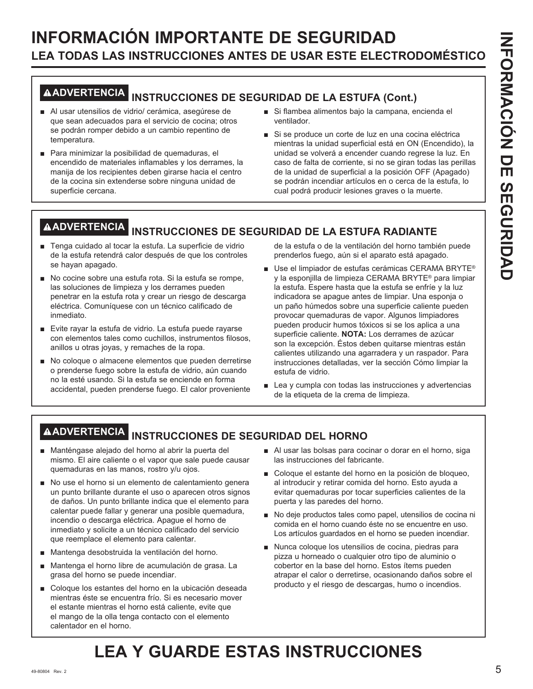## **INFORMACIÓN IMPORTANTE DE SEGURIDAD LEA TODAS LAS INSTRUCCIONES ANTES DE USAR ESTE ELECTRODOMÉSTICO**

# **ADVERTENCIA INSTRUCCIONES DE SEGURIDAD DE LA ESTUFA (Cont.)**

- Al usar utensilios de vidrio/ cerámica, asegúrese de que sean adecuados para el servicio de cocina; otros se podrán romper debido a un cambio repentino de temperatura.
- Para minimizar la posibilidad de quemaduras, el encendido de materiales inflamables y los derrames, la manija de los recipientes deben girarse hacia el centro de la cocina sin extenderse sobre ninguna unidad de superficie cercana.
- Si flambea alimentos bajo la campana, encienda el ventilador.
- Si se produce un corte de luz en una cocina eléctrica mientras la unidad superficial está en ON (Encendido), la unidad se volverá a encender cuando regrese la luz. En caso de falta de corriente, si no se giran todas las perillas de la unidad de superficial a la posición OFF (Apagado) se podrán incendiar artículos en o cerca de la estufa, lo cual podrá producir lesiones graves o la muerte.

## **ADVERTENCIA INSTRUCCIONES DE SEGURIDAD DE LA ESTUFA RADIANTE**

- F Tenga cuidado al tocar la estufa. La superficie de vidrio de la estufa retendrá calor después de que los controles se hayan apagado.
- No cocine sobre una estufa rota. Si la estufa se rompe, las soluciones de limpieza y los derrames pueden penetrar en la estufa rota y crear un riesgo de descarga eléctrica. Comuníquese con un técnico calificado de inmediato.
- Evite rayar la estufa de vidrio. La estufa puede rayarse con elementos tales como cuchillos, instrumentos filosos, anillos u otras joyas, y remaches de la ropa.
- No coloque o almacene elementos que pueden derretirse o prenderse fuego sobre la estufa de vidrio, aún cuando no la esté usando. Si la estufa se enciende en forma accidental, pueden prenderse fuego. El calor proveniente

de la estufa o de la ventilación del horno también puede prenderlos fuego, aún si el aparato está apagado.

- Use el limpiador de estufas cerámicas CERAMA BRYTE® y la esponjilla de limpieza CERAMA BRYTE<sup>®</sup> para limpiar la estufa. Espere hasta que la estufa se enfríe y la luz indicadora se apague antes de limpiar. Una esponja o un paño húmedos sobre una superficie caliente pueden provocar quemaduras de vapor. Algunos limpiadores pueden producir humos tóxicos si se los aplica a una superficie caliente. **NOTA:** Los derrames de azúcar son la excepción. Éstos deben quitarse mientras están calientes utilizando una agarradera y un raspador. Para instrucciones detalladas, ver la sección Cómo limpiar la estufa de vidrio.
- $\blacksquare$  Lea y cumpla con todas las instrucciones y advertencias de la etiqueta de la crema de limpieza.

## **ADVERTENCIA INSTRUCCIONES DE SEGURIDAD DEL HORNO**

- Manténgase alejado del horno al abrir la puerta del mismo. El aire caliente o el vapor que sale puede causar quemaduras en las manos, rostro y/u ojos.
- No use el horno si un elemento de calentamiento genera un punto brillante durante el uso o aparecen otros signos de daños. Un punto brillante indica que el elemento para calentar puede fallar y generar una posible quemadura, incendio o descarga eléctrica. Apague el horno de inmediato y solicite a un técnico calificado del servicio que reemplace el elemento para calentar.
- Mantenga desobstruida la ventilación del horno.
- Mantenga el horno libre de acumulación de grasa. La grasa del horno se puede incendiar.
- Coloque los estantes del horno en la ubicación deseada mientras éste se encuentra frío. Si es necesario mover el estante mientras el horno está caliente, evite que el mango de la olla tenga contacto con el elemento calentador en el horno.
- Al usar las bolsas para cocinar o dorar en el horno, siga las instrucciones del fabricante.
- Coloque el estante del horno en la posición de bloqueo, al introducir y retirar comida del horno. Esto ayuda a evitar quemaduras por tocar superficies calientes de la puerta y las paredes del horno.
- No deje productos tales como papel, utensilios de cocina ni comida en el horno cuando éste no se encuentre en uso. Los artículos guardados en el horno se pueden incendiar.
- Nunca coloque los utensilios de cocina, piedras para pizza u horneado o cualquier otro tipo de aluminio o cobertor en la base del horno. Estos ítems pueden atrapar el calor o derretirse, ocasionando daños sobre el producto y el riesgo de descargas, humo o incendios.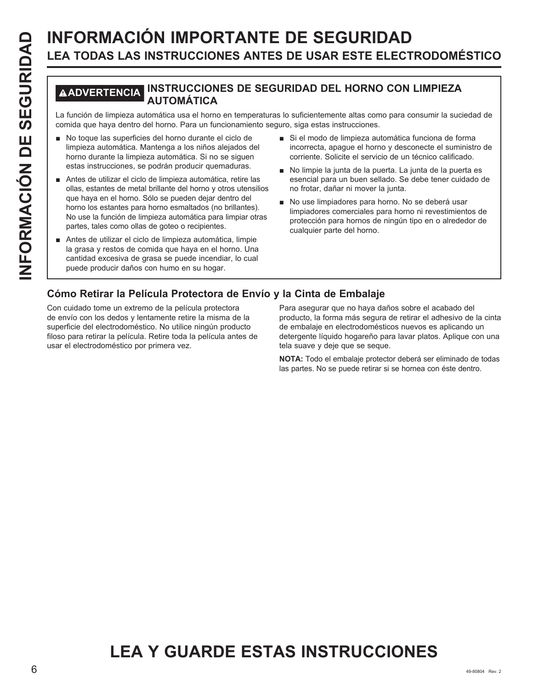# **INFORMACIÓN IMPORTANTE DE SEGURIDAD**<br> **ILEA TODAS LAS INSTRUCCIONES ANTES DE USAR ESTE ELECT<br>
MADVERTENCIAL INSTRUCCIONES DE SEGURIDAD DEL HORNO CON<br>
La función de limpieza automática . Mars un funcionamiento seguro, siga LEA TODAS LAS INSTRUCCIONES ANTES DE USAR ESTE ELECTRODOMÉSTICO**

## **ADVERTENCIA INSTRUCCIONES DE SEGURIDAD DEL HORNO CON LIMPIEZA AUTOMÁTICA**

La función de limpieza automática usa el horno en temperaturas lo suficientemente altas como para consumir la suciedad de comida que haya dentro del horno. Para un funcionamiento seguro, siga estas instrucciones.

- No toque las superficies del horno durante el ciclo de limpieza automática. Mantenga a los niños alejados del horno durante la limpieza automática. Si no se siguen estas instrucciones, se podrán producir quemaduras.
- Antes de utilizar el ciclo de limpieza automática, retire las ollas, estantes de metal brillante del horno y otros utensilios que haya en el horno. Sólo se pueden dejar dentro del horno los estantes para horno esmaltados (no brillantes). No use la función de limpieza automática para limpiar otras partes, tales como ollas de goteo o recipientes.
- Antes de utilizar el ciclo de limpieza automática, limpie la grasa y restos de comida que haya en el horno. Una cantidad excesiva de grasa se puede incendiar, lo cual puede producir daños con humo en su hogar.
- Si el modo de limpieza automática funciona de forma incorrecta, apague el horno y desconecte el suministro de corriente. Solicite el servicio de un técnico calificado.
- No limpie la junta de la puerta. La junta de la puerta es esencial para un buen sellado. Se debe tener cuidado de no frotar, dañar ni mover la junta.
- No use limpiadores para horno. No se deberá usar limpiadores comerciales para horno ni revestimientos de protección para hornos de ningún tipo en o alrededor de cualquier parte del horno.

## **Cómo Retirar la Película Protectora de Envío y la Cinta de Embalaje**

Con cuidado tome un extremo de la película protectora de envío con los dedos y lentamente retire la misma de la superficie del electrodoméstico. No utilice ningún producto filoso para retirar la película. Retire toda la película antes de usar el electrodoméstico por primera vez.

Para asegurar que no haya daños sobre el acabado del producto, la forma más segura de retirar el adhesivo de la cinta de embalaje en electrodomésticos nuevos es aplicando un detergente líquido hogareño para lavar platos. Aplique con una tela suave y deje que se seque.

**NOTA:** Todo el embalaje protector deberá ser eliminado de todas las partes. No se puede retirar si se hornea con éste dentro.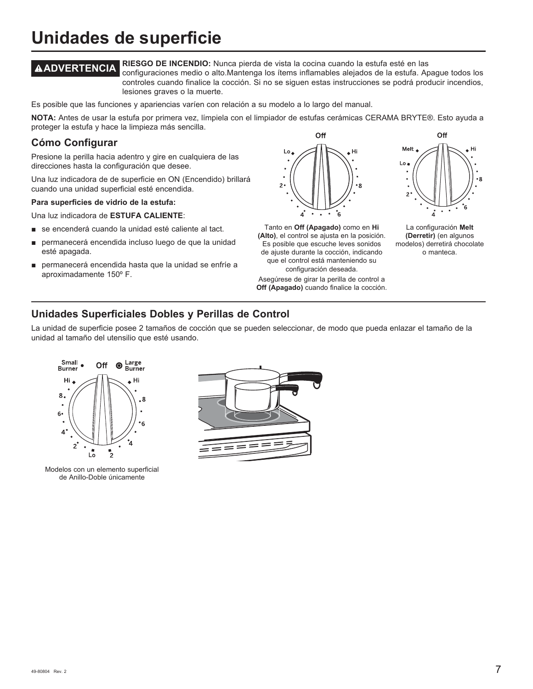## **Unidades de superficie**

**ADVERTENCIA RIESGO DE INCENDIO:** Nunca pierda de vista la cocina cuando la estufa esté en las configuraciones medio o alto.Mantenga los ítems inflamables alejados de la estufa. Apague todos los controles cuando finalice la cocción. Si no se siguen estas instrucciones se podrá producir incendios, lesiones graves o la muerte.

Es posible que las funciones y apariencias varíen con relación a su modelo a lo largo del manual.

NOTA: Antes de usar la estufa por primera vez, límpiela con el limpiador de estufas cerámicas CERAMA BRYTE®. Esto ayuda a proteger la estufa y hace la limpieza más sencilla.

## **Cómo Configurar**

Presione la perilla hacia adentro y gire en cualquiera de las direcciones hasta la configuración que desee.

Una luz indicadora de de superficie en ON (Encendido) brillará cuando una unidad superficial esté encendida.

#### **Para superficies de vidrio de la estufa:**

Una luz indicadora de ESTUFA CALIENTE:

- se encenderá cuando la unidad esté caliente al tact.
- permanecerá encendida incluso luego de que la unidad esté apagada.
- permanecerá encendida hasta que la unidad se enfríe a aproximadamente 150º F.



Tanto en **Off (Apagado)** como en **Hi (Alto)**, el control se ajusta en la posición. Es posible que escuche leves sonidos de ajuste durante la cocción, indicando que el control está manteniendo su configuración deseada.

Asegúrese de girar la perilla de control a **Off (Apagado)** cuando finalice la cocción.



La configuración **Melt (Derretir)** (en algunos modelos) derretirá chocolate o manteca.

## **Unidades Superficiales Dobles y Perillas de Control**

La unidad de superficie posee 2 tamaños de cocción que se pueden seleccionar, de modo que pueda enlazar el tamaño de la unidad al tamaño del utensilio que esté usando.



Modelos con un elemento superficial de Anillo-Doble únicamente

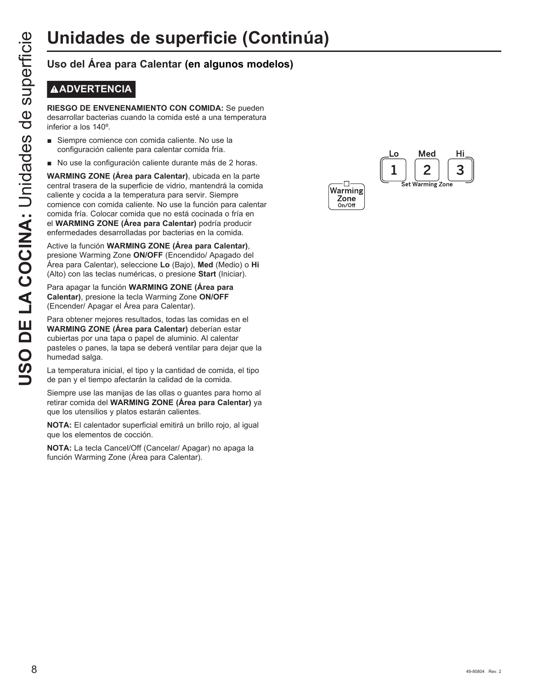## **ADVERTENCIA**

**RIESGO DE ENVENENAMIENTO CON COMIDA:** Se pueden desarrollar bacterias cuando la comida esté a una temperatura inferior a los 140º.

- Siempre comience con comida caliente. No use la configuración caliente para calentar comida fría.
- No use la configuración caliente durante más de 2 horas.

**Unidades de superficie (Continual)**<br>
Uso del Área para Calentar (en algunos modelos)<br> **B**<br> **COCINT RESCO DE ENVENENAMIENTO CON COMIDA:** Se pueden<br> **COCINTE DE LA COCINA COCINA:**<br> **COCINTE COCINTE COCINT COCINT**<br> **COCINTEM WARMING ZONE (Área para Calentar)**, ubicada en la parte central trasera de la superficie de vidrio, mantendrá la comida caliente y cocida a la temperatura para servir. Siempre comience con comida caliente. No use la función para calentar comida fría. Colocar comida que no está cocinada o fría en el **WARMING ZONE (Área para Calentar)** podría producir enfermedades desarrolladas por bacterias en la comida.

Active la función **WARMING ZONE (Área para Calentar)**, presione Warming Zone ON/OFF (Encendido/ Apagado del Área para Calentar), seleccione **Lo**%DMR**Med** (Medio) o **Hi** (Alto) con las teclas numéricas, o presione **Start** (Iniciar).

Para apagar la función **WARMING ZONE (Área para Calentar)**, presione la tecla Warming Zone **ON/OFF**  (Encender/ Apagar el Área para Calentar).

Para obtener mejores resultados, todas las comidas en el **WARMING ZONE (Área para Calentar)** deberían estar cubiertas por una tapa o papel de aluminio. Al calentar pasteles o panes, la tapa se deberá ventilar para dejar que la humedad salga.

La temperatura inicial, el tipo y la cantidad de comida, el tipo de pan y el tiempo afectarán la calidad de la comida.

Siempre use las manijas de las ollas o guantes para horno al retirar comida del **WARMING ZONE (Área para Calentar)** ya que los utensilios y platos estarán calientes.

**NOTA:** El calentador superficial emitirá un brillo rojo, al igual que los elementos de cocción.

**NOTA:** La tecla Cancel/Off (Cancelar/ Apagar) no apaga la función Warming Zone (Área para Calentar).

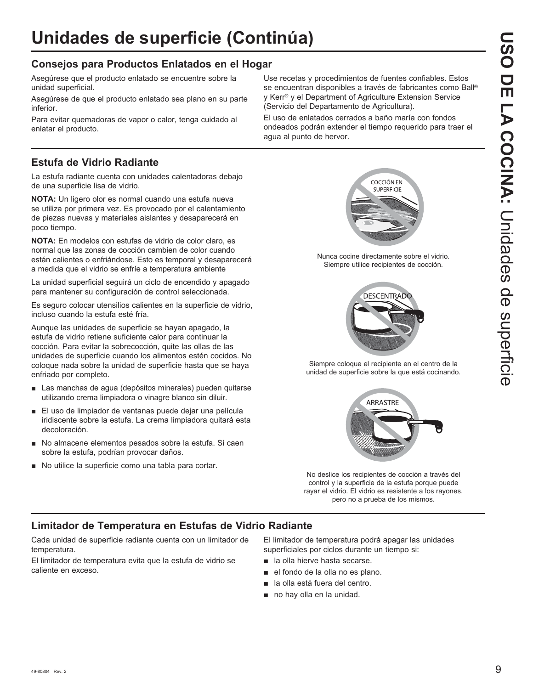## **Consejos para Productos Enlatados en el Hogar**

Asegúrese que el producto enlatado se encuentre sobre la unidad superficial.

Asegúrese de que el producto enlatado sea plano en su parte inferior.

Para evitar quemadoras de vapor o calor, tenga cuidado al enlatar el producto.

## **Estufa de Vidrio Radiante**

La estufa radiante cuenta con unidades calentadoras debajo de una superficie lisa de vidrio.

**NOTA:** Un ligero olor es normal cuando una estufa nueva se utiliza por primera vez. Es provocado por el calentamiento de piezas nuevas y materiales aislantes y desaparecerá en poco tiempo.

**NOTA:** En modelos con estufas de vidrio de color claro, es normal que las zonas de cocción cambien de color cuando están calientes o enfriándose. Esto es temporal y desaparecerá a medida que el vidrio se enfríe a temperatura ambiente

La unidad superficial seguirá un ciclo de encendido y apagado para mantener su configuración de control seleccionada.

Es seguro colocar utensilios calientes en la superficie de vidrio, incluso cuando la estufa esté fría.

Aunque las unidades de superficie se hayan apagado, la estufa de vidrio retiene suficiente calor para continuar la cocción. Para evitar la sobrecocción, quite las ollas de las unidades de superficie cuando los alimentos estén cocidos. No coloque nada sobre la unidad de superficie hasta que se haya enfriado por completo.

- Las manchas de agua (depósitos minerales) pueden quitarse utilizando crema limpiadora o vinagre blanco sin diluir.
- El uso de limpiador de ventanas puede dejar una película iridiscente sobre la estufa. La crema limpiadora quitará esta decoloración.
- No almacene elementos pesados sobre la estufa. Si caen sobre la estufa, podrían provocar daños.
- No utilice la superficie como una tabla para cortar.

Use recetas y procedimientos de fuentes confiables. Estos se encuentran disponibles a través de fabricantes como Ball® y Kerr® y el Department of Agriculture Extension Service (Servicio del Departamento de Agricultura).

El uso de enlatados cerrados a baño maría con fondos ondeados podrán extender el tiempo requerido para traer el agua al punto de hervor.



Nunca cocine directamente sobre el vidrio. Siempre utilice recipientes de cocción.



Siempre coloque el recipiente en el centro de la unidad de superficie sobre la que está cocinando.



No deslice los recipientes de cocción a través del control y la superficie de la estufa porque puede rayar el vidrio. El vidrio es resistente a los rayones, pero no a prueba de los mismos.

## **Limitador de Temperatura en Estufas de Vidrio Radiante**

Cada unidad de superficie radiante cuenta con un limitador de temperatura.

El limitador de temperatura evita que la estufa de vidrio se caliente en exceso.

El limitador de temperatura podrá apagar las unidades superficiales por ciclos durante un tiempo si:

- **a** la olla hierve hasta secarse.
- el fondo de la olla no es plano.
- la olla está fuera del centro.
- $\blacksquare$  no hay olla en la unidad.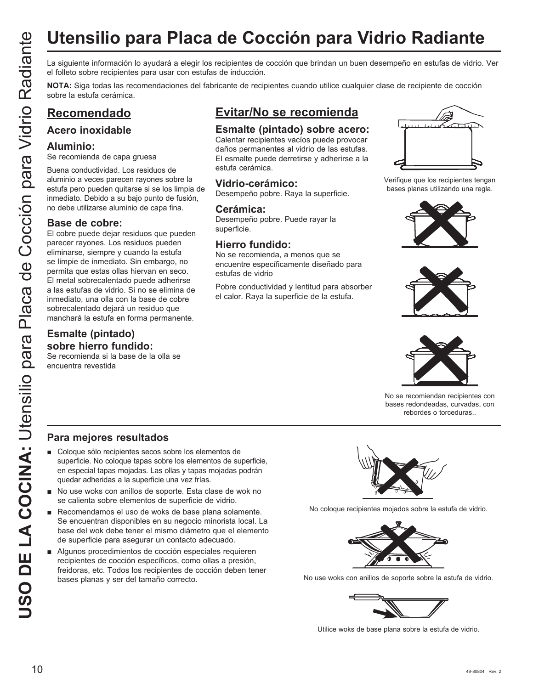# **Utensilio para Placa de Cocción para Vidrio Radiante**

el folleto sobre recipientes para usar con estufas de inducción.

**NOTA:** Siga todas las recomendaciones del fabricante de recipientes cuando utilice cualquier clase de recipiente de cocción sobre la estufa cerámica.

## **Recomendado**

## **Acero inoxidable**

#### **Aluminio:**

Se recomienda de capa gruesa

Buena conductividad. Los residuos de aluminio a veces parecen rayones sobre la estufa pero pueden quitarse si se los limpia de inmediato. Debido a su bajo punto de fusión, no debe utilizarse aluminio de capa fina.

### **Base de cobre:**

USO DE LA COCINA: EN COLONID DE LA COLONID DE LA COLONID DE LA COLONID DE LA COLONID DE LA COLONID DE LA COLONID DE LA COLONID DE LA COLONID DE LA COLONID DE LA COLONID DE LA COLONID DE LA COLONID DE LA COLONID DE LA COLON El cobre puede dejar residuos que pueden parecer rayones. Los residuos pueden eliminarse, siempre y cuando la estufa se limpie de inmediato. Sin embargo, no permita que estas ollas hiervan en seco. El metal sobrecalentado puede adherirse a las estufas de vidrio. Si no se elimina de inmediato, una olla con la base de cobre sobrecalentado dejará un residuo que manchará la estufa en forma permanente.

## **Esmalte (pintado) sobre hierro fundido:**

Se recomienda si la base de la olla se encuentra revestida

## **Evitar/No se recomienda**

## **Esmalte (pintado) sobre acero:**

Calentar recipientes vacíos puede provocar daños permanentes al vidrio de las estufas. El esmalte puede derretirse y adherirse a la estufa cerámica.

## **Vidrio-cerámico:**

Desempeño pobre. Raya la superficie.

#### **Cerámica:**

Desempeño pobre. Puede rayar la superficie.

## **Hierro fundido:**

No se recomienda, a menos que se encuentre específicamente diseñado para estufas de vidrio

Pobre conductividad y lentitud para absorber el calor. Raya la superficie de la estufa.



Verifique que los recipientes tengan bases planas utilizando una regla.







No se recomiendan recipientes con bases redondeadas, curvadas, con rebordes o torceduras..

## **Para mejores resultados**

- Coloque sólo recipientes secos sobre los elementos de superficie. No coloque tapas sobre los elementos de superficie, en especial tapas mojadas. Las ollas y tapas mojadas podrán quedar adheridas a la superficie una vez frías.
- No use woks con anillos de soporte. Esta clase de wok no se calienta sobre elementos de superficie de vidrio.
- Recomendamos el uso de woks de base plana solamente. Se encuentran disponibles en su negocio minorista local. La base del wok debe tener el mismo diámetro que el elemento de superficie para asegurar un contacto adecuado.
- Algunos procedimientos de cocción especiales requieren recipientes de cocción específicos, como ollas a presión, freidoras, etc. Todos los recipientes de cocción deben tener bases planas y ser del tamaño correcto.



No coloque recipientes mojados sobre la estufa de vidrio.



No use woks con anillos de soporte sobre la estufa de vidrio.



Utilice woks de base plana sobre la estufa de vidrio.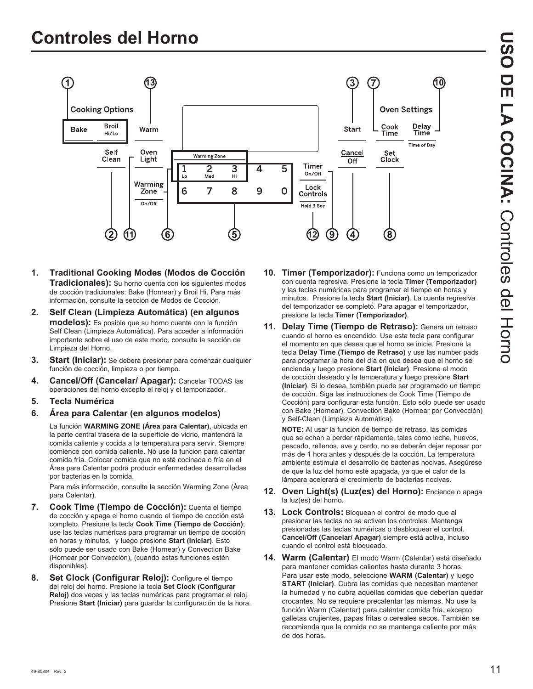

- **1. Traditional Cooking Modes (Modos de Cocción Tradicionales):** Su horno cuenta con los siguientes modos de cocción tradicionales: Bake (Hornear) y Broil Hi. Para más información, consulte la sección de Modos de Cocción.
- **2. Self Clean (Limpieza Automática) (en algunos modelos):** Es posible que su horno cuente con la función Self Clean (Limpieza Automática). Para acceder a información importante sobre el uso de este modo, consulte la sección de Limpieza del Horno.
- **3. Start (Iniciar):** Se deberá presionar para comenzar cualquier función de cocción, limpieza o por tiempo.
- **4. Cancel/Off (Cancelar/ Apagar):** Cancelar TODAS las operaciones del horno excepto el reloj y el temporizador.
- **5. Tecla Numérica**
- **6. Área para Calentar (en algunos modelos)**

La función **WARMING ZONE (Área para Calentar),** ubicada en la parte central trasera de la superficie de vidrio, mantendrá la comida caliente y cocida a la temperatura para servir. Siempre comience con comida caliente. No use la función para calentar comida fría. Colocar comida que no está cocinada o fría en el Área para Calentar podrá producir enfermedades desarrolladas por bacterias en la comida.

 Para más información, consulte la sección Warming Zone (Área para Calentar).

- **7. Cook Time (Tiempo de Cocción):** Cuenta el tiempo de cocción y apaga el horno cuando el tiempo de cocción está completo. Presione la tecla **Cook Time (Tiempo de Cocción)** use las teclas numéricas para programar un tiempo de cocción en horas y minutos, y luego presione **Start (Iniciar)**. Esto sólo puede ser usado con Bake (Hornear) y Convection Bake (Hornear por Convección), (cuando estas funciones estén disponibles).
- **8. Set Clock (Configurar Reloj):** Configure el tiempo del reloj del horno. Presione la tecla **Set Clock (Configurar Reloj)** dos veces y las teclas numéricas para programar el reloj. Presione **Start (Iniciar)** para guardar la configuración de la hora.
- **10. Timer (Temporizador):** Funciona como un temporizador con cuenta regresiva. Presione la tecla **Timer (Temporizador)** y las teclas numéricas para programar el tiempo en horas y minutos. Presione la tecla **Start (Iniciar)**. La cuenta regresiva del temporizador se completó. Para apagar el temporizador, presione la tecla **Timer (Temporizador)**.
- **11. Delay Time (Tiempo de Retraso):** Genera un retraso cuando el horno es encendido. Use esta tecla para configurar el momento en que desea que el horno se inicie. Presione la tecla **Delay Time (Tiempo de Retraso)** y use las number pads para programar la hora del día en que desea que el horno se encienda y luego presione **Start (Iniciar)**. Presione el modo de cocción deseado y la temperatura y luego presione **Start (Iniciar)**. Si lo desea, también puede ser programado un tiempo de cocción. Siga las instrucciones de Cook Time (Tiempo de Cocción) para configurar esta función. Esto sólo puede ser usado con Bake (Hornear), Convection Bake (Hornear por Convección) y Self-Clean (Limpieza Automática).

 **NOTE:** Al usar la función de tiempo de retraso, las comidas que se echan a perder rápidamente, tales como leche, huevos, pescado, rellenos, ave y cerdo, no se deberán dejar reposar por más de 1 hora antes y después de la cocción. La temperatura ambiente estimula el desarrollo de bacterias nocivas. Asegúrese de que la luz del horno esté apagada, ya que el calor de la lámpara acelerará el crecimiento de bacterias nocivas.

- **12. Oven Light(s) (Luz(es) del Horno):** Enciende o apaga la luz(es) del horno.
- **13. Lock Controls:** Bloquean el control de modo que al presionar las teclas no se activen los controles. Mantenga presionadas las teclas numéricas o desbloquear el control. **Cancel/Off (Cancelar/ Apagar)** siempre está activa, incluso cuando el control está bloqueado.
- **14. Warm (Calentar)** El modo Warm (Calentar) está diseñado para mantener comidas calientes hasta durante 3 horas. Para usar este modo, seleccione **WARM (Calentar)** y luego **START (Iniciar)**. Cubra las comidas que necesitan mantener la humedad y no cubra aquellas comidas que deberían quedar crocantes. No se requiere precalentar las mismas. No use la función Warm (Calentar) para calentar comida fría, excepto galletas crujientes, papas fritas o cereales secos. También se recomienda que la comida no se mantenga caliente por más de dos horas.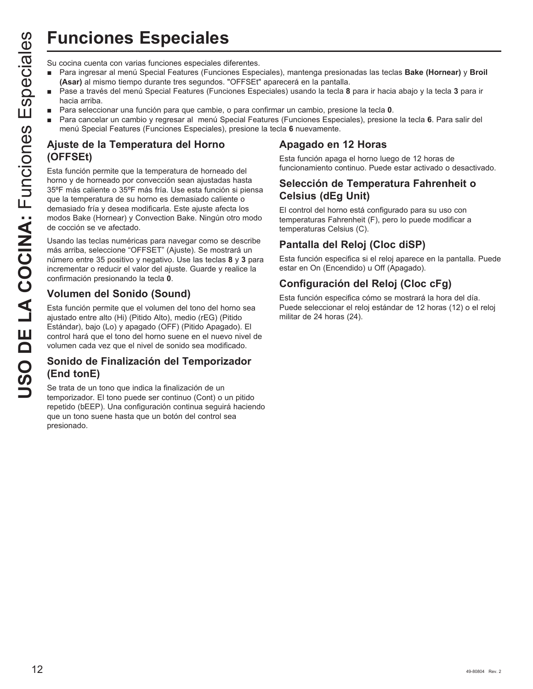## **Funciones Especiales**

- Para ingresar al menú Special Features (Funciones Especiales), mantenga presionadas las teclas Bake (Hornear) y Broil **(Asar)** al mismo tiempo durante tres segundos. "OFFSEt" aparecerá en la pantalla.
- Pase a través del menú Special Features (Funciones Especiales) usando la tecla 8 para ir hacia abajo y la tecla 3 para ir hacia arriba.
- Para seleccionar una función para que cambie, o para confirmar un cambio, presione la tecla 0.
- Para cancelar un cambio y regresar al menú Special Features (Funciones Especiales), presione la tecla 6. Para salir del menú Special Features (Funciones Especiales), presione la tecla **6** nuevamente.

## **Ajuste de la Temperatura del Horno (OFFSEt)**

**USO FINDENTIFY**<br>
Su cocina cuenta con varias funciones especiales diferentes.<br> **Assay** a imismo tiempo durante tres esgeundos. "OrFSET;<br> **Assay** a través del menú Special Features (Funciones Especiales de menú Special Fea Esta función permite que la temperatura de horneado del horno y de horneado por convección sean ajustadas hasta 35°F más caliente o 35°F más fría. Use esta función si piensa que la temperatura de su horno es demasiado caliente o demasiado fría y desea modificarla. Este ajuste afecta los modos Bake (Hornear) y Convection Bake. Ningún otro modo de cocción se ve afectado.

Usando las teclas numéricas para navegar como se describe más arriba, seleccione "OFFSET" (Ajuste). Se mostrará un número entre 35 positivo y negativo. Use las teclas 8 y 3 para incrementar o reducir el valor del ajuste. Guarde y realice la confirmación presionando la tecla **0**.

## **Volumen del Sonido (Sound)**

Esta función permite que el volumen del tono del horno sea ajustado entre alto (Hi) (Pitido Alto), medio (rEG) (Pitido Estándar), bajo (Lo) y apagado (OFF) (Pitido Apagado). El control hará que el tono del horno suene en el nuevo nivel de volumen cada vez que el nivel de sonido sea modificado.

## **Sonido de Finalización del Temporizador (End tonE)**

Se trata de un tono que indica la finalización de un temporizador. El tono puede ser continuo (Cont) o un pitido repetido (bEEP). Una configuración continua seguirá haciendo que un tono suene hasta que un botón del control sea presionado.

## **Apagado en 12 Horas**

Esta función apaga el horno luego de 12 horas de funcionamiento continuo. Puede estar activado o desactivado.

## **Selección de Temperatura Fahrenheit o Celsius (dEg Unit)**

El control del horno está configurado para su uso con temperaturas Fahrenheit (F), pero lo puede modificar a temperaturas Celsius (C).

## **Pantalla del Reloj (Cloc diSP)**

Esta función especifica si el reloj aparece en la pantalla. Puede estar en On (Encendido) u Off (Apagado).

## **Configuración del Reloj (Cloc cFg)**

Esta función especifica cómo se mostrará la hora del día. Puede seleccionar el reloj estándar de 12 horas (12) o el reloj militar de 24 horas (24).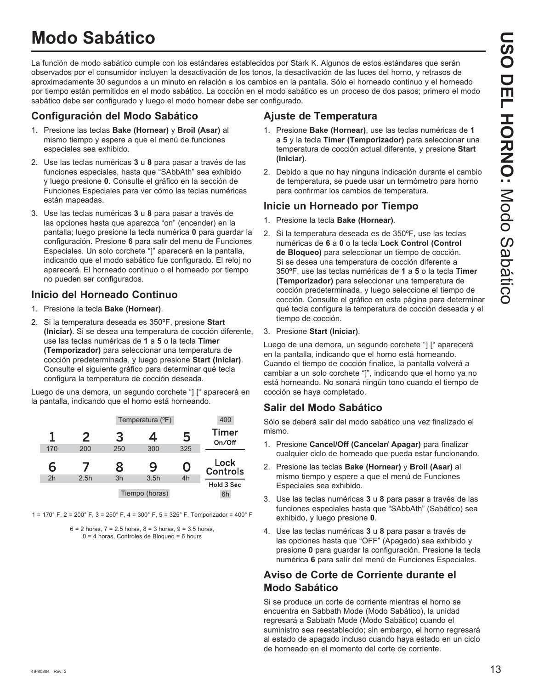## **Modo Sabático**

La función de modo sabático cumple con los estándares establecidos por Stark K. Algunos de estos estándares que serán observados por el consumidor incluyen la desactivación de los tonos, la desactivación de las luces del horno, y retrasos de aproximadamente 30 segundos a un minuto en relación a los cambios en la pantalla. Sólo el horneado continuo y el horneado por tiempo están permitidos en el modo sabático. La cocción en el modo sabático es un proceso de dos pasos; primero el modo sabático debe ser configurado y luego el modo hornear debe ser configurado.

## **Configuración del Modo Sabático**

- 1. Presione las teclas **Bake (Hornear)** y **Broil (Asar)** al mismo tiempo y espere a que el menú de funciones especiales sea exhibido.
- 2. Use las teclas numéricas 3 u 8 para pasar a través de las funciones especiales, hasta que "SAbbAth" sea exhibido y luego presione **0**. Consulte el gráfico en la sección de Funciones Especiales para ver cómo las teclas numéricas están mapeadas.
- 3. Use las teclas numéricas 3 u 8 para pasar a través de las opciones hasta que aparezca "on" (encender) en la pantalla: luego presione la tecla numérica 0 para guardar la configuración. Presione **6** para salir del menu de Funciones Especiales. Un solo corchete "]" aparecerá en la pantalla, indicando que el modo sabático fue configurado. El reloj no aparecerá. El horneado continuo o el horneado por tiempo no pueden ser configurados.

## **Inicio del Horneado Continuo**

- 1. Presione la tecla **Bake (Hornear)**.
- 2. Si la temperatura deseada es 350ºF, presione **Start (Iniciar)**. Si se desea una temperatura de cocción diferente, use las teclas numéricas de **1** a **5** o la tecla **Timer (Temporizador)** para seleccionar una temperatura de cocción predeterminada, y luego presione **Start (Iniciar)**. Consulte el siguiente gráfico para determinar qué tecla configura la temperatura de cocción deseada.

Luego de una demora, un segundo corchete "] [" aparecerá en la pantalla, indicando que el horno está horneando.

|                |      |     | Temperatura (°F) |     | 400                     |
|----------------|------|-----|------------------|-----|-------------------------|
| 1              | 2    | З   | 4                | 5   | <b>Timer</b><br>On/Off  |
| 170            | 200  | 250 | 300              | 325 |                         |
|                |      |     |                  |     |                         |
| 6              |      | 8   | 9                | 0   | Lock<br><b>Controls</b> |
| 2 <sub>h</sub> | 2.5h | 3h  | 3.5h             | 4h  | Hold 3 Sec              |

1 =  $170^{\circ}$  F, 2 =  $200^{\circ}$  F, 3 =  $250^{\circ}$  F, 4 =  $300^{\circ}$  F, 5 =  $325^{\circ}$  F, Temporizador =  $400^{\circ}$  F

 $6 = 2$  horas,  $7 = 2.5$  horas,  $8 = 3$  horas,  $9 = 3.5$  horas,  $0 = 4$  horas, Controles de Bloqueo = 6 hours

## **Ajuste de Temperatura**

- 1. Presione **Bake (Hornear)**, use las teclas numéricas de **1** a **5** y la tecla **Timer (Temporizador)** para seleccionar una temperatura de cocción actual diferente, y presione **Start (Iniciar)**.
- 2. Debido a que no hay ninguna indicación durante el cambio de temperatura, se puede usar un termómetro para horno para confirmar los cambios de temperatura.

## **Inicie un Horneado por Tiempo**

- 1. Presione la tecla **Bake (Hornear)**.
- 2. Si la temperatura deseada es de 350ºF, use las teclas numéricas de **6** a **0** o la tecla **Lock Control (Control de Bloqueo)** para seleccionar un tiempo de cocción. Si se desea una temperatura de cocción diferente a 350ºF, use las teclas numéricas de **1** a **5** o la tecla **Timer (Temporizador)** para seleccionar una temperatura de cocción predeterminada, y luego seleccione el tiempo de cocción. Consulte el gráfico en esta página para determinar qué tecla configura la temperatura de cocción deseada y el tiempo de cocción.
- 3. Presione **Start (Iniciar)**.

Luego de una demora, un segundo corchete "] [" aparecerá en la pantalla, indicando que el horno está horneando. Cuando el tiempo de cocción finalice, la pantalla volverá a cambiar a un solo corchete "]", indicando que el horno ya no está horneando. No sonará ningún tono cuando el tiempo de cocción se haya completado.

## **Salir del Modo Sabático**

Sólo se deberá salir del modo sabático una vez finalizado el mismo.

- 1. Presione **Cancel/Off (Cancelar/ Apagar)** para finalizar cualquier ciclo de horneado que pueda estar funcionando.
- 2. Presione las teclas **Bake (Hornear)** y **Broil (Asar)** al mismo tiempo y espere a que el menú de Funciones Especiales sea exhibido.
- 3. Use las teclas numéricas 3 u 8 para pasar a través de las funciones especiales hasta que "SAbbAth" (Sabático) sea exhibido, y luego presione **0**.
- 4. Use las teclas numéricas 3 u 8 para pasar a través de las opciones hasta que "OFF" (Apagado) sea exhibido y presione **0** para guardar la configuración. Presione la tecla numérica **6** para salir del menú de Funciones Especiales.

## **Aviso de Corte de Corriente durante el Modo Sabático**

Si se produce un corte de corriente mientras el horno se encuentra en Sabbath Mode (Modo Sabático), la unidad regresará a Sabbath Mode (Modo Sabático) cuando el suministro sea reestablecido; sin embargo, el horno regresará al estado de apagado incluso cuando haya estado en un ciclo de horneado en el momento del corte de corriente.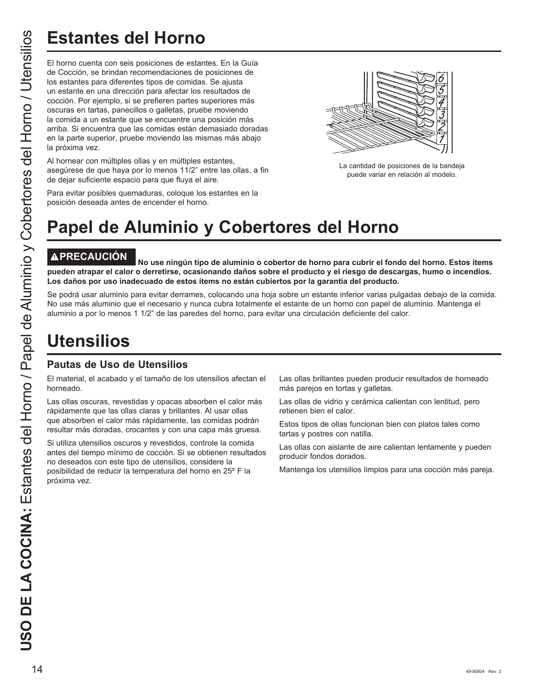# **Estantes del Horno**

El horno cuenta con seis posiciones de estantes. En la Guía de Cocción, se brindan recomendaciones de posiciones de los estantes para diferentes tipos de comidas. Se ajusta un estante en una dirección para afectar los resultados de cocción. Por ejemplo, si se prefieren partes superiores más oscuras en tartas, panecillos o galletas, pruebe moviendo la comida a un estante que se encuentre una posición más arriba. Si encuentra que las comidas están demasiado doradas en la parte superior, pruebe moviendo las mismas más abajo la próxima vez.

Al hornear con múltiples ollas y en múltiples estantes, asegúrese de que haya por lo menos 11/2" entre las ollas, a fin de dejar suficiente espacio para que fluya el aire.



La cantidad de posiciones de la bandeja puede variar en relación al modelo.

Para evitar posibles quemaduras, coloque los estantes en la posición deseada antes de encender el horno.

# **Papel de Aluminio y Cobertores del Horno**

**PRECAUCIÓN No use ningún tipo de aluminio o cobertor de horno para cubrir el fondo del horno. Estos ítems pueden atrapar el calor o derretirse, ocasionando daños sobre el producto y el riesgo de descargas, humo o incendios. Los daños por uso inadecuado de estos ítems no están cubiertos por la garantía del producto.**

Se podrá usar aluminio para evitar derrames, colocando una hoja sobre un estante inferior varias pulgadas debajo de la comida. No use más aluminio que el necesario y nunca cubra totalmente el estante de un horno con papel de aluminio. Mantenga el aluminio a por lo menos 1 1/2" de las paredes del horno, para evitar una circulación deficiente del calor.

## **Utensilios**

## **Pautas de Uso de Utensilios**

El material, el acabado y el tamaño de los utensilios afectan el horneado.

Las ollas oscuras, revestidas y opacas absorben el calor más rápidamente que las ollas claras y brillantes. Al usar ollas que absorben el calor más rápidamente, las comidas podrán resultar más doradas, crocantes y con una capa más gruesa.

Si utiliza utensilios oscuros y revestidos, controle la comida antes del tiempo mínimo de cocción. Si se obtienen resultados no deseados con este tipo de utensilios, considere la posibilidad de reducir la temperatura del horno en 25º F la próxima vez.

Las ollas brillantes pueden producir resultados de horneado más parejos en tortas y galletas.

Las ollas de vidrio y cerámica calientan con lentitud, pero retienen bien el calor.

Estos tipos de ollas funcionan bien con platos tales como tartas y postres con natilla.

Las ollas con aislante de aire calientan lentamente y pueden producir fondos dorados.

Mantenga los utensilios limpios para una cocción más pareja.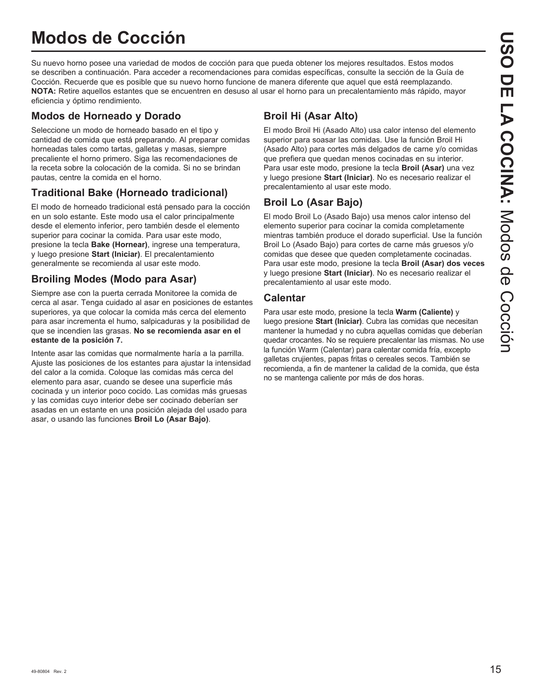## **Modos de Cocción**

Su nuevo horno posee una variedad de modos de cocción para que pueda obtener los mejores resultados. Estos modos se describen a continuación. Para acceder a recomendaciones para comidas específicas, consulte la sección de la Guía de Cocción. Recuerde que es posible que su nuevo horno funcione de manera diferente que aquel que está reemplazando. **NOTA:** Retire aquellos estantes que se encuentren en desuso al usar el horno para un precalentamiento más rápido, mayor eficiencia y óptimo rendimiento.

## **Modos de Horneado y Dorado**

Seleccione un modo de horneado basado en el tipo y cantidad de comida que está preparando. Al preparar comidas horneadas tales como tartas, galletas y masas, siempre precaliente el horno primero. Siga las recomendaciones de la receta sobre la colocación de la comida. Si no se brindan pautas, centre la comida en el horno.

## **Traditional Bake (Horneado tradicional)**

El modo de horneado tradicional está pensado para la cocción en un solo estante. Este modo usa el calor principalmente desde el elemento inferior, pero también desde el elemento superior para cocinar la comida. Para usar este modo, presione la tecla **Bake (Hornear)**, ingrese una temperatura, y luego presione **Start (Iniciar)**. El precalentamiento generalmente se recomienda al usar este modo.

## **Broiling Modes (Modo para Asar)**

Siempre ase con la puerta cerrada Monitoree la comida de cerca al asar. Tenga cuidado al asar en posiciones de estantes superiores, ya que colocar la comida más cerca del elemento para asar incrementa el humo, salpicaduras y la posibilidad de que se incendien las grasas. **No se recomienda asar en el estante de la posición 7.**

Intente asar las comidas que normalmente haría a la parrilla. Ajuste las posiciones de los estantes para ajustar la intensidad del calor a la comida. Coloque las comidas más cerca del elemento para asar, cuando se desee una superficie más cocinada y un interior poco cocido. Las comidas más gruesas y las comidas cuyo interior debe ser cocinado deberían ser asadas en un estante en una posición alejada del usado para asar, o usando las funciones **Broil Lo (Asar Bajo)**.

## **Broil Hi (Asar Alto)**

El modo Broil Hi (Asado Alto) usa calor intenso del elemento superior para soasar las comidas. Use la función Broil Hi (Asado Alto) para cortes más delgados de carne y/o comidas que prefiera que quedan menos cocinadas en su interior. Para usar este modo, presione la tecla **Broil (Asar)** una vez y luego presione **Start (Iniciar)**. No es necesario realizar el precalentamiento al usar este modo.

## **Broil Lo (Asar Bajo)**

El modo Broil Lo (Asado Bajo) usa menos calor intenso del elemento superior para cocinar la comida completamente mientras también produce el dorado superficial. Use la función Broil Lo (Asado Bajo) para cortes de carne más gruesos y/o comidas que desee que queden completamente cocinadas. Para usar este modo, presione la tecla **Broil (Asar) dos veces** y luego presione **Start (Iniciar)**. No es necesario realizar el precalentamiento al usar este modo.

## **Calentar**

Para usar este modo, presione la tecla **Warm (Caliente)** y luego presione **Start (Iniciar)**. Cubra las comidas que necesitan mantener la humedad y no cubra aquellas comidas que deberían quedar crocantes. No se requiere precalentar las mismas. No use la función Warm (Calentar) para calentar comida fría, excepto galletas crujientes, papas fritas o cereales secos. También se recomienda, a fin de mantener la calidad de la comida, que ésta no se mantenga caliente por más de dos horas.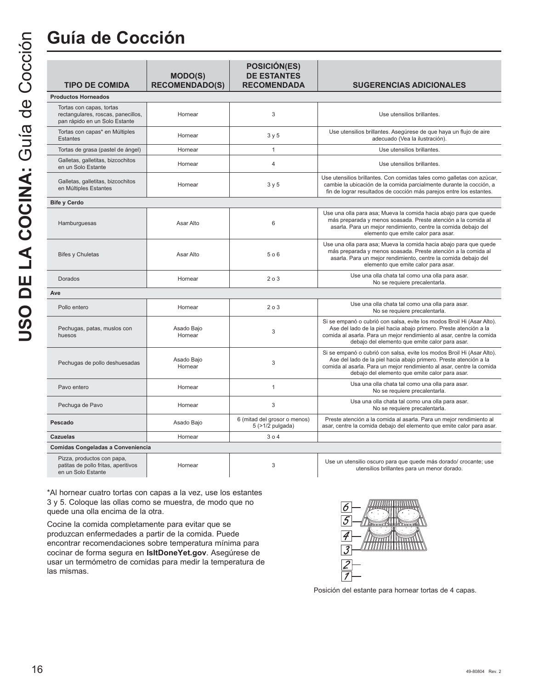## **Guía de Cocción**

| <b>TIPO DE COMIDA</b>                                                                           | <b>MODO(S)</b><br><b>RECOMENDADO(S)</b> | <b>POSICIÓN(ES)</b><br><b>DE ESTANTES</b><br><b>RECOMENDADA</b> | <b>SUGERENCIAS ADICIONALES</b>                                                                                                                                                                                                                                         |
|-------------------------------------------------------------------------------------------------|-----------------------------------------|-----------------------------------------------------------------|------------------------------------------------------------------------------------------------------------------------------------------------------------------------------------------------------------------------------------------------------------------------|
| <b>Productos Horneados</b>                                                                      |                                         |                                                                 |                                                                                                                                                                                                                                                                        |
| Tortas con capas, tortas<br>rectangulares, roscas, panecillos,<br>pan rápido en un Solo Estante | Hornear                                 | 3                                                               | Use utensilios brillantes.                                                                                                                                                                                                                                             |
| Tortas con capas* en Múltiples<br><b>Estantes</b>                                               | Hornear                                 | 3y5                                                             | Use utensilios brillantes. Asegúrese de que haya un flujo de aire<br>adecuado (Vea la ilustración).                                                                                                                                                                    |
| Tortas de grasa (pastel de ángel)                                                               | Hornear                                 | $\mathbf{1}$                                                    | Use utensilios brillantes.                                                                                                                                                                                                                                             |
| Galletas, galletitas, bizcochitos<br>en un Solo Estante                                         | Hornear                                 | $\overline{4}$                                                  | Use utensilios brillantes.                                                                                                                                                                                                                                             |
| Galletas, galletitas, bizcochitos<br>en Múltiples Estantes                                      | Hornear                                 | 3y5                                                             | Use utensilios brillantes. Con comidas tales como galletas con azúcar,<br>cambie la ubicación de la comida parcialmente durante la cocción, a<br>fin de lograr resultados de cocción más parejos entre los estantes.                                                   |
| <b>Bife y Cerdo</b>                                                                             |                                         |                                                                 |                                                                                                                                                                                                                                                                        |
| Hamburguesas                                                                                    | Asar Alto                               | 6                                                               | Use una olla para asa; Mueva la comida hacia abajo para que quede<br>más preparada y menos soasada. Preste atención a la comida al<br>asarla. Para un mejor rendimiento, centre la comida debajo del<br>elemento que emite calor para asar.                            |
| <b>Bifes y Chuletas</b>                                                                         | Asar Alto                               | 506                                                             | Use una olla para asa; Mueva la comida hacia abajo para que quede<br>más preparada y menos soasada. Preste atención a la comida al<br>asarla. Para un mejor rendimiento, centre la comida debajo del<br>elemento que emite calor para asar.                            |
| Dorados                                                                                         | Hornear                                 | 203                                                             | Use una olla chata tal como una olla para asar.<br>No se requiere precalentarla.                                                                                                                                                                                       |
| Ave                                                                                             |                                         |                                                                 |                                                                                                                                                                                                                                                                        |
| Pollo entero                                                                                    | Hornear                                 | 203                                                             | Use una olla chata tal como una olla para asar.<br>No se requiere precalentarla.                                                                                                                                                                                       |
| Pechugas, patas, muslos con<br>huesos                                                           | Asado Bajo<br>Hornear                   | 3                                                               | Si se empanó o cubrió con salsa, evite los modos Broil Hi (Asar Alto).<br>Ase del lado de la piel hacia abajo primero. Preste atención a la<br>comida al asarla. Para un mejor rendimiento al asar, centre la comida<br>debajo del elemento que emite calor para asar. |
| Pechugas de pollo deshuesadas                                                                   | Asado Bajo<br>Hornear                   | 3                                                               | Si se empanó o cubrió con salsa, evite los modos Broil Hi (Asar Alto).<br>Ase del lado de la piel hacia abajo primero. Preste atención a la<br>comida al asarla. Para un mejor rendimiento al asar, centre la comida<br>debajo del elemento que emite calor para asar. |
| Pavo entero                                                                                     | Hornear                                 | $\mathbf{1}$                                                    | Usa una olla chata tal como una olla para asar.<br>No se requiere precalentarla.                                                                                                                                                                                       |
| Pechuga de Pavo                                                                                 | Hornear                                 | 3                                                               | Usa una olla chata tal como una olla para asar.<br>No se requiere precalentarla.                                                                                                                                                                                       |
| Pescado                                                                                         | Asado Bajo                              | 6 (mitad del grosor o menos)<br>5 (>1/2 pulgada)                | Preste atención a la comida al asarla. Para un mejor rendimiento al<br>asar, centre la comida debajo del elemento que emite calor para asar.                                                                                                                           |
| Cazuelas                                                                                        | Hornear                                 | 304                                                             |                                                                                                                                                                                                                                                                        |
| Comidas Congeladas a Conveniencia                                                               |                                         |                                                                 |                                                                                                                                                                                                                                                                        |
|                                                                                                 |                                         |                                                                 |                                                                                                                                                                                                                                                                        |

| Pizza, productos con papa,          |         |  |
|-------------------------------------|---------|--|
| patitas de pollo fritas, aperitivos | Hornear |  |
| en un Solo Estante                  |         |  |

\*Al hornear cuatro tortas con capas a la vez, use los estantes 3 y 5. Coloque las ollas como se muestra, de modo que no quede una olla encima de la otra.

Cocine la comida completamente para evitar que se produzcan enfermedades a partir de la comida. Puede encontrar recomendaciones sobre temperatura mínima para cocinar de forma segura en **IsItDoneYet.gov**. Asegúrese de usar un termómetro de comidas para medir la temperatura de las mismas.



Posición del estante para hornear tortas de 4 capas.

Use un utensilio oscuro para que quede más dorado/ crocante; use utensilios brillantes para un menor dorado.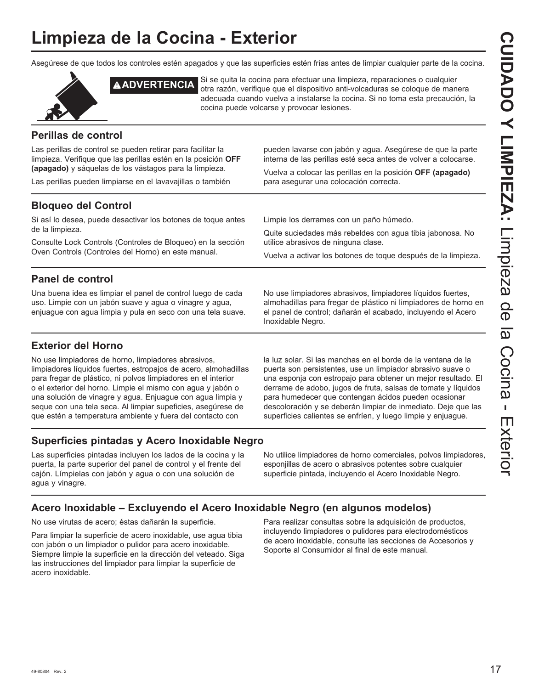## **Limpieza de la Cocina - Exterior**

Asegúrese de que todos los controles estén apagados y que las superficies estén frías antes de limpiar cualquier parte de la cocina.



**ADVERTENCIA** Si se quita la cocina para efectuar una limpieza, reparaciones o cualquier otra razón, verifique que el dispositivo anti-volcaduras se coloque de manera adecuada cuando vuelva a instalarse la cocina. Si no toma esta precaución, la cocina puede volcarse y provocar lesiones.

## **Perillas de control**

Las perillas de control se pueden retirar para facilitar la limpieza. Verifique que las perillas estén en la posición **OFF (apagado)** y sáquelas de los vástagos para la limpieza.

Las perillas pueden limpiarse en el lavavajillas o también

pueden lavarse con jabón y agua. Asegúrese de que la parte interna de las perillas esté seca antes de volver a colocarse.

Vuelva a colocar las perillas en la posición **OFF (apagado)** para asegurar una colocación correcta.

## **Bloqueo del Control**

Si así lo desea, puede desactivar los botones de toque antes de la limpieza.

Consulte Lock Controls (Controles de Bloqueo) en la sección Oven Controls (Controles del Horno) en este manual.

Limpie los derrames con un paño húmedo.

Quite suciedades más rebeldes con agua tibia jabonosa. No utilice abrasivos de ninguna clase.

Vuelva a activar los botones de toque después de la limpieza.

## **Panel de control**

Una buena idea es limpiar el panel de control luego de cada uso. Limpie con un jabón suave y agua o vinagre y agua, enjuague con agua limpia y pula en seco con una tela suave. No use limpiadores abrasivos, limpiadores líquidos fuertes, almohadillas para fregar de plástico ni limpiadores de horno en el panel de control; dañarán el acabado, incluyendo el Acero Inoxidable Negro.

## **Exterior del Horno**

No use limpiadores de horno, limpiadores abrasivos, limpiadores líquidos fuertes, estropajos de acero, almohadillas para fregar de plástico, ni polvos limpiadores en el interior o el exterior del horno. Limpie el mismo con agua y jabón o una solución de vinagre y agua. Enjuague con agua limpia y seque con una tela seca. Al limpiar supeficies, asegúrese de que estén a temperatura ambiente y fuera del contacto con

la luz solar. Si las manchas en el borde de la ventana de la puerta son persistentes, use un limpiador abrasivo suave o una esponja con estropajo para obtener un mejor resultado. El derrame de adobo, jugos de fruta, salsas de tomate y líquidos para humedecer que contengan ácidos pueden ocasionar descoloración y se deberán limpiar de inmediato. Deje que las superficies calientes se enfríen, y luego limpie y enjuague.

## **Superficies pintadas y Acero Inoxidable Negro**

Las superficies pintadas incluyen los lados de la cocina y la puerta, la parte superior del panel de control y el frente del cajón. Límpielas con jabón y agua o con una solución de agua y vinagre.

No utilice limpiadores de horno comerciales, polvos limpiadores, esponjillas de acero o abrasivos potentes sobre cualquier superficie pintada, incluyendo el Acero Inoxidable Negro.

## **Acero Inoxidable – Excluyendo el Acero Inoxidable Negro (en algunos modelos)**

No use virutas de acero; éstas dañarán la superficie.

Para limpiar la superficie de acero inoxidable, use agua tibia con jabón o un limpiador o pulidor para acero inoxidable. Siempre limpie la superficie en la dirección del veteado. Siga las instrucciones del limpiador para limpiar la superficie de acero inoxidable.

Para realizar consultas sobre la adquisición de productos, incluyendo limpiadores o pulidores para electrodomésticos de acero inoxidable, consulte las secciones de Accesorios y Soporte al Consumidor al final de este manual.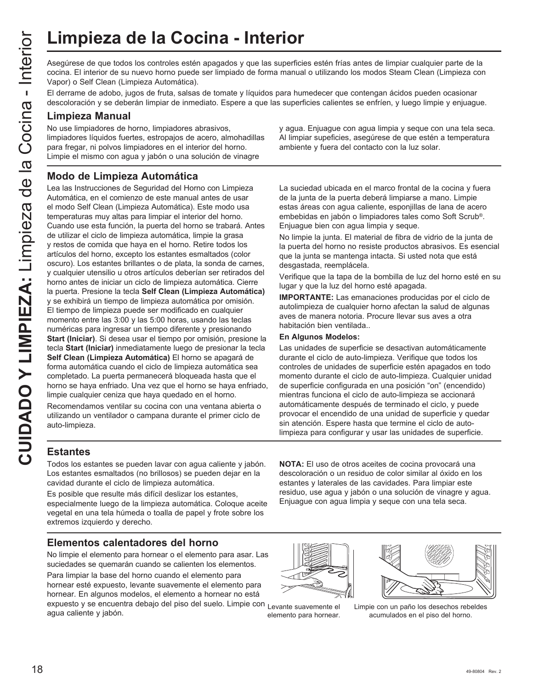Asegúrese de que todos los controles estén apagados y que las superficies estén frías antes de limpiar cualquier parte de la cocina. El interior de su nuevo horno puede ser limpiado de forma manual o utilizando los modos Steam Clean (Limpieza con Vapor) o Self Clean (Limpieza Automática).

El derrame de adobo, jugos de fruta, salsas de tomate y líquidos para humedecer que contengan ácidos pueden ocasionar descoloración y se deberán limpiar de inmediato. Espere a que las superficies calientes se enfríen, y luego limpie y enjuague.

#### **Limpieza Manual**

No use limpiadores de horno, limpiadores abrasivos, limpiadores líquidos fuertes, estropajos de acero, almohadillas para fregar, ni polvos limpiadores en el interior del horno. Limpie el mismo con agua y jabón o una solución de vinagre

y agua. Enjuague con agua limpia y seque con una tela seca. Al limpiar supeficies, asegúrese de que estén a temperatura ambiente y fuera del contacto con la luz solar.

## **Modo de Limpieza Automática**

CUIMPIEZA de la Cocina - Interior<br>
Cuine de subseques de que todos los controles estém apagados y que las superficies contra El interior de su nuevo homo puedos estimpliados estimpliados de forma manual<br>
El estecoloradion Lea las Instrucciones de Seguridad del Horno con Limpieza Automática, en el comienzo de este manual antes de usar el modo Self Clean (Limpieza Automática). Este modo usa temperaturas muy altas para limpiar el interior del horno. Cuando use esta función, la puerta del horno se trabará. Antes de utilizar el ciclo de limpieza automática, limpie la grasa y restos de comida que haya en el horno. Retire todos los artículos del horno, excepto los estantes esmaltados (color oscuro). Los estantes brillantes o de plata, la sonda de carnes, y cualquier utensilio u otros artículos deberían ser retirados del horno antes de iniciar un ciclo de limpieza automática. Cierre la puerta. Presione la tecla **Self Clean (Limpieza Automática)** y se exhibirá un tiempo de limpieza automática por omisión. El tiempo de limpieza puede ser modificado en cualquier momento entre las 3:00 y las 5:00 horas, usando las teclas numéricas para ingresar un tiempo diferente y presionando **Start (Iniciar)**. Si desea usar el tiempo por omisión, presione la tecla **Start (Iniciar)** inmediatamente luego de presionar la tecla **Self Clean (Limpieza Automática)** El horno se apagará de forma automática cuando el ciclo de limpieza automática sea completado. La puerta permanecerá bloqueada hasta que el horno se haya enfriado. Una vez que el horno se haya enfriado, limpie cualquier ceniza que haya quedado en el horno.

Recomendamos ventilar su cocina con una ventana abierta o utilizando un ventilador o campana durante el primer ciclo de auto-limpieza.

La suciedad ubicada en el marco frontal de la cocina y fuera de la junta de la puerta deberá limpiarse a mano. Limpie estas áreas con agua caliente, esponjillas de lana de acero embebidas en jabón o limpiadores tales como Soft Scrub®. Enjuague bien con agua limpia y seque.

No limpie la junta. El material de fibra de vidrio de la junta de la puerta del horno no resiste productos abrasivos. Es esencial que la junta se mantenga intacta. Si usted nota que está desgastada, reemplácela.

Verifique que la tapa de la bombilla de luz del horno esté en su lugar y que la luz del horno esté apagada.

**IMPORTANTE:** Las emanaciones producidas por el ciclo de autolimpieza de cualquier horno afectan la salud de algunas aves de manera notoria. Procure llevar sus aves a otra habitación bien ventilada..

#### **En Algunos Modelos:**

Las unidades de superficie se desactivan automáticamente durante el ciclo de auto-limpieza. Verifique que todos los controles de unidades de superficie estén apagados en todo momento durante el ciclo de auto-limpieza. Cualquier unidad de superficie configurada en una posición "on" (encendido) mientras funciona el ciclo de auto-limpieza se accionará automáticamente después de terminado el ciclo, y puede provocar el encendido de una unidad de superficie y quedar sin atención. Espere hasta que termine el ciclo de autolimpieza para configurar y usar las unidades de superficie.

## **Estantes**

Todos los estantes se pueden lavar con agua caliente y jabón. Los estantes esmaltados (no brillosos) se pueden dejar en la cavidad durante el ciclo de limpieza automática.

Es posible que resulte más difícil deslizar los estantes, especialmente luego de la limpieza automática. Coloque aceite vegetal en una tela húmeda o toalla de papel y frote sobre los extremos izquierdo y derecho.

### **Elementos calentadores del horno**

No limpie el elemento para hornear o el elemento para asar. Las suciedades se quemarán cuando se calienten los elementos.

Para limpiar la base del horno cuando el elemento para hornear esté expuesto, levante suavemente el elemento para hornear. En algunos modelos, el elemento a hornear no está expuesto y se encuentra debajo del piso del suelo. Limpie con agua caliente y jabón. Limpie con un paño los desechos rebeldes Levante suavemente el

**NOTA:** El uso de otros aceites de cocina provocará una descoloración o un residuo de color similar al óxido en los estantes y laterales de las cavidades. Para limpiar este residuo, use agua y jabón o una solución de vinagre y agua. Enjuague con agua limpia y seque con una tela seca.



elemento para hornear.



acumulados en el piso del horno.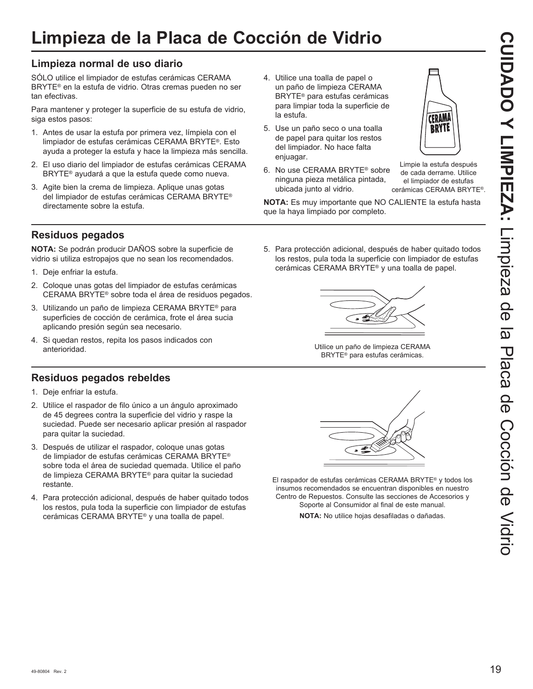5. Use un paño seco o una toalla de papel para quitar los restos del limpiador. No hace falta enjuagar.

la estufa.

6. No use CERAMA BRYTE<sup>®</sup> sobre ninguna pieza metálica pintada, ubicada junto al vidrio.



Limpie la estufa después de cada derrame. Utilice el limpiador de estufas cerámicas CERAMA BRYTE®

**NOTA:** Es muy importante que NO CALIENTE la estufa hasta que la haya limpiado por completo.

**Residuos pegados**

directamente sobre la estufa.

tan efectivas.

siga estos pasos:

**Limpieza normal de uso diario**

SÓLO utilice el limpiador de estufas cerámicas CERAMA BRYTE<sup>®</sup> en la estufa de vidrio. Otras cremas pueden no ser

Para mantener y proteger la superficie de su estufa de vidrio,

1. Antes de usar la estufa por primera vez, límpiela con el limpiador de estufas cerámicas CERAMA BRYTE®. Esto ayuda a proteger la estufa y hace la limpieza más sencilla. 2. El uso diario del limpiador de estufas cerámicas CERAMA BRYTE<sup>®</sup> ayudará a que la estufa quede como nueva. 3. Agite bien la crema de limpieza. Aplique unas gotas del limpiador de estufas cerámicas CERAMA BRYTE®

**NOTA:** Se podrán producir DAÑOS sobre la superficie de vidrio si utiliza estropajos que no sean los recomendados.

- 1. Deje enfriar la estufa.
- 2. Coloque unas gotas del limpiador de estufas cerámicas CERAMA BRYTE® sobre toda el área de residuos pegados.
- 3. Utilizando un paño de limpieza CERAMA BRYTE<sup>®</sup> para superficies de cocción de cerámica, frote el área sucia aplicando presión según sea necesario.
- 4. Si quedan restos, repita los pasos indicados con anterioridad.

## **Residuos pegados rebeldes**

- 1. Deje enfriar la estufa.
- 2. Utilice el raspador de filo único a un ángulo aproximado de 45 degrees contra la superficie del vidrio y raspe la suciedad. Puede ser necesario aplicar presión al raspador para quitar la suciedad.
- 3. Después de utilizar el raspador, coloque unas gotas de limpiador de estufas cerámicas CERAMA BRYTE® sobre toda el área de suciedad quemada. Utilice el paño de limpieza CERAMA BRYTE<sup>®</sup> para quitar la suciedad restante.
- 4. Para protección adicional, después de haber quitado todos los restos, pula toda la superficie con limpiador de estufas cerámicas CERAMA BRYTE® y una toalla de papel.

5. Para protección adicional, después de haber quitado todos los restos, pula toda la superficie con limpiador de estufas cerámicas CERAMA BRYTE® y una toalla de papel.



Utilice un paño de limpieza CERAMA BRYTE<sup>®</sup> para estufas cerámicas.



El raspador de estufas cerámicas CERAMA BRYTE® y todos los insumos recomendados se encuentran disponibles en nuestro Centro de Repuestos. Consulte las secciones de Accesorios y Soporte al Consumidor al final de este manual.

**NOTA:** No utilice hojas desafiladas o dañadas.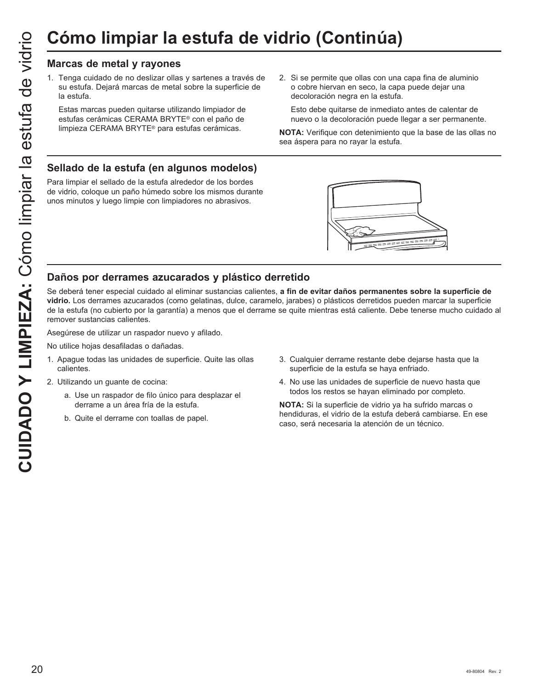1. Tenga cuidado de no deslizar ollas y sartenes a través de su estufa. Dejará marcas de metal sobre la superficie de la estufa.

 Estas marcas pueden quitarse utilizando limpiador de estufas cerámicas CERAMA BRYTE® con el paño de limpieza CERAMA BRYTE<sup>®</sup> para estufas cerámicas.

2. Si se permite que ollas con una capa fina de aluminio o cobre hiervan en seco, la capa puede dejar una decoloración negra en la estufa.

 Esto debe quitarse de inmediato antes de calentar de nuevo o la decoloración puede llegar a ser permanente.

**NOTA:** Verifique con detenimiento que la base de las ollas no sea áspera para no rayar la estufa.

## **Sellado de la estufa (en algunos modelos)**

Para limpiar el sellado de la estufa alrededor de los bordes de vidrio, coloque un paño húmedo sobre los mismos durante unos minutos y luego limpie con limpiadores no abrasivos.



## **Daños por derrames azucarados y plástico derretido**

Se deberá tener especial cuidado al eliminar sustancias calientes, **a fin de evitar daños permanentes sobre la superficie de vidrio.** Los derrames azucarados (como gelatinas, dulce, caramelo, jarabes) o plásticos derretidos pueden marcar la superficie de la estufa (no cubierto por la garantía) a menos que el derrame se quite mientras está caliente. Debe tenerse mucho cuidado al remover sustancias calientes.

Asegúrese de utilizar un raspador nuevo y afilado.

No utilice hojas desafiladas o dañadas.

- 1. Apague todas las unidades de superficie. Quite las ollas calientes.
- 2. Utilizando un guante de cocina:
	- a. Use un raspador de filo único para desplazar el derrame a un área fría de la estufa.
	- b. Quite el derrame con toallas de papel.
- 3. Cualquier derrame restante debe dejarse hasta que la superficie de la estufa se haya enfriado.
- 4. No use las unidades de superficie de nuevo hasta que todos los restos se hayan eliminado por completo.

**NOTA:** Si la superficie de vidrio ya ha sufrido marcas o hendiduras, el vidrio de la estufa deberá cambiarse. En ese caso, será necesaria la atención de un técnico.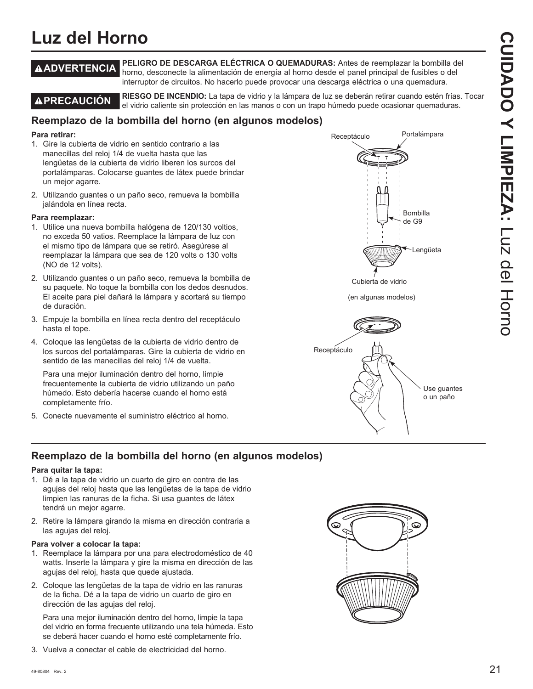## **Luz del Horno**

**ADVERTENCIA PELIGRO DE DESCARGA ELÉCTRICA O QUEMADURAS:** Antes de reemplazar la bombilla del horno, desconecte la alimentación de energía al horno desde el panel principal de fusibles o del interruptor de circuitos. No hacerlo puede provocar una descarga eléctrica o una quemadura.

**PRECAUCIÓN RIESGO DE INCENDIO:** La tapa de vidrio y la lámpara de luz se deberán retirar cuando estén frías. Tocar el vidrio caliente sin protección en las manos o con un trapo húmedo puede ocasionar quemaduras.

## **Reemplazo de la bombilla del horno (en algunos modelos)**

#### **Para retirar:**

- 1. Gire la cubierta de vidrio en sentido contrario a las manecillas del reloj 1/4 de vuelta hasta que las lengüetas de la cubierta de vidrio liberen los surcos del portalámparas. Colocarse guantes de látex puede brindar un mejor agarre.
- 2. Utilizando guantes o un paño seco, remueva la bombilla jalándola en línea recta.

#### **Para reemplazar:**

- 1. Utilice una nueva bombilla halógena de 120/130 voltios, no exceda 50 vatios. Reemplace la lámpara de luz con el mismo tipo de lámpara que se retiró. Asegúrese al reemplazar la lámpara que sea de 120 volts o 130 volts (NO de 12 volts).
- 2. Utilizando quantes o un paño seco, remueva la bombilla de su paquete. No toque la bombilla con los dedos desnudos. El aceite para piel dañará la lámpara y acortará su tiempo de duración.
- 3. Empuje la bombilla en línea recta dentro del receptáculo hasta el tope.
- 4. Coloque las lengüetas de la cubierta de vidrio dentro de los surcos del portalámparas. Gire la cubierta de vidrio en sentido de las manecillas del reloj 1/4 de vuelta.

 Para una mejor iluminación dentro del horno, limpie frecuentemente la cubierta de vidrio utilizando un paño húmedo. Esto debería hacerse cuando el horno está completamente frío.

5. Conecte nuevamente el suministro eléctrico al horno.





## **Reemplazo de la bombilla del horno (en algunos modelos)**

#### **Para quitar la tapa:**

- 1. Dé a la tapa de vidrio un cuarto de giro en contra de las agujas del reloj hasta que las lengüetas de la tapa de vidrio limpien las ranuras de la ficha. Si usa guantes de látex tendrá un mejor agarre.
- 2. Retire la lámpara girando la misma en dirección contraria a las agujas del reloj.

#### **Para volver a colocar la tapa:**

- 1. Reemplace la lámpara por una para electrodoméstico de 40 watts. Inserte la lámpara y gire la misma en dirección de las agujas del reloj, hasta que quede ajustada.
- 2. Coloque las lengüetas de la tapa de vidrio en las ranuras de la ficha. Dé a la tapa de vidrio un cuarto de giro en dirección de las agujas del reloj.

 Para una mejor iluminación dentro del horno, limpie la tapa del vidrio en forma frecuente utilizando una tela húmeda. Esto se deberá hacer cuando el horno esté completamente frío.

3. Vuelva a conectar el cable de electricidad del horno.

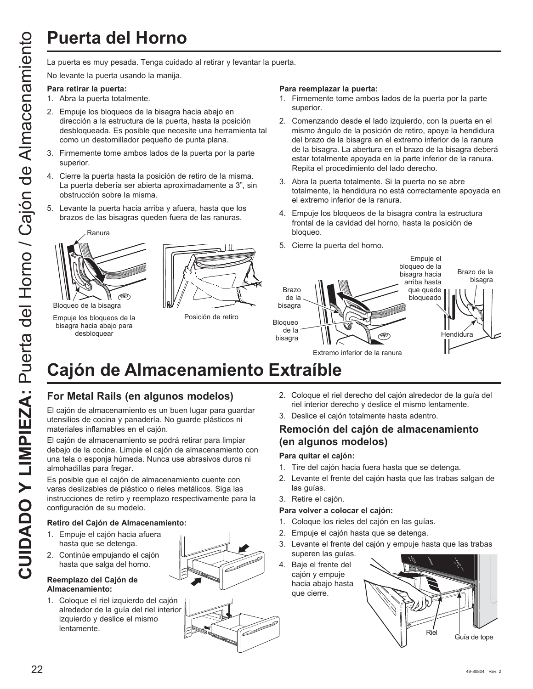La puerta es muy pesada. Tenga cuidado al retirar y levantar la puerta.

No levante la puerta usando la manija.

#### **Para retirar la puerta:**

- 1. Abra la puerta totalmente.
- 2. Empuje los bloqueos de la bisagra hacia abajo en dirección a la estructura de la puerta, hasta la posición desbloqueada. Es posible que necesite una herramienta tal como un destornillador pequeño de punta plana.
- 3. Firmemente tome ambos lados de la puerta por la parte superior.
- 4. Cierre la puerta hasta la posición de retiro de la misma. La puerta debería ser abierta aproximadamente a 3", sin obstrucción sobre la misma.
- 5. Levante la puerta hacia arriba y afuera, hasta que los brazos de las bisagras queden fuera de las ranuras.



Bloqueo de la bisagra

Empuje los bloqueos de la bisagra hacia abajo para desbloquear



Posición de retiro

#### **Para reemplazar la puerta:**

- 1. Firmemente tome ambos lados de la puerta por la parte superior.
- 2. Comenzando desde el lado izquierdo, con la puerta en el mismo ángulo de la posición de retiro, apoye la hendidura del brazo de la bisagra en el extremo inferior de la ranura de la bisagra. La abertura en el brazo de la bisagra deberá estar totalmente apoyada en la parte inferior de la ranura. Repita el procedimiento del lado derecho.
- 3. Abra la puerta totalmente. Si la puerta no se abre totalmente, la hendidura no está correctamente apoyada en el extremo inferior de la ranura.
- 4. Empuje los bloqueos de la bisagra contra la estructura frontal de la cavidad del horno, hasta la posición de bloqueo.
- 5. Cierre la puerta del horno.



# **Cajón de Almacenamiento Extraíble**

## **For Metal Rails (en algunos modelos)**

El cajón de almacenamiento es un buen lugar para guardar utensilios de cocina y panadería. No guarde plásticos ni materiales inflamables en el cajón.

El cajón de almacenamiento se podrá retirar para limpiar debajo de la cocina. Limpie el cajón de almacenamiento con una tela o esponja húmeda. Nunca use abrasivos duros ni almohadillas para fregar.

Es posible que el cajón de almacenamiento cuente con varas deslizables de plástico o rieles metálicos. Siga las instrucciones de retiro y reemplazo respectivamente para la configuración de su modelo.

#### **Retiro del Cajón de Almacenamiento:**

- 1. Empuje el cajón hacia afuera hasta que se detenga.
- 2. Continúe empujando el cajón hasta que salga del horno.

#### **Reemplazo del Cajón de Almacenamiento:**

1. Coloque el riel izquierdo del cajón alrededor de la guía del riel interior izquierdo y deslice el mismo lentamente.



2. Coloque el riel derecho del cajón alrededor de la guía del

## **Remoción del cajón de almacenamiento (en algunos modelos)**

#### **Para quitar el cajón:**

- 1. Tire del cajón hacia fuera hasta que se detenga.
- 2. Levante el frente del cajón hasta que las trabas salgan de las guías.
- 3. Retire el cajón.

#### **Para volver a colocar el cajón:**

- 1. Coloque los rieles del cajón en las guías.
- 2. Empuje el cajón hasta que se detenga.
- 3. Levante el frente del cajón y empuje hasta que las trabas superen las guías.
- 4. Baje el frente del cajón y empuje hacia abajo hasta que cierre.

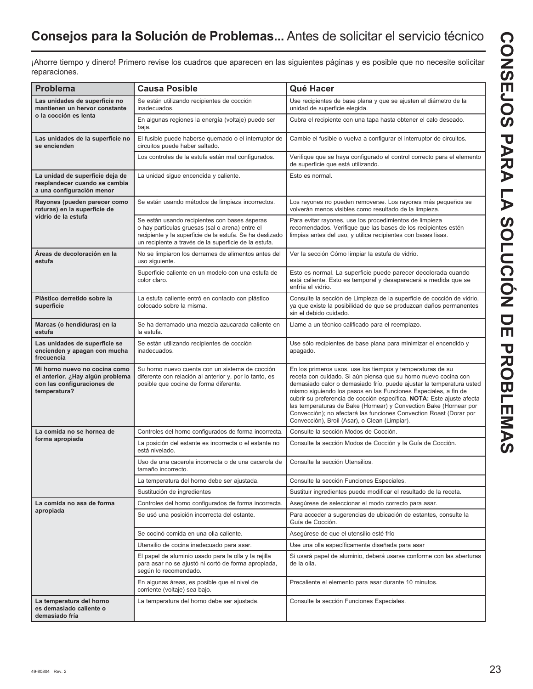¡Ahorre tiempo y dinero! Primero revise los cuadros que aparecen en las siguientes páginas y es posible que no necesite solicitar reparaciones.

| Problema                                                                                                        | <b>Causa Posible</b>                                                                                                                                                                                                  | Qué Hacer                                                                                                                                                                                                                                                                                                                                                                                                                                                                                                                                     |
|-----------------------------------------------------------------------------------------------------------------|-----------------------------------------------------------------------------------------------------------------------------------------------------------------------------------------------------------------------|-----------------------------------------------------------------------------------------------------------------------------------------------------------------------------------------------------------------------------------------------------------------------------------------------------------------------------------------------------------------------------------------------------------------------------------------------------------------------------------------------------------------------------------------------|
| Las unidades de superficie no<br>mantienen un hervor constante                                                  | Se están utilizando recipientes de cocción<br>inadecuados.                                                                                                                                                            | Use recipientes de base plana y que se ajusten al diámetro de la<br>unidad de superficie elegida.                                                                                                                                                                                                                                                                                                                                                                                                                                             |
| o la cocción es lenta                                                                                           | En algunas regiones la energía (voltaje) puede ser<br>baja.                                                                                                                                                           | Cubra el recipiente con una tapa hasta obtener el calo deseado.                                                                                                                                                                                                                                                                                                                                                                                                                                                                               |
| Las unidades de la superficie no<br>se encienden                                                                | El fusible puede haberse quemado o el interruptor de<br>circuitos puede haber saltado.                                                                                                                                | Cambie el fusible o vuelva a configurar el interruptor de circuitos.                                                                                                                                                                                                                                                                                                                                                                                                                                                                          |
|                                                                                                                 | Los controles de la estufa están mal configurados.                                                                                                                                                                    | Verifique que se haya configurado el control correcto para el elemento<br>de superficie que está utilizando.                                                                                                                                                                                                                                                                                                                                                                                                                                  |
| La unidad de superficie deja de<br>resplandecer cuando se cambia<br>a una configuración menor                   | La unidad sigue encendida y caliente.                                                                                                                                                                                 | Esto es normal.                                                                                                                                                                                                                                                                                                                                                                                                                                                                                                                               |
| Rayones (pueden parecer como<br>roturas) en la superficie de                                                    | Se están usando métodos de limpieza incorrectos.                                                                                                                                                                      | Los rayones no pueden removerse. Los rayones más pequeños se<br>volverán menos visibles como resultado de la limpieza.                                                                                                                                                                                                                                                                                                                                                                                                                        |
| vidrio de la estufa                                                                                             | Se están usando recipientes con bases ásperas<br>o hay partículas gruesas (sal o arena) entre el<br>recipiente y la superficie de la estufa. Se ha deslizado<br>un recipiente a través de la superficie de la estufa. | Para evitar rayones, use los procedimientos de limpieza<br>recomendados. Verifique que las bases de los recipientes estén<br>limpias antes del uso, y utilice recipientes con bases lisas.                                                                                                                                                                                                                                                                                                                                                    |
| Areas de decoloración en la<br>estufa                                                                           | No se limpiaron los derrames de alimentos antes del<br>uso siguiente.                                                                                                                                                 | Ver la sección Cómo limpiar la estufa de vidrio.                                                                                                                                                                                                                                                                                                                                                                                                                                                                                              |
|                                                                                                                 | Superficie caliente en un modelo con una estufa de<br>color claro.                                                                                                                                                    | Esto es normal. La superficie puede parecer decolorada cuando<br>está caliente. Esto es temporal y desaparecerá a medida que se<br>enfría el vidrio.                                                                                                                                                                                                                                                                                                                                                                                          |
| Plástico derretido sobre la<br>superficie                                                                       | La estufa caliente entró en contacto con plástico<br>colocado sobre la misma.                                                                                                                                         | Consulte la sección de Limpieza de la superficie de cocción de vidrio,<br>ya que existe la posibilidad de que se produzcan daños permanentes<br>sin el debido cuidado.                                                                                                                                                                                                                                                                                                                                                                        |
| Marcas (o hendiduras) en la<br>estufa                                                                           | Se ha derramado una mezcla azucarada caliente en<br>la estufa.                                                                                                                                                        | Llame a un técnico calificado para el reemplazo.                                                                                                                                                                                                                                                                                                                                                                                                                                                                                              |
| Las unidades de superficie se<br>encienden y apagan con mucha<br>frecuencia                                     | Se están utilizando recipientes de cocción<br>inadecuados.                                                                                                                                                            | Use sólo recipientes de base plana para minimizar el encendido y<br>apagado.                                                                                                                                                                                                                                                                                                                                                                                                                                                                  |
| Mi horno nuevo no cocina como<br>el anterior. ¿Hay algún problema<br>con las configuraciones de<br>temperatura? | Su horno nuevo cuenta con un sistema de cocción<br>diferente con relación al anterior y, por lo tanto, es<br>posible que cocine de forma diferente.                                                                   | En los primeros usos, use los tiempos y temperaturas de su<br>receta con cuidado. Si aún piensa que su horno nuevo cocina con<br>demasiado calor o demasiado frío, puede ajustar la temperatura usted<br>mismo siguiendo los pasos en las Funciones Especiales, a fin de<br>cubrir su preferencia de cocción específica. NOTA: Este ajuste afecta<br>las temperaturas de Bake (Hornear) y Convection Bake (Hornear por<br>Convección); no afectará las funciones Convection Roast (Dorar por<br>Convección), Broil (Asar), o Clean (Limpiar). |
| La comida no se hornea de                                                                                       | Controles del horno configurados de forma incorrecta.                                                                                                                                                                 | Consulte la sección Modos de Cocción.                                                                                                                                                                                                                                                                                                                                                                                                                                                                                                         |
| forma apropiada                                                                                                 | La posición del estante es incorrecta o el estante no<br>está nivelado.                                                                                                                                               | Consulte la sección Modos de Cocción y la Guía de Cocción.                                                                                                                                                                                                                                                                                                                                                                                                                                                                                    |
|                                                                                                                 | Uso de una cacerola incorrecta o de una cacerola de<br>tamaño incorrecto.                                                                                                                                             | Consulte la sección Utensilios.                                                                                                                                                                                                                                                                                                                                                                                                                                                                                                               |
|                                                                                                                 | La temperatura del horno debe ser ajustada.                                                                                                                                                                           | Consulte la sección Funciones Especiales.                                                                                                                                                                                                                                                                                                                                                                                                                                                                                                     |
|                                                                                                                 | Sustitución de ingredientes                                                                                                                                                                                           | Sustituir ingredientes puede modificar el resultado de la receta.                                                                                                                                                                                                                                                                                                                                                                                                                                                                             |
| La comida no asa de forma                                                                                       | Controles del horno configurados de forma incorrecta.                                                                                                                                                                 | Asegúrese de seleccionar el modo correcto para asar.                                                                                                                                                                                                                                                                                                                                                                                                                                                                                          |
| apropiada                                                                                                       | Se usó una posición incorrecta del estante.                                                                                                                                                                           | Para acceder a sugerencias de ubicación de estantes, consulte la<br>Guía de Cocción.                                                                                                                                                                                                                                                                                                                                                                                                                                                          |
|                                                                                                                 | Se cocinó comida en una olla caliente.                                                                                                                                                                                | Asegúrese de que el utensilio esté frío                                                                                                                                                                                                                                                                                                                                                                                                                                                                                                       |
|                                                                                                                 | Utensilio de cocina inadecuado para asar.                                                                                                                                                                             | Use una olla específicamente diseñada para asar                                                                                                                                                                                                                                                                                                                                                                                                                                                                                               |
|                                                                                                                 | El papel de aluminio usado para la olla y la rejilla<br>para asar no se ajustó ni cortó de forma apropiada,<br>según lo recomendado.                                                                                  | Si usará papel de aluminio, deberá usarse conforme con las aberturas<br>de la olla.                                                                                                                                                                                                                                                                                                                                                                                                                                                           |
|                                                                                                                 | En algunas áreas, es posible que el nivel de<br>corriente (voltaje) sea bajo.                                                                                                                                         | Precaliente el elemento para asar durante 10 minutos.                                                                                                                                                                                                                                                                                                                                                                                                                                                                                         |
| La temperatura del horno<br>es demasiado caliente o<br>demasiado fría                                           | La temperatura del horno debe ser ajustada.                                                                                                                                                                           | Consulte la sección Funciones Especiales.                                                                                                                                                                                                                                                                                                                                                                                                                                                                                                     |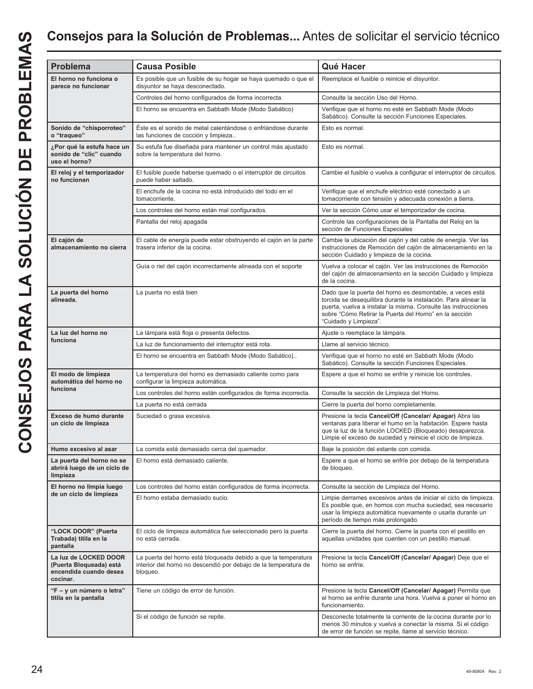| $\overline{\phantom{a}}$                                                                                       |
|----------------------------------------------------------------------------------------------------------------|
|                                                                                                                |
|                                                                                                                |
| Í<br>ć                                                                                                         |
| 1                                                                                                              |
| l                                                                                                              |
| $\overline{\mathbf{f}}$                                                                                        |
|                                                                                                                |
|                                                                                                                |
|                                                                                                                |
|                                                                                                                |
|                                                                                                                |
|                                                                                                                |
| ı                                                                                                              |
|                                                                                                                |
|                                                                                                                |
| and the state of the state of the state of the state of the state of the state of the state of the state of th |
|                                                                                                                |
| ſ                                                                                                              |
|                                                                                                                |
|                                                                                                                |
|                                                                                                                |
|                                                                                                                |
| ĺ                                                                                                              |
| ì                                                                                                              |
| Í<br>I                                                                                                         |

| <b>Problema</b>                                                                        | <b>Causa Posible</b>                                                                                                                          | Qué Hacer                                                                                                                                                                                                                                                                         |
|----------------------------------------------------------------------------------------|-----------------------------------------------------------------------------------------------------------------------------------------------|-----------------------------------------------------------------------------------------------------------------------------------------------------------------------------------------------------------------------------------------------------------------------------------|
| El horno no funciona o<br>parece no funcionar                                          | Es posible que un fusible de su hogar se haya quemado o que el<br>disyuntor se haya desconectado.                                             | Reemplace el fusible o reinicie el disyuntor.                                                                                                                                                                                                                                     |
|                                                                                        | Controles del horno configurados de forma incorrecta.                                                                                         | Consulte la sección Uso del Horno.                                                                                                                                                                                                                                                |
|                                                                                        | El horno se encuentra en Sabbath Mode (Modo Sabático)                                                                                         | Verifique que el horno no esté en Sabbath Mode (Modo<br>Sabático). Consulte la sección Funciones Especiales.                                                                                                                                                                      |
| Sonido de "chisporroteo"<br>o "traqueo"                                                | Éste es el sonido de metal calentándose o enfriándose durante<br>las funciones de cocción y limpieza                                          | Esto es normal.                                                                                                                                                                                                                                                                   |
| ¿Por qué la estufa hace un<br>sonido de "clic" cuando<br>uso el horno?                 | Su estufa fue diseñada para mantener un control más ajustado<br>sobre la temperatura del horno.                                               | Esto es normal.                                                                                                                                                                                                                                                                   |
| El reloj y el temporizador<br>no funcionan                                             | El fusible puede haberse quemado o el interruptor de circuitos<br>puede haber saltado.                                                        | Cambie el fusible o vuelva a configurar el interruptor de circuitos.                                                                                                                                                                                                              |
|                                                                                        | El enchufe de la cocina no está introducido del todo en el<br>tomacorriente.                                                                  | Verifique que el enchufe eléctrico esté conectado a un<br>tomacorriente con tensión y adecuada conexión a tierra.                                                                                                                                                                 |
|                                                                                        | Los controles del horno están mal configurados.                                                                                               | Ver la sección Cómo usar el temporizador de cocina.                                                                                                                                                                                                                               |
|                                                                                        | Pantalla del reloj apagada                                                                                                                    | Controle las configuraciones de la Pantalla del Reloj en la<br>sección de Funciones Especiales                                                                                                                                                                                    |
| El cajón de<br>almacenamiento no cierra                                                | El cable de energía puede estar obstruyendo el cajón en la parte<br>trasera inferior de la cocina.                                            | Cambie la ubicación del cajón y del cable de energía. Ver las<br>instrucciones de Remoción del cajón de almacenamiento en la<br>sección Cuidado y limpieza de la cocina.                                                                                                          |
|                                                                                        | Guía o riel del cajón incorrectamente alineada con el soporte                                                                                 | Vuelva a colocar el cajón. Ver las instrucciones de Remoción<br>del cajón de almacenamiento en la sección Cuidado y limpieza<br>de la cocina.                                                                                                                                     |
| La puerta del horno<br>alineada.                                                       | La puerta no está bien                                                                                                                        | Dado que la puerta del horno es desmontable, a veces está<br>torcida se desequilibra durante la instalación. Para alinear la<br>puerta, vuelva a instalar la misma. Consulte las instrucciones<br>sobre "Cómo Retirar la Puerta del Horno" en la sección<br>"Cuidado y Limpieza". |
| La luz del horno no                                                                    | La lámpara está floja o presenta defectos.                                                                                                    | Ajuste o reemplace la lámpara.                                                                                                                                                                                                                                                    |
| funciona                                                                               | La luz de funcionamiento del interruptor está rota.                                                                                           | Llame al servicio técnico.                                                                                                                                                                                                                                                        |
|                                                                                        | El horno se encuentra en Sabbath Mode (Modo Sabático)                                                                                         | Verifique que el horno no esté en Sabbath Mode (Modo<br>Sabático). Consulte la sección Funciones Especiales.                                                                                                                                                                      |
| El modo de limpieza<br>automática del horno no                                         | La temperatura del horno es demasiado caliente como para<br>configurar la limpieza automática.                                                | Espere a que el horno se enfríe y reinicie los controles.                                                                                                                                                                                                                         |
| funciona                                                                               | Los controles del horno están configurados de forma incorrecta.                                                                               | Consulte la sección de Limpieza del Horno.                                                                                                                                                                                                                                        |
|                                                                                        | La puerta no está cerrada                                                                                                                     | Cierre la puerta del horno completamente.                                                                                                                                                                                                                                         |
| Exceso de humo durante<br>un ciclo de limpieza                                         | Suciedad o grasa excesiva.                                                                                                                    | Presione la tecla Cancel/Off (Cancelar/ Apagar) Abra las<br>ventanas para liberar el humo en la habitación. Espere hasta<br>que la luz de la función LOCKED (Bloqueado) desaparezca.<br>Limpie el exceso de suciedad y reinicie el ciclo de limpieza.                             |
| Humo excesivo al asar                                                                  | La comida está demasiado cerca del quemador.                                                                                                  | Baje la posición del estante con comida.                                                                                                                                                                                                                                          |
| La puerta del horno no se<br>abrirá luego de un ciclo de<br>limpieza                   | El horno está demasiado caliente.                                                                                                             | Espere a que el horno se enfríe por debajo de la temperatura<br>de bloqueo.                                                                                                                                                                                                       |
| El horno no limpia luego                                                               | Los controles del horno están configurados de forma incorrecta.                                                                               | Consulte la sección de Limpieza del Horno.                                                                                                                                                                                                                                        |
| de un ciclo de limpieza                                                                | El horno estaba demasiado sucio.                                                                                                              | Limpie derrames excesivos antes de iniciar el ciclo de limpieza.<br>Es posible que, en hornos con mucha suciedad, sea necesario<br>usar la limpieza automática nuevamente o usarla durante un<br>período de tiempo más prolongado.                                                |
| "LOCK DOOR" (Puerta<br>Trabada) titila en la<br>pantalla                               | El ciclo de limpieza automática fue seleccionado pero la puerta<br>no está cerrada.                                                           | Cierre la puerta del horno. Cierre la puerta con el pestillo en<br>aquellas unidades que cuenten con un pestillo manual.                                                                                                                                                          |
| La luz de LOCKED DOOR<br>(Puerta Bloqueada) está<br>encendida cuando desea<br>cocinar. | La puerta del horno está bloqueada debido a que la temperatura<br>interior del horno no descendió por debajo de la temperatura de<br>bloqueo. | Presione la tecla Cancel/Off (Cancelar/ Apagar) Deje que el<br>horno se enfríe.                                                                                                                                                                                                   |
| "F - y un número o letra"<br>titila en la pantalla                                     | Tiene un código de error de función.                                                                                                          | Presione la tecla Cancel/Off (Cancelar/ Apagar) Permita que<br>el horno se enfríe durante una hora. Vuelva a poner el horno en<br>funcionamiento.                                                                                                                                 |
|                                                                                        | Si el código de función se repite.                                                                                                            | Desconecte totalmente la corriente de la cocina durante por lo<br>menos 30 minutos y vuelva a conectar la misma. Si el código<br>de error de función se repite, llame al servicio técnico.                                                                                        |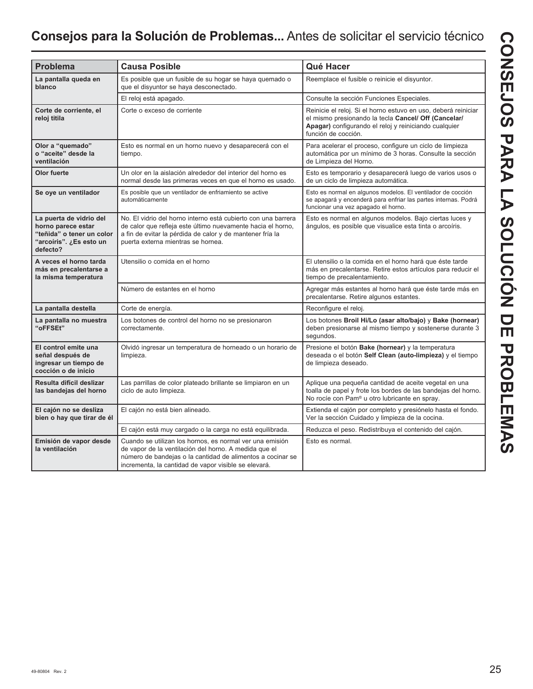## **Consejos para la Solución de Problemas...** Antes de solicitar el servicio técnico

| <b>Problema</b>                                                                                                   | <b>Causa Posible</b>                                                                                                                                                                                                                    | Qué Hacer                                                                                                                                                                                              |
|-------------------------------------------------------------------------------------------------------------------|-----------------------------------------------------------------------------------------------------------------------------------------------------------------------------------------------------------------------------------------|--------------------------------------------------------------------------------------------------------------------------------------------------------------------------------------------------------|
| La pantalla queda en<br>blanco                                                                                    | Es posible que un fusible de su hogar se haya quemado o<br>que el disyuntor se haya desconectado.                                                                                                                                       | Reemplace el fusible o reinicie el disyuntor.                                                                                                                                                          |
|                                                                                                                   | El reloj está apagado.                                                                                                                                                                                                                  | Consulte la sección Funciones Especiales.                                                                                                                                                              |
| Corte de corriente, el<br>reloj titila                                                                            | Corte o exceso de corriente                                                                                                                                                                                                             | Reinicie el reloj. Si el horno estuvo en uso, deberá reiniciar<br>el mismo presionando la tecla Cancel/ Off (Cancelar/<br>Apagar) configurando el reloj y reiniciando cualquier<br>función de cocción. |
| Olor a "quemado"<br>o "aceite" desde la<br>ventilación                                                            | Esto es normal en un horno nuevo y desaparecerá con el<br>tiempo.                                                                                                                                                                       | Para acelerar el proceso, configure un ciclo de limpieza<br>automática por un mínimo de 3 horas. Consulte la sección<br>de Limpieza del Horno.                                                         |
| Olor fuerte                                                                                                       | Un olor en la aislación alrededor del interior del horno es<br>normal desde las primeras veces en que el horno es usado.                                                                                                                | Esto es temporario y desaparecerá luego de varios usos o<br>de un ciclo de limpieza automática.                                                                                                        |
| Se oye un ventilador                                                                                              | Es posible que un ventilador de enfriamiento se active<br>automáticamente                                                                                                                                                               | Esto es normal en algunos modelos. El ventilador de cocción<br>se apagará y encenderá para enfriar las partes internas. Podrá<br>funcionar una vez apagado el horno.                                   |
| La puerta de vidrio del<br>horno parece estar<br>"teñida" o tener un color<br>"arcoíris". ¿Es esto un<br>defecto? | No. El vidrio del horno interno está cubierto con una barrera<br>de calor que refleja este último nuevamente hacia el horno,<br>a fin de evitar la pérdida de calor y de mantener fría la<br>puerta externa mientras se hornea.         | Esto es normal en algunos modelos. Bajo ciertas luces y<br>ángulos, es posible que visualice esta tinta o arcoíris.                                                                                    |
| A veces el horno tarda<br>más en precalentarse a<br>la misma temperatura                                          | Utensilio o comida en el horno                                                                                                                                                                                                          | El utensilio o la comida en el horno hará que éste tarde<br>más en precalentarse. Retire estos artículos para reducir el<br>tiempo de precalentamiento.                                                |
|                                                                                                                   | Número de estantes en el horno                                                                                                                                                                                                          | Agregar más estantes al horno hará que éste tarde más en<br>precalentarse. Retire algunos estantes.                                                                                                    |
| La pantalla destella                                                                                              | Corte de energía.                                                                                                                                                                                                                       | Reconfigure el reloj.                                                                                                                                                                                  |
| La pantalla no muestra<br>"oFFSEt"                                                                                | Los botones de control del horno no se presionaron<br>correctamente.                                                                                                                                                                    | Los botones Broil Hi/Lo (asar alto/bajo) y Bake (hornear)<br>deben presionarse al mismo tiempo y sostenerse durante 3<br>sequndos.                                                                     |
| El control emite una<br>señal después de<br>ingresar un tiempo de<br>cocción o de inicio                          | Olvidó ingresar un temperatura de horneado o un horario de<br>limpieza.                                                                                                                                                                 | Presione el botón Bake (hornear) y la temperatura<br>deseada o el botón Self Clean (auto-limpieza) y el tiempo<br>de limpieza deseado.                                                                 |
| Resulta difícil deslizar<br>las bandejas del horno                                                                | Las parrillas de color plateado brillante se limpiaron en un<br>ciclo de auto limpieza.                                                                                                                                                 | Aplique una pequeña cantidad de aceite vegetal en una<br>toalla de papel y frote los bordes de las bandejas del horno.<br>No rocíe con Pam <sup>®</sup> u otro lubricante en spray.                    |
| El cajón no se desliza<br>bien o hay que tirar de él                                                              | El cajón no está bien alineado.                                                                                                                                                                                                         | Extienda el cajón por completo y presiónelo hasta el fondo.<br>Ver la sección Cuidado y limpieza de la cocina.                                                                                         |
|                                                                                                                   | El cajón está muy cargado o la carga no está equilibrada.                                                                                                                                                                               | Reduzca el peso. Redistribuya el contenido del cajón.                                                                                                                                                  |
| Emisión de vapor desde<br>la ventilación                                                                          | Cuando se utilizan los hornos, es normal ver una emisión<br>de vapor de la ventilación del horno. A medida que el<br>número de bandejas o la cantidad de alimentos a cocinar se<br>incrementa, la cantidad de vapor visible se elevará. | Esto es normal.                                                                                                                                                                                        |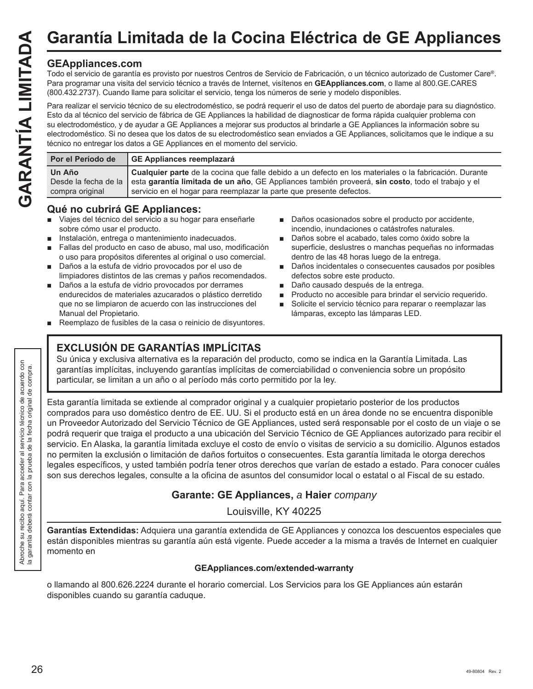## **GEAppliances.com**

Todo el servicio de garantía es provisto por nuestros Centros de Servicio de Fabricación, o un técnico autorizado de Customer Care®. Para programar una visita del servicio técnico a través de Internet, visítenos en **GEAppliances.com**, o llame al 800.GE.CARES (800.432.2737). Cuando llame para solicitar el servicio, tenga los números de serie y modelo disponibles.

Para realizar el servicio técnico de su electrodoméstico, se podrá requerir el uso de datos del puerto de abordaje para su diagnóstico. Esto da al técnico del servicio de fábrica de GE Appliances la habilidad de diagnosticar de forma rápida cualquier problema con su electrodoméstico, y de ayudar a GE Appliances a mejorar sus productos al brindarle a GE Appliances la información sobre su electrodoméstico. Si no desea que los datos de su electrodoméstico sean enviados a GE Appliances, solicitamos que le indique a su técnico no entregar los datos a GE Appliances en el momento del servicio.

| GE Appliances reemplazará<br>Por el Período de                                                                                                      |
|-----------------------------------------------------------------------------------------------------------------------------------------------------|
| Un Año<br>Desde la fecha de la esta garantía limitada de un año, GE Appliances también proveerá, sin costo, todo el trabajo y el<br>compra original |

## **Qué no cubrirá GE Appliances:**

- Viajes del técnico del servicio a su hogar para enseñarle sobre cómo usar el producto.
- Instalación, entrega o mantenimiento inadecuados.
- Fallas del producto en caso de abuso, mal uso, modificación o uso para propósitos diferentes al original o uso comercial.
- Daños a la estufa de vidrio provocados por el uso de limpiadores distintos de las cremas y paños recomendados.
- Daños a la estufa de vidrio provocados por derrames endurecidos de materiales azucarados o plástico derretido que no se limpiaron de acuerdo con las instrucciones del Manual del Propietario.
- Reemplazo de fusibles de la casa o reinicio de disyuntores.
	- **EXCLUSIÓN DE GARANTÍAS IMPLÍCITAS**
- Daños ocasionados sobre el producto por accidente, incendio, inundaciones o catástrofes naturales.
- Daños sobre el acabado, tales como óxido sobre la superficie, deslustres o manchas pequeñas no informadas dentro de las 48 horas luego de la entrega.
- Daños incidentales o consecuentes causados por posibles defectos sobre este producto.
- Daño causado después de la entrega.
- **Producto no accesible para brindar el servicio requerido.**
- Solicite el servicio técnico para reparar o reemplazar las lámparas, excepto las lámparas LED.

Su única y exclusiva alternativa es la reparación del producto, como se indica en la Garantía Limitada. Las garantías implícitas, incluyendo garantías implícitas de comerciabilidad o conveniencia sobre un propósito particular, se limitan a un año o al período más corto permitido por la ley.

Esta garantía limitada se extiende al comprador original y a cualquier propietario posterior de los productos comprados para uso doméstico dentro de EE. UU. Si el producto está en un área donde no se encuentra disponible un Proveedor Autorizado del Servicio Técnico de GE Appliances, usted será responsable por el costo de un viaje o se podrá requerir que traiga el producto a una ubicación del Servicio Técnico de GE Appliances autorizado para recibir el servicio. En Alaska, la garantía limitada excluye el costo de envío o visitas de servicio a su domicilio. Algunos estados no permiten la exclusión o limitación de daños fortuitos o consecuentes. Esta garantía limitada le otorga derechos legales específicos, y usted también podría tener otros derechos que varían de estado a estado. Para conocer cuáles son sus derechos legales, consulte a la oficina de asuntos del consumidor local o estatal o al Fiscal de su estado.

## **Garante: GE Appliances,** *a* **Haier** *company*

Louisville, KY 40225

**Garantías Extendidas:** Adquiera una garantía extendida de GE Appliances y conozca los descuentos especiales que están disponibles mientras su garantía aún está vigente. Puede acceder a la misma a través de Internet en cualquier momento en

### **GEAppliances.com/extended-warranty**

o llamando al 800.626.2224 durante el horario comercial. Los Servicios para los GE Appliances aún estarán disponibles cuando su garantía caduque.

Abroche su recibo aquí. Para acceder al servicio técnico de acuerdo con la garantía deberá contar con la prueba de la fecha original de compra.

broche su recibo aquí. Para<br>garantía deberá contar con

Abroche su recibo<br>la garantía deberá

acceder al servicio técnico de acuerdo con<br>la prueba de la fecha original de compra.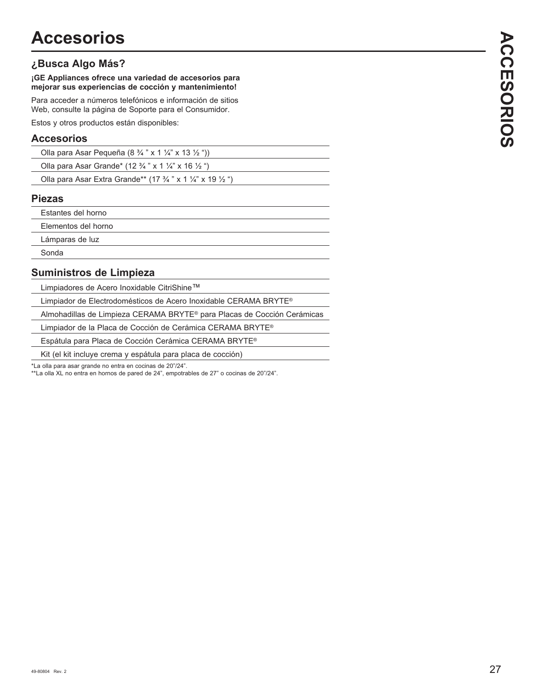## **¿Busca Algo Más?**

**¡GE Appliances ofrece una variedad de accesorios para mejorar sus experiencias de cocción y mantenimiento!**

Para acceder a números telefónicos e información de sitios Web, consulte la página de Soporte para el Consumidor.

Estos y otros productos están disponibles:

## **Accesorios**

| Olla para Asar Pequeña (8 $\frac{3}{4}$ " x 1 $\frac{1}{4}$ " x 13 $\frac{1}{2}$ "))        |  |
|---------------------------------------------------------------------------------------------|--|
| Olla para Asar Grande* (12 $\frac{3}{4}$ " x 1 $\frac{1}{4}$ " x 16 $\frac{1}{2}$ ")        |  |
| Olla para Asar Extra Grande** (17 $\frac{3}{4}$ " x 1 $\frac{1}{4}$ " x 19 $\frac{1}{2}$ ") |  |

#### **Piezas**

| Estantes del horno  |
|---------------------|
| Elementos del horno |
| Lámparas de luz     |
| Sonda               |

## **Suministros de Limpieza**

Limpiadores de Acero Inoxidable CitriShine™

Limpiador de Electrodomésticos de Acero Inoxidable CERAMA BRYTE®

Almohadillas de Limpieza CERAMA BRYTE® para Placas de Cocción Cerámicas

Limpiador de la Placa de Cocción de Cerámica CERAMA BRYTE®

Espátula para Placa de Cocción Cerámica CERAMA BRYTE®

Kit (el kit incluye crema y espátula para placa de cocción)

\*La olla para asar grande no entra en cocinas de 20"/24".

\*\*La olla XL no entra en hornos de pared de 24", empotrables de 27" o cocinas de 20"/24".